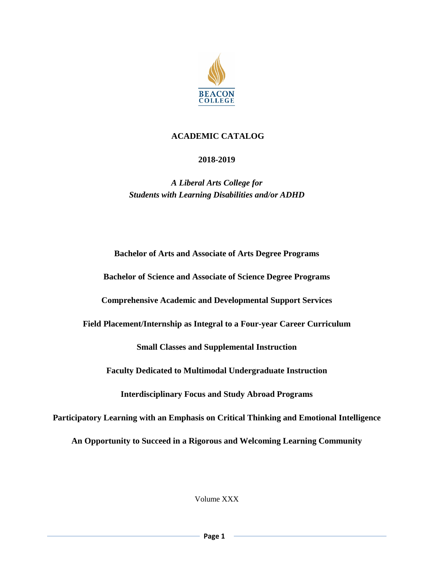

# **ACADEMIC CATALOG**

# **2018-2019**

*A Liberal Arts College for Students with Learning Disabilities and/or ADHD*

**Bachelor of Arts and Associate of Arts Degree Programs**

**Bachelor of Science and Associate of Science Degree Programs**

**Comprehensive Academic and Developmental Support Services**

**Field Placement/Internship as Integral to a Four-year Career Curriculum**

**Small Classes and Supplemental Instruction**

**Faculty Dedicated to Multimodal Undergraduate Instruction**

**Interdisciplinary Focus and Study Abroad Programs**

**Participatory Learning with an Emphasis on Critical Thinking and Emotional Intelligence**

**An Opportunity to Succeed in a Rigorous and Welcoming Learning Community**

Volume XXX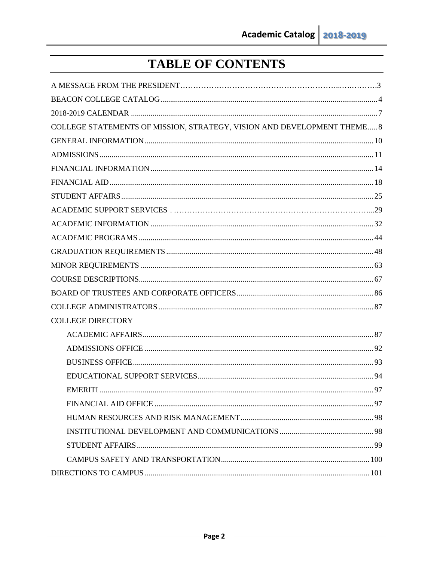# TABLE OF CONTENTS

| COLLEGE STATEMENTS OF MISSION, STRATEGY, VISION AND DEVELOPMENT THEME 8 |  |
|-------------------------------------------------------------------------|--|
|                                                                         |  |
|                                                                         |  |
|                                                                         |  |
|                                                                         |  |
|                                                                         |  |
|                                                                         |  |
|                                                                         |  |
|                                                                         |  |
|                                                                         |  |
|                                                                         |  |
|                                                                         |  |
|                                                                         |  |
|                                                                         |  |
| <b>COLLEGE DIRECTORY</b>                                                |  |
|                                                                         |  |
|                                                                         |  |
|                                                                         |  |
|                                                                         |  |
|                                                                         |  |
|                                                                         |  |
|                                                                         |  |
|                                                                         |  |
|                                                                         |  |
|                                                                         |  |
|                                                                         |  |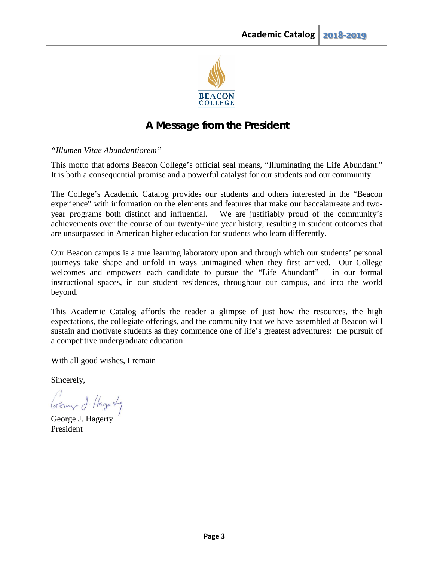

# **A Message from the President**

*"Illumen Vitae Abundantiorem"*

This motto that adorns Beacon College's official seal means, "Illuminating the Life Abundant." It is both a consequential promise and a powerful catalyst for our students and our community.

The College's Academic Catalog provides our students and others interested in the "Beacon experience" with information on the elements and features that make our baccalaureate and twoyear programs both distinct and influential. We are justifiably proud of the community's achievements over the course of our twenty-nine year history, resulting in student outcomes that are unsurpassed in American higher education for students who learn differently.

Our Beacon campus is a true learning laboratory upon and through which our students' personal journeys take shape and unfold in ways unimagined when they first arrived. Our College welcomes and empowers each candidate to pursue the "Life Abundant" – in our formal instructional spaces, in our student residences, throughout our campus, and into the world beyond.

This Academic Catalog affords the reader a glimpse of just how the resources, the high expectations, the collegiate offerings, and the community that we have assembled at Beacon will sustain and motivate students as they commence one of life's greatest adventures: the pursuit of a competitive undergraduate education.

With all good wishes, I remain

Sincerely,

George J. Hagerty

George J. Hagerty President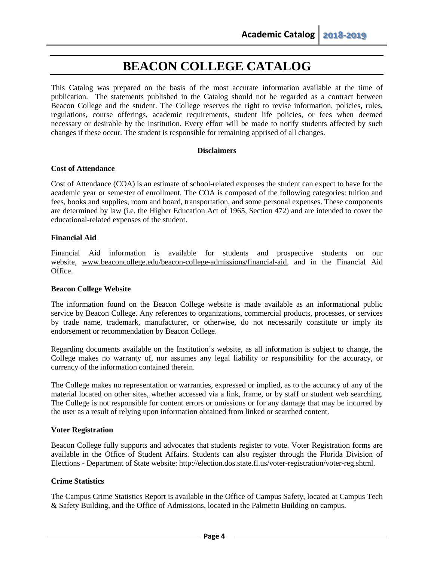# **BEACON COLLEGE CATALOG**

This Catalog was prepared on the basis of the most accurate information available at the time of publication. The statements published in the Catalog should not be regarded as a contract between Beacon College and the student. The College reserves the right to revise information, policies, rules, regulations, course offerings, academic requirements, student life policies, or fees when deemed necessary or desirable by the Institution. Every effort will be made to notify students affected by such changes if these occur. The student is responsible for remaining apprised of all changes.

#### **Disclaimers**

#### **Cost of Attendance**

Cost of Attendance (COA) is an estimate of school-related expenses the student can expect to have for the academic year or semester of enrollment. The COA is composed of the following categories: tuition and fees, books and supplies, room and board, transportation, and some personal expenses. These components are determined by law (i.e. the Higher Education Act of 1965, Section 472) and are intended to cover the educational-related expenses of the student.

## **Financial Aid**

Financial Aid information is available for students and prospective students on our website, [www.beaconcollege.edu/beacon-college-admissions/financial-aid,](http://www.beaconcollege.edu/beacon-college-admissions/financial-aid) and in the Financial Aid Office.

#### **Beacon College Website**

The information found on the Beacon College website is made available as an informational public service by Beacon College. Any references to organizations, commercial products, processes, or services by trade name, trademark, manufacturer, or otherwise, do not necessarily constitute or imply its endorsement or recommendation by Beacon College.

Regarding documents available on the Institution's website, as all information is subject to change, the College makes no warranty of, nor assumes any legal liability or responsibility for the accuracy, or currency of the information contained therein.

The College makes no representation or warranties, expressed or implied, as to the accuracy of any of the material located on other sites, whether accessed via a link, frame, or by staff or student web searching. The College is not responsible for content errors or omissions or for any damage that may be incurred by the user as a result of relying upon information obtained from linked or searched content.

#### **Voter Registration**

Beacon College fully supports and advocates that students register to vote. Voter Registration forms are available in the Office of Student Affairs. Students can also register through the Florida Division of Elections - Department of State website: [http://election.dos.](http://election.dos/)state.fl.us/voter-registration/voter-reg.shtml.

# **Crime Statistics**

The Campus Crime Statistics Report is available in the Office of Campus Safety, located at Campus Tech & Safety Building, and the Office of Admissions, located in the Palmetto Building on campus.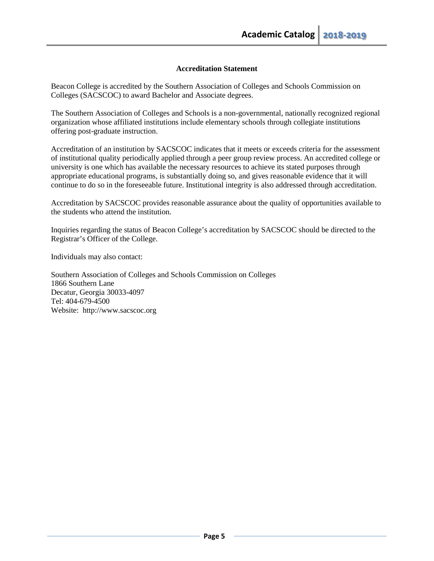# **Accreditation Statement**

Beacon College is accredited by the Southern Association of Colleges and Schools Commission on Colleges (SACSCOC) to award Bachelor and Associate degrees.

The Southern Association of Colleges and Schools is a non-governmental, nationally recognized regional organization whose affiliated institutions include elementary schools through collegiate institutions offering post-graduate instruction.

Accreditation of an institution by SACSCOC indicates that it meets or exceeds criteria for the assessment of institutional quality periodically applied through a peer group review process. An accredited college or university is one which has available the necessary resources to achieve its stated purposes through appropriate educational programs, is substantially doing so, and gives reasonable evidence that it will continue to do so in the foreseeable future. Institutional integrity is also addressed through accreditation.

Accreditation by SACSCOC provides reasonable assurance about the quality of opportunities available to the students who attend the institution.

Inquiries regarding the status of Beacon College's accreditation by SACSCOC should be directed to the Registrar's Officer of the College.

Individuals may also contact:

Southern Association of Colleges and Schools Commission on Colleges 1866 Southern Lane Decatur, Georgia 30033-4097 Tel: 404-679-4500 Website: http://www.sacscoc.org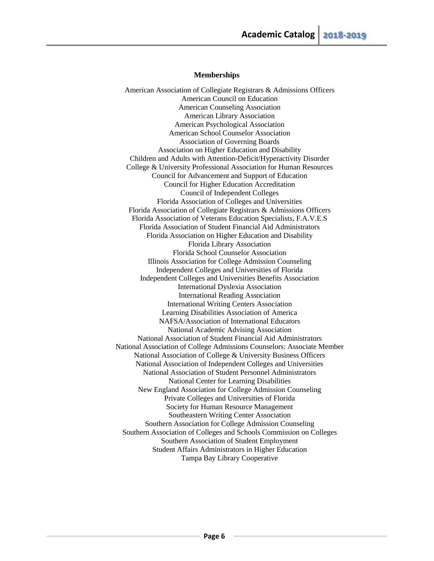#### **Memberships**

American Association of Collegiate Registrars & Admissions Officers American Council on Education American Counseling Association American Library Association American Psychological Association American School Counselor Association Association of Governing Boards Association on Higher Education and Disability Children and Adults with Attention-Deficit/Hyperactivity Disorder College & University Professional Association for Human Resources Council for Advancement and Support of Education Council for Higher Education Accreditation Council of Independent Colleges Florida Association of Colleges and Universities Florida Association of Collegiate Registrars & Admissions Officers Florida Association of Veterans Education Specialists, F.A.V.E.S Florida Association of Student Financial Aid Administrators Florida Association on Higher Education and Disability Florida Library Association Florida School Counselor Association Illinois Association for College Admission Counseling Independent Colleges and Universities of Florida Independent Colleges and Universities Benefits Association International Dyslexia Association International Reading Association International Writing Centers Association Learning Disabilities Association of America NAFSA/Association of International Educators National Academic Advising Association National Association of Student Financial Aid Administrators National Association of College Admissions Counselors: Associate Member National Association of College & University Business Officers National Association of Independent Colleges and Universities National Association of Student Personnel Administrators National Center for Learning Disabilities New England Association for College Admission Counseling Private Colleges and Universities of Florida Society for Human Resource Management Southeastern Writing Center Association Southern Association for College Admission Counseling Southern Association of Colleges and Schools Commission on Colleges Southern Association of Student Employment Student Affairs Administrators in Higher Education Tampa Bay Library Cooperative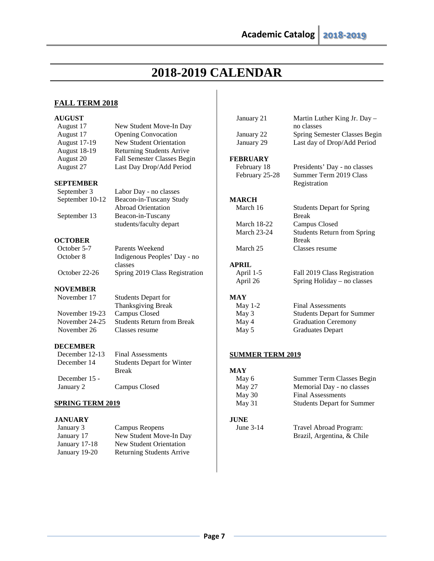January 21 Martin Luther King Jr. Day –

# **2018-2019 CALENDAR**

# **FALL TERM 2018**

# **AUGUST**

| August 17               | New Student Move-In Day           |                         | no classes                         |
|-------------------------|-----------------------------------|-------------------------|------------------------------------|
| August 17               | <b>Opening Convocation</b>        | January 22              | Spring Semester Classes Begin      |
| <b>August 17-19</b>     | <b>New Student Orientation</b>    | January 29              | Last day of Drop/Add Period        |
| <b>August 18-19</b>     | <b>Returning Students Arrive</b>  |                         |                                    |
| August 20               | Fall Semester Classes Begin       | <b>FEBRUARY</b>         |                                    |
| August 27               | Last Day Drop/Add Period          | February 18             | Presidents' Day - no classes       |
|                         |                                   | February 25-28          | Summer Term 2019 Class             |
| SEPTEMBER               |                                   |                         | Registration                       |
| September 3             | Labor Day - no classes            |                         |                                    |
| September 10-12         | Beacon-in-Tuscany Study           | <b>MARCH</b>            |                                    |
|                         | <b>Abroad Orientation</b>         | March 16                | <b>Students Depart for Spring</b>  |
| September 13            | Beacon-in-Tuscany                 |                         | <b>Break</b>                       |
|                         | students/faculty depart           | March 18-22             | Campus Closed                      |
|                         |                                   | <b>March 23-24</b>      | <b>Students Return from Spring</b> |
| <b>OCTOBER</b>          |                                   |                         | <b>Break</b>                       |
| October 5-7             | <b>Parents Weekend</b>            | March 25                | Classes resume                     |
| October 8               | Indigenous Peoples' Day - no      |                         |                                    |
|                         | classes                           | <b>APRIL</b>            |                                    |
| October 22-26           | Spring 2019 Class Registration    | April 1-5               | Fall 2019 Class Registration       |
|                         |                                   | April 26                | Spring Holiday – no classes        |
| <b>NOVEMBER</b>         |                                   |                         |                                    |
| November 17             | <b>Students Depart for</b>        | <b>MAY</b>              |                                    |
|                         | Thanksgiving Break                | May $1-2$               | <b>Final Assessments</b>           |
| November 19-23          | Campus Closed                     | May 3                   | <b>Students Depart for Summer</b>  |
| November 24-25          | <b>Students Return from Break</b> | May 4                   | <b>Graduation Ceremony</b>         |
| November 26             | Classes resume                    | May 5                   | <b>Graduates Depart</b>            |
| <b>DECEMBER</b>         |                                   |                         |                                    |
| December 12-13          | <b>Final Assessments</b>          | <b>SUMMER TERM 2019</b> |                                    |
| December 14             | <b>Students Depart for Winter</b> |                         |                                    |
|                         | <b>Break</b>                      | <b>MAY</b>              |                                    |
| December 15 -           |                                   | May 6                   | Summer Term Classes Begin          |
| January 2               | Campus Closed                     | May 27                  | Memorial Day - no classes          |
|                         |                                   | May 30                  | <b>Final Assessments</b>           |
| <b>SPRING TERM 2019</b> |                                   | May 31                  | <b>Students Depart for Summer</b>  |

### **SPRING TERM 2019**

# **JANUARY**

| January 3     | Campus Reopens                   |
|---------------|----------------------------------|
| January 17    | New Student Move-In Day          |
| January 17-18 | New Student Orientation          |
| January 19-20 | <b>Returning Students Arrive</b> |

**JUNE**<br>**June 3-14** 

Travel Abroad Program: Brazil, Argentina, & Chile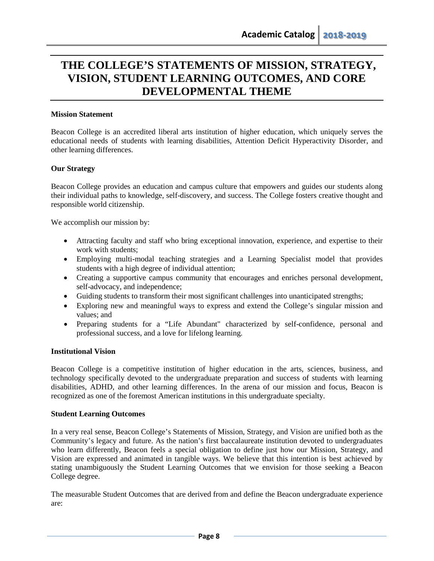# **THE COLLEGE'S STATEMENTS OF MISSION, STRATEGY, VISION, STUDENT LEARNING OUTCOMES, AND CORE DEVELOPMENTAL THEME**

#### <span id="page-7-0"></span>**Mission Statement**

Beacon College is an accredited liberal arts institution of higher education, which uniquely serves the educational needs of students with learning disabilities, Attention Deficit Hyperactivity Disorder, and other learning differences.

#### **Our Strategy**

Beacon College provides an education and campus culture that empowers and guides our students along their individual paths to knowledge, self-discovery, and success. The College fosters creative thought and responsible world citizenship.

We accomplish our mission by:

- Attracting faculty and staff who bring exceptional innovation, experience, and expertise to their work with students;
- Employing multi-modal teaching strategies and a Learning Specialist model that provides students with a high degree of individual attention;
- Creating a supportive campus community that encourages and enriches personal development, self-advocacy, and independence;
- Guiding students to transform their most significant challenges into unanticipated strengths;
- Exploring new and meaningful ways to express and extend the College's singular mission and values; and
- Preparing students for a "Life Abundant" characterized by self-confidence, personal and professional success, and a love for lifelong learning.

#### **Institutional Vision**

Beacon College is a competitive institution of higher education in the arts, sciences, business, and technology specifically devoted to the undergraduate preparation and success of students with learning disabilities, ADHD, and other learning differences. In the arena of our mission and focus, Beacon is recognized as one of the foremost American institutions in this undergraduate specialty.

#### **Student Learning Outcomes**

In a very real sense, Beacon College's Statements of Mission, Strategy, and Vision are unified both as the Community's legacy and future. As the nation's first baccalaureate institution devoted to undergraduates who learn differently, Beacon feels a special obligation to define just how our Mission, Strategy, and Vision are expressed and animated in tangible ways. We believe that this intention is best achieved by stating unambiguously the Student Learning Outcomes that we envision for those seeking a Beacon College degree.

The measurable Student Outcomes that are derived from and define the Beacon undergraduate experience are: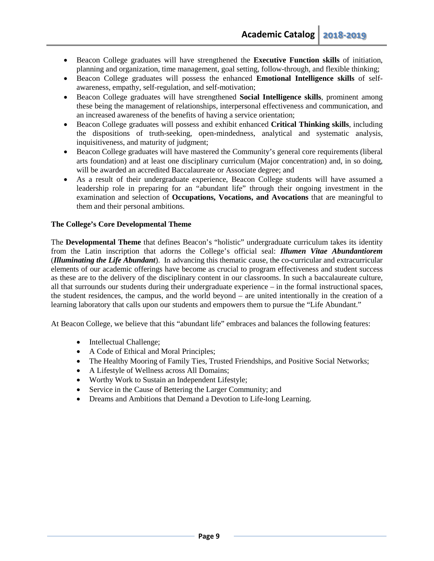- Beacon College graduates will have strengthened the **Executive Function skills** of initiation, planning and organization, time management, goal setting, follow-through, and flexible thinking;
- Beacon College graduates will possess the enhanced **Emotional Intelligence skills** of selfawareness, empathy, self-regulation, and self-motivation;
- Beacon College graduates will have strengthened **Social Intelligence skills**, prominent among these being the management of relationships, interpersonal effectiveness and communication, and an increased awareness of the benefits of having a service orientation;
- Beacon College graduates will possess and exhibit enhanced **Critical Thinking skills**, including the dispositions of truth-seeking, open-mindedness, analytical and systematic analysis, inquisitiveness, and maturity of judgment;
- Beacon College graduates will have mastered the Community's general core requirements (liberal arts foundation) and at least one disciplinary curriculum (Major concentration) and, in so doing, will be awarded an accredited Baccalaureate or Associate degree; and
- As a result of their undergraduate experience, Beacon College students will have assumed a leadership role in preparing for an "abundant life" through their ongoing investment in the examination and selection of **Occupations, Vocations, and Avocations** that are meaningful to them and their personal ambitions.

# **The College's Core Developmental Theme**

The **Developmental Theme** that defines Beacon's "holistic" undergraduate curriculum takes its identity from the Latin inscription that adorns the College's official seal: *Illumen Vitae Abundantiorem*  (*Illuminating the Life Abundant*). In advancing this thematic cause, the co-curricular and extracurricular elements of our academic offerings have become as crucial to program effectiveness and student success as these are to the delivery of the disciplinary content in our classrooms. In such a baccalaureate culture, all that surrounds our students during their undergraduate experience – in the formal instructional spaces, the student residences, the campus, and the world beyond – are united intentionally in the creation of a learning laboratory that calls upon our students and empowers them to pursue the "Life Abundant."

At Beacon College, we believe that this "abundant life" embraces and balances the following features:

- Intellectual Challenge;
- A Code of Ethical and Moral Principles;
- The Healthy Mooring of Family Ties, Trusted Friendships, and Positive Social Networks;
- A Lifestyle of Wellness across All Domains;
- Worthy Work to Sustain an Independent Lifestyle;
- Service in the Cause of Bettering the Larger Community; and
- Dreams and Ambitions that Demand a Devotion to Life-long Learning.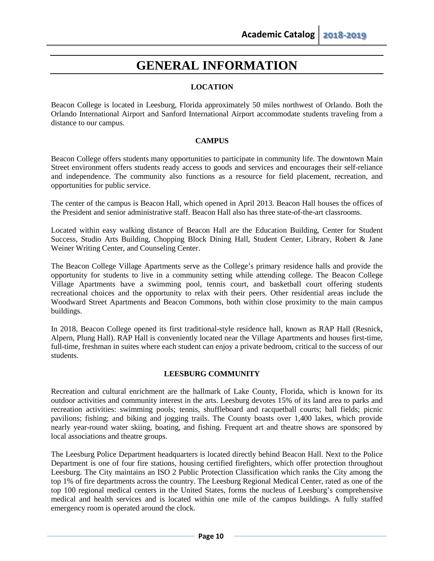# **GENERAL INFORMATION**

# **LOCATION**

Beacon College is located in Leesburg, Florida approximately 50 miles northwest of Orlando. Both the Orlando International Airport and Sanford International Airport accommodate students traveling from a distance to our campus.

## **CAMPUS**

Beacon College offers students many opportunities to participate in community life. The downtown Main Street environment offers students ready access to goods and services and encourages their self-reliance and independence. The community also functions as a resource for field placement, recreation, and opportunities for public service.

The center of the campus is Beacon Hall, which opened in April 2013. Beacon Hall houses the offices of the President and senior administrative staff. Beacon Hall also has three state-of-the-art classrooms.

Located within easy walking distance of Beacon Hall are the Education Building, Center for Student Success, Studio Arts Building, Chopping Block Dining Hall, Student Center, Library, Robert & Jane Weiner Writing Center, and Counseling Center.

The Beacon College Village Apartments serve as the College's primary residence halls and provide the opportunity for students to live in a community setting while attending college. The Beacon College Village Apartments have a swimming pool, tennis court, and basketball court offering students recreational choices and the opportunity to relax with their peers. Other residential areas include the Woodward Street Apartments and Beacon Commons, both within close proximity to the main campus buildings.

In 2018, Beacon College opened its first traditional-style residence hall, known as RAP Hall (Resnick, Alpern, Plung Hall). RAP Hall is conveniently located near the Village Apartments and houses first-time, full-time, freshman in suites where each student can enjoy a private bedroom, critical to the success of our students.

#### **LEESBURG COMMUNITY**

Recreation and cultural enrichment are the hallmark of Lake County, Florida, which is known for its outdoor activities and community interest in the arts. Leesburg devotes 15% of its land area to parks and recreation activities: swimming pools; tennis, shuffleboard and racquetball courts; ball fields; picnic pavilions; fishing; and biking and jogging trails. The County boasts over 1,400 lakes, which provide nearly year-round water skiing, boating, and fishing. Frequent art and theatre shows are sponsored by local associations and theatre groups.

The Leesburg Police Department headquarters is located directly behind Beacon Hall. Next to the Police Department is one of four fire stations, housing certified firefighters, which offer protection throughout Leesburg. The City maintains an ISO 2 Public Protection Classification which ranks the City among the top 1% of fire departments across the country. The Leesburg Regional Medical Center, rated as one of the top 100 regional medical centers in the United States, forms the nucleus of Leesburg's comprehensive medical and health services and is located within one mile of the campus buildings. A fully staffed emergency room is operated around the clock.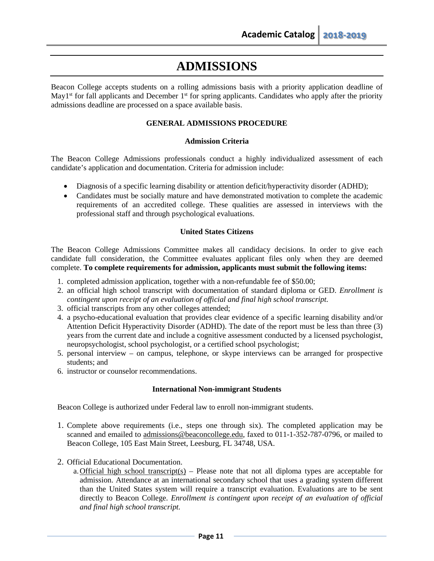# **ADMISSIONS**

Beacon College accepts students on a rolling admissions basis with a priority application deadline of May1<sup>st</sup> for fall applicants and December 1<sup>st</sup> for spring applicants. Candidates who apply after the priority admissions deadline are processed on a space available basis.

## **GENERAL ADMISSIONS PROCEDURE**

#### **Admission Criteria**

The Beacon College Admissions professionals conduct a highly individualized assessment of each candidate's application and documentation. Criteria for admission include:

- Diagnosis of a specific learning disability or attention deficit/hyperactivity disorder (ADHD);
- Candidates must be socially mature and have demonstrated motivation to complete the academic requirements of an accredited college. These qualities are assessed in interviews with the professional staff and through psychological evaluations.

## **United States Citizens**

The Beacon College Admissions Committee makes all candidacy decisions. In order to give each candidate full consideration, the Committee evaluates applicant files only when they are deemed complete. **To complete requirements for admission, applicants must submit the following items:**

- 1. completed admission application, together with a non-refundable fee of \$50.00;
- 2. an official high school transcript with documentation of standard diploma or GED. *Enrollment is contingent upon receipt of an evaluation of official and final high school transcript.*
- 3. official transcripts from any other colleges attended;
- 4. a psycho-educational evaluation that provides clear evidence of a specific learning disability and/or Attention Deficit Hyperactivity Disorder (ADHD). The date of the report must be less than three (3) years from the current date and include a cognitive assessment conducted by a licensed psychologist, neuropsychologist, school psychologist, or a certified school psychologist;
- 5. personal interview on campus, telephone, or skype interviews can be arranged for prospective students; and
- 6. instructor or counselor recommendations.

#### **International Non-immigrant Students**

Beacon College is authorized under Federal law to enroll non-immigrant students.

- 1. Complete above requirements (i.e., steps one through six). The completed application may be scanned and emailed to [admissions@beaconcollege.edu,](mailto:admissions@beaconcollege.edu) faxed to 011-1-352-787-0796, or mailed to Beacon College, 105 East Main Street, Leesburg, FL 34748, USA.
- 2. Official Educational Documentation.
	- a. Official high school transcript(s) Please note that not all diploma types are acceptable for admission. Attendance at an international secondary school that uses a grading system different than the United States system will require a transcript evaluation. Evaluations are to be sent directly to Beacon College. *Enrollment is contingent upon receipt of an evaluation of official and final high school transcript.*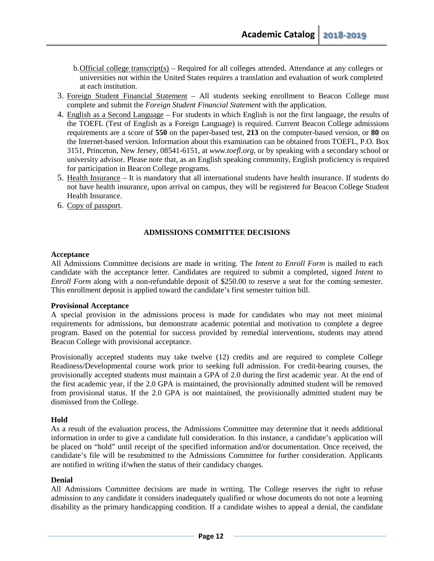- b.Official college transcript(s) Required for all colleges attended. Attendance at any colleges or universities not within the United States requires a translation and evaluation of work completed at each institution.
- 3. Foreign Student Financial Statement All students seeking enrollment to Beacon College must complete and submit the *Foreign Student Financial Statement* with the application.
- 4. English as a Second Language For students in which English is not the first language, the results of the TOEFL (Test of English as a Foreign Language) is required. Current Beacon College admissions requirements are a score of **550** on the paper-based test, **213** on the computer-based version, or **80** on the Internet-based version. Information about this examination can be obtained from TOEFL, P.O. Box 3151, Princeton, New Jersey, 08541-6151, at *[www.toefl.org,](http://www.toefl.org/)* or by speaking with a secondary school or university advisor. Please note that, as an English speaking community, English proficiency is required for participation in Beacon College programs.
- 5. Health Insurance It is mandatory that all international students have health insurance. If students do not have health insurance, upon arrival on campus, they will be registered for Beacon College Student Health Insurance.
- 6. Copy of passport.

## **ADMISSIONS COMMITTEE DECISIONS**

#### **Acceptance**

All Admissions Committee decisions are made in writing. The *Intent to Enroll Form* is mailed to each candidate with the acceptance letter. Candidates are required to submit a completed, signed *Intent to Enroll Form* along with a non-refundable deposit of \$250.00 to reserve a seat for the coming semester. This enrollment deposit is applied toward the candidate's first semester tuition bill.

#### **Provisional Acceptance**

A special provision in the admissions process is made for candidates who may not meet minimal requirements for admissions, but demonstrate academic potential and motivation to complete a degree program. Based on the potential for success provided by remedial interventions, students may attend Beacon College with provisional acceptance.

Provisionally accepted students may take twelve (12) credits and are required to complete College Readiness/Developmental course work prior to seeking full admission. For credit-bearing courses, the provisionally accepted students must maintain a GPA of 2.0 during the first academic year. At the end of the first academic year, if the 2.0 GPA is maintained, the provisionally admitted student will be removed from provisional status. If the 2.0 GPA is not maintained, the provisionally admitted student may be dismissed from the College.

# **Hold**

As a result of the evaluation process, the Admissions Committee may determine that it needs additional information in order to give a candidate full consideration. In this instance, a candidate's application will be placed on "hold" until receipt of the specified information and/or documentation. Once received, the candidate's file will be resubmitted to the Admissions Committee for further consideration. Applicants are notified in writing if/when the status of their candidacy changes.

# **Denial**

All Admissions Committee decisions are made in writing. The College reserves the right to refuse admission to any candidate it considers inadequately qualified or whose documents do not note a learning disability as the primary handicapping condition. If a candidate wishes to appeal a denial, the candidate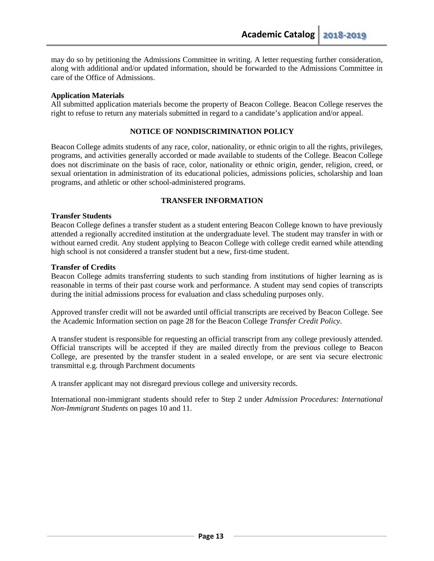may do so by petitioning the Admissions Committee in writing. A letter requesting further consideration, along with additional and/or updated information, should be forwarded to the Admissions Committee in care of the Office of Admissions.

#### **Application Materials**

All submitted application materials become the property of Beacon College. Beacon College reserves the right to refuse to return any materials submitted in regard to a candidate's application and/or appeal.

#### **NOTICE OF NONDISCRIMINATION POLICY**

Beacon College admits students of any race, color, nationality, or ethnic origin to all the rights, privileges, programs, and activities generally accorded or made available to students of the College. Beacon College does not discriminate on the basis of race, color, nationality or ethnic origin, gender, religion, creed, or sexual orientation in administration of its educational policies, admissions policies, scholarship and loan programs, and athletic or other school-administered programs.

#### **TRANSFER INFORMATION**

#### **Transfer Students**

Beacon College defines a transfer student as a student entering Beacon College known to have previously attended a regionally accredited institution at the undergraduate level. The student may transfer in with or without earned credit. Any student applying to Beacon College with college credit earned while attending high school is not considered a transfer student but a new, first-time student.

#### **Transfer of Credits**

Beacon College admits transferring students to such standing from institutions of higher learning as is reasonable in terms of their past course work and performance. A student may send copies of transcripts during the initial admissions process for evaluation and class scheduling purposes only.

Approved transfer credit will not be awarded until official transcripts are received by Beacon College. See the Academic Information section on page 28 for the Beacon College *Transfer Credit Policy*.

A transfer student is responsible for requesting an official transcript from any college previously attended. Official transcripts will be accepted if they are mailed directly from the previous college to Beacon College, are presented by the transfer student in a sealed envelope, or are sent via secure electronic transmittal e.g. through Parchment documents

A transfer applicant may not disregard previous college and university records.

International non-immigrant students should refer to Step 2 under *Admission Procedures: International Non-Immigrant Students* on pages 10 and 11.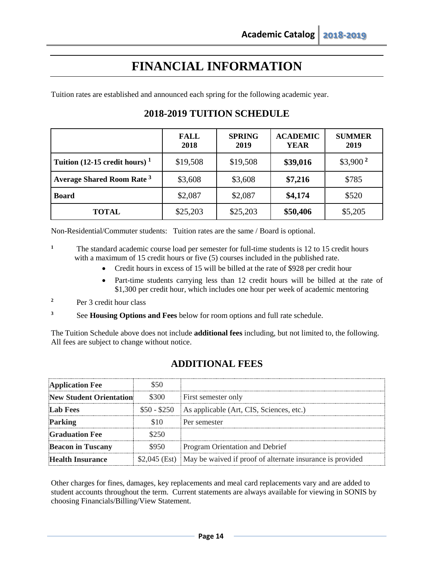# **FINANCIAL INFORMATION**

<span id="page-13-0"></span>Tuition rates are established and announced each spring for the following academic year.

|                                             | <b>FALL</b><br>2018 | <b>SPRING</b><br>2019 | <b>ACADEMIC</b><br><b>YEAR</b> | <b>SUMMER</b><br>2019 |
|---------------------------------------------|---------------------|-----------------------|--------------------------------|-----------------------|
| Tuition (12-15 credit hours) $1$            | \$19,508            | \$19,508              | \$39,016                       | $$3,900^2$            |
| <b>Average Shared Room Rate<sup>3</sup></b> | \$3,608             | \$3,608               | \$7,216                        | \$785                 |
| <b>Board</b>                                | \$2,087             | \$2,087               | \$4,174                        | \$520                 |
| <b>TOTAL</b>                                | \$25,203            | \$25,203              | \$50,406                       | \$5,205               |

# **2018-2019 TUITION SCHEDULE**

Non-Residential/Commuter students: Tuition rates are the same / Board is optional.

<sup>1</sup> The standard academic course load per semester for full-time students is 12 to 15 credit hours with a maximum of 15 credit hours or five (5) courses included in the published rate.

- Credit hours in excess of 15 will be billed at the rate of \$928 per credit hour
- Part-time students carrying less than 12 credit hours will be billed at the rate of \$1,300 per credit hour, which includes one hour per week of academic mentoring
- <sup>2</sup> Per 3 credit hour class
- **<sup>3</sup>** See **Housing Options and Fees** below for room options and full rate schedule.

The Tuition Schedule above does not include **additional fees** including, but not limited to, the following. All fees are subject to change without notice.

# **ADDITIONAL FEES**

| <b>Application Fee</b>         |       |                                                                         |
|--------------------------------|-------|-------------------------------------------------------------------------|
| <b>New Student Orientation</b> | \$300 | <b>First semester only</b>                                              |
| <b>Lab Fees</b>                |       | \$50 - \$250 As applicable (Art, CIS, Sciences, etc.)                   |
| Parking                        |       | Per semester                                                            |
| <b>Graduation Fee</b>          | \$250 |                                                                         |
| <b>Beacon in Tuscany</b>       | \$950 | Program Orientation and Debrief                                         |
| <b>Health Insurance</b>        |       | \$2,045 (Est) May be waived if proof of alternate insurance is provided |

Other charges for fines, damages, key replacements and meal card replacements vary and are added to student accounts throughout the term. Current statements are always available for viewing in SONIS by choosing Financials/Billing/View Statement.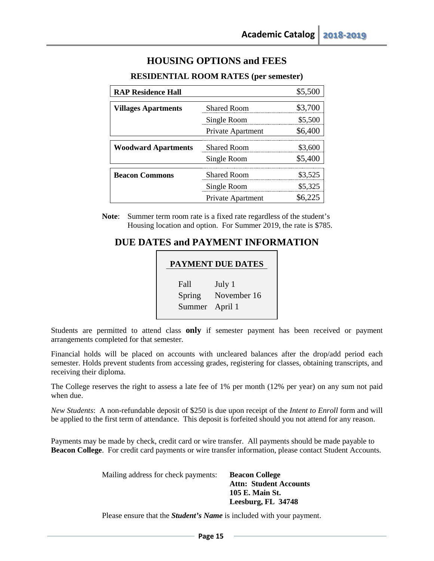# **HOUSING OPTIONS and FEES**

| <b>RAP Residence Hall</b>  |                    | \$5,500 |
|----------------------------|--------------------|---------|
| <b>Villages Apartments</b> | <b>Shared Room</b> | \$3,700 |
|                            | Single Room        | \$5,500 |
|                            | Private Apartment  | \$6,400 |
| <b>Woodward Apartments</b> | <b>Shared Room</b> | \$3,600 |
|                            | Single Room        | \$5,400 |
| <b>Beacon Commons</b>      | <b>Shared Room</b> | \$3,525 |
|                            | Single Room        | \$5,325 |
|                            | Private Apartment  |         |

# **RESIDENTIAL ROOM RATES (per semester)**

**Note**: Summer term room rate is a fixed rate regardless of the student's Housing location and option. For Summer 2019, the rate is \$785.

# **DUE DATES and PAYMENT INFORMATION**

| <b>PAYMENT DUE DATES</b> |             |  |  |
|--------------------------|-------------|--|--|
| Fall                     | July 1      |  |  |
| Spring                   | November 16 |  |  |
| Summer                   | April 1     |  |  |

Students are permitted to attend class **only** if semester payment has been received or payment arrangements completed for that semester.

Financial holds will be placed on accounts with uncleared balances after the drop/add period each semester. Holds prevent students from accessing grades, registering for classes, obtaining transcripts, and receiving their diploma.

The College reserves the right to assess a late fee of 1% per month (12% per year) on any sum not paid when due.

*New Students*: A non-refundable deposit of \$250 is due upon receipt of the *Intent to Enroll* form and will be applied to the first term of attendance. This deposit is forfeited should you not attend for any reason.

Payments may be made by check, credit card or wire transfer. All payments should be made payable to **Beacon College**. For credit card payments or wire transfer information, please contact Student Accounts.

> Mailing address for check payments: **Beacon College Attn: Student Accounts 105 E. Main St. Leesburg, FL 34748**

Please ensure that the *Student's Name* is included with your payment.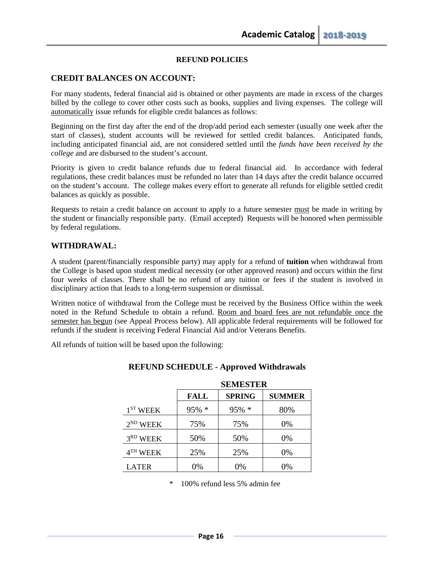## **REFUND POLICIES**

# **CREDIT BALANCES ON ACCOUNT:**

For many students, federal financial aid is obtained or other payments are made in excess of the charges billed by the college to cover other costs such as books, supplies and living expenses. The college will automatically issue refunds for eligible credit balances as follows:

Beginning on the first day after the end of the drop/add period each semester (usually one week after the start of classes), student accounts will be reviewed for settled credit balances. Anticipated funds, including anticipated financial aid, are not considered settled until the *funds have been received by the college* and are disbursed to the student's account.

Priority is given to credit balance refunds due to federal financial aid. In accordance with federal regulations, these credit balances must be refunded no later than 14 days after the credit balance occurred on the student's account. The college makes every effort to generate all refunds for eligible settled credit balances as quickly as possible.

Requests to retain a credit balance on account to apply to a future semester must be made in writing by the student or financially responsible party. (Email accepted) Requests will be honored when permissible by federal regulations.

## **WITHDRAWAL:**

A student (parent/financially responsible party) may apply for a refund of **tuition** when withdrawal from the College is based upon student medical necessity (or other approved reason) and occurs within the first four weeks of classes. There shall be no refund of any tuition or fees if the student is involved in disciplinary action that leads to a long-term suspension or dismissal.

Written notice of withdrawal from the College must be received by the Business Office within the week noted in the Refund Schedule to obtain a refund. Room and board fees are not refundable once the semester has begun (see Appeal Process below). All applicable federal requirements will be followed for refunds if the student is receiving Federal Financial Aid and/or Veterans Benefits.

All refunds of tuition will be based upon the following:

|                      | <b>SEMESTER</b> |               |               |
|----------------------|-----------------|---------------|---------------|
|                      | FALL            | <b>SPRING</b> | <b>SUMMER</b> |
| 1 <sup>ST</sup> WEEK | $95\% *$        | $95\% *$      | 80%           |
| $2^{ND}$ WEEK        | 75%             | 75%           | 0%            |
| 3 <sup>RD</sup> WEEK | 50%             | 50%           | 0%            |
| 4 <sup>TH</sup> WEEK | 25%             | 25%           | 0%            |
| LATER                | 0%              | 0%            | 0%            |

#### **REFUND SCHEDULE - Approved Withdrawals**

\* 100% refund less 5% admin fee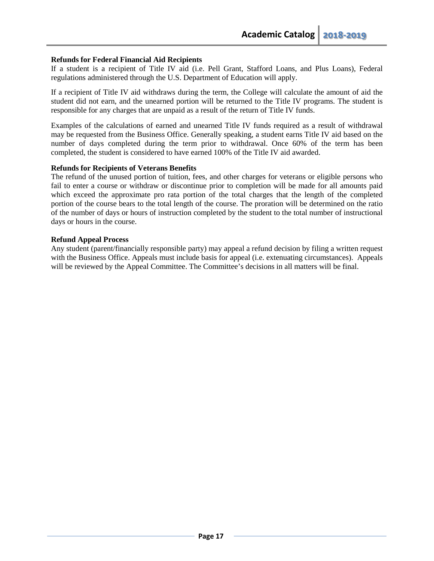## **Refunds for Federal Financial Aid Recipients**

If a student is a recipient of Title IV aid (i.e. Pell Grant, Stafford Loans, and Plus Loans), Federal regulations administered through the U.S. Department of Education will apply.

If a recipient of Title IV aid withdraws during the term, the College will calculate the amount of aid the student did not earn, and the unearned portion will be returned to the Title IV programs. The student is responsible for any charges that are unpaid as a result of the return of Title IV funds.

Examples of the calculations of earned and unearned Title IV funds required as a result of withdrawal may be requested from the Business Office. Generally speaking, a student earns Title IV aid based on the number of days completed during the term prior to withdrawal. Once 60% of the term has been completed, the student is considered to have earned 100% of the Title IV aid awarded.

#### **Refunds for Recipients of Veterans Benefits**

The refund of the unused portion of tuition, fees, and other charges for veterans or eligible persons who fail to enter a course or withdraw or discontinue prior to completion will be made for all amounts paid which exceed the approximate pro rata portion of the total charges that the length of the completed portion of the course bears to the total length of the course. The proration will be determined on the ratio of the number of days or hours of instruction completed by the student to the total number of instructional days or hours in the course.

#### **Refund Appeal Process**

Any student (parent/financially responsible party) may appeal a refund decision by filing a written request with the Business Office. Appeals must include basis for appeal (i.e. extenuating circumstances). Appeals will be reviewed by the Appeal Committee. The Committee's decisions in all matters will be final.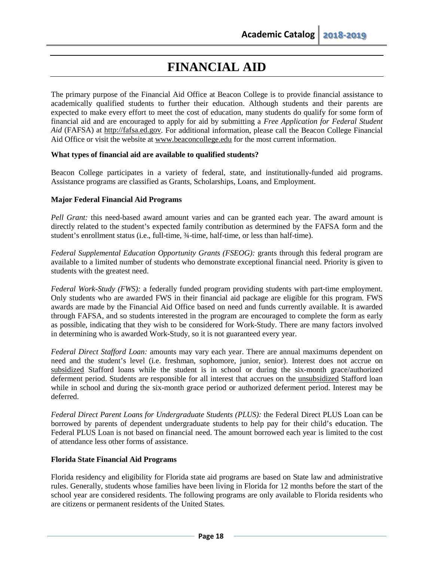# **FINANCIAL AID**

The primary purpose of the Financial Aid Office at Beacon College is to provide financial assistance to academically qualified students to further their education. Although students and their parents are expected to make every effort to meet the cost of education, many students do qualify for some form of financial aid and are encouraged to apply for aid by submitting a *Free Application for Federal Student Aid* (FAFSA) at [http://fafsa.ed.gov.](http://fafsa.ed.gov/) For additional information, please call the Beacon College Financial Aid Office or visit the website at [www.beaconcollege.edu](http://www.beaconcollege.edu/) for the most current information.

#### **What types of financial aid are available to qualified students?**

Beacon College participates in a variety of federal, state, and institutionally-funded aid programs. Assistance programs are classified as Grants, Scholarships, Loans, and Employment.

#### **Major Federal Financial Aid Programs**

*Pell Grant:* this need-based award amount varies and can be granted each year. The award amount is directly related to the student's expected family contribution as determined by the FAFSA form and the student's enrollment status (i.e., full-time, ¾-time, half-time, or less than half-time).

*Federal Supplemental Education Opportunity Grants (FSEOG):* grants through this federal program are available to a limited number of students who demonstrate exceptional financial need. Priority is given to students with the greatest need.

*Federal Work-Study (FWS):* a federally funded program providing students with part-time employment. Only students who are awarded FWS in their financial aid package are eligible for this program. FWS awards are made by the Financial Aid Office based on need and funds currently available. It is awarded through FAFSA, and so students interested in the program are encouraged to complete the form as early as possible, indicating that they wish to be considered for Work-Study. There are many factors involved in determining who is awarded Work-Study, so it is not guaranteed every year.

*Federal Direct Stafford Loan:* amounts may vary each year. There are annual maximums dependent on need and the student's level (i.e. freshman, sophomore, junior, senior). Interest does not accrue on subsidized Stafford loans while the student is in school or during the six-month grace/authorized deferment period. Students are responsible for all interest that accrues on the unsubsidized Stafford loan while in school and during the six-month grace period or authorized deferment period. Interest may be deferred.

*Federal Direct Parent Loans for Undergraduate Students (PLUS):* the Federal Direct PLUS Loan can be borrowed by parents of dependent undergraduate students to help pay for their child's education. The Federal PLUS Loan is not based on financial need. The amount borrowed each year is limited to the cost of attendance less other forms of assistance.

#### **Florida State Financial Aid Programs**

Florida residency and eligibility for Florida state aid programs are based on State law and administrative rules. Generally, students whose families have been living in Florida for 12 months before the start of the school year are considered residents. The following programs are only available to Florida residents who are citizens or permanent residents of the United States.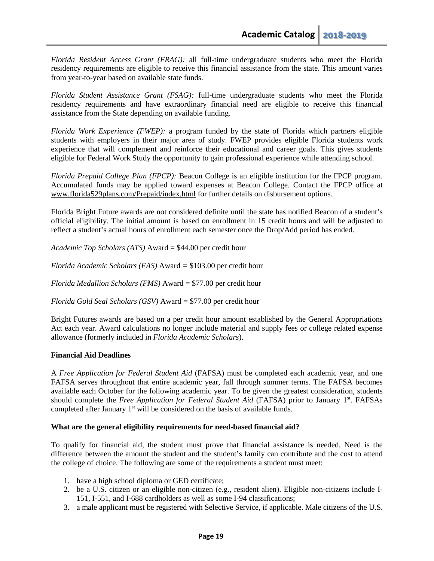*Florida Resident Access Grant (FRAG):* all full-time undergraduate students who meet the Florida residency requirements are eligible to receive this financial assistance from the state. This amount varies from year-to-year based on available state funds.

*Florida Student Assistance Grant (FSAG):* full-time undergraduate students who meet the Florida residency requirements and have extraordinary financial need are eligible to receive this financial assistance from the State depending on available funding.

*Florida Work Experience (FWEP):* a program funded by the state of Florida which partners eligible students with employers in their major area of study. FWEP provides eligible Florida students work experience that will complement and reinforce their educational and career goals. This gives students eligible for Federal Work Study the opportunity to gain professional experience while attending school.

*Florida Prepaid College Plan (FPCP):* Beacon College is an eligible institution for the FPCP program. Accumulated funds may be applied toward expenses at Beacon College. Contact the FPCP office at [www.florida529plans.com/Prepaid/index.html](http://www.florida529plans.com/Prepaid/index.html) for further details on disbursement options.

Florida Bright Future awards are not considered definite until the state has notified Beacon of a student's official eligibility. The initial amount is based on enrollment in 15 credit hours and will be adjusted to reflect a student's actual hours of enrollment each semester once the Drop/Add period has ended.

*Academic Top Scholars (ATS)* Award = \$44.00 per credit hour

*Florida Academic Scholars (FAS)* Award *=* \$103.00 per credit hour

*Florida Medallion Scholars (FMS)* Award = \$77.00 per credit hour

*Florida Gold Seal Scholars (GSV)* Award = \$77.00 per credit hour

Bright Futures awards are based on a per credit hour amount established by the General Appropriations Act each year. Award calculations no longer include material and supply fees or college related expense allowance (formerly included in *Florida Academic Scholars*).

#### **Financial Aid Deadlines**

A *Free Application for Federal Student Aid* (FAFSA) must be completed each academic year, and one FAFSA serves throughout that entire academic year, fall through summer terms. The FAFSA becomes available each October for the following academic year. To be given the greatest consideration, students should complete the *Free Application for Federal Student Aid* (FAFSA) prior to January 1<sup>st</sup>. FAFSAs completed after January 1<sup>st</sup> will be considered on the basis of available funds.

#### **What are the general eligibility requirements for need-based financial aid?**

To qualify for financial aid, the student must prove that financial assistance is needed. Need is the difference between the amount the student and the student's family can contribute and the cost to attend the college of choice. The following are some of the requirements a student must meet:

- 1. have a high school diploma or GED certificate;
- 2. be a U.S. citizen or an eligible non-citizen (e.g., resident alien). Eligible non-citizens include I-151, I-551, and I-688 cardholders as well as some I-94 classifications;
- 3. a male applicant must be registered with Selective Service, if applicable. Male citizens of the U.S.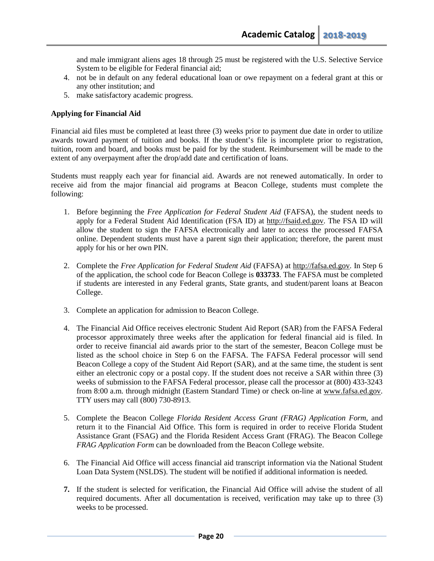and male immigrant aliens ages 18 through 25 must be registered with the U.S. Selective Service System to be eligible for Federal financial aid;

- 4. not be in default on any federal educational loan or owe repayment on a federal grant at this or any other institution; and
- 5. make satisfactory academic progress.

#### **Applying for Financial Aid**

Financial aid files must be completed at least three (3) weeks prior to payment due date in order to utilize awards toward payment of tuition and books. If the student's file is incomplete prior to registration, tuition, room and board, and books must be paid for by the student. Reimbursement will be made to the extent of any overpayment after the drop/add date and certification of loans.

Students must reapply each year for financial aid. Awards are not renewed automatically. In order to receive aid from the major financial aid programs at Beacon College, students must complete the following:

- 1. Before beginning the *Free Application for Federal Student Aid* (FAFSA), the student needs to apply for a Federal Student Aid Identification (FSA ID) at [http://fsaid.ed.gov.](http://fsaid.ed.gov/) The FSA ID will allow the student to sign the FAFSA electronically and later to access the processed FAFSA online. Dependent students must have a parent sign their application; therefore, the parent must apply for his or her own PIN.
- 2. Complete the *Free Application for Federal Student Aid* (FAFSA) at [http://fafsa.ed.gov.](http://fafsa.ed.gov/) In Step 6 of the application, the school code for Beacon College is **033733**. The FAFSA must be completed if students are interested in any Federal grants, State grants, and student/parent loans at Beacon College.
- 3. Complete an application for admission to Beacon College.
- 4. The Financial Aid Office receives electronic Student Aid Report (SAR) from the FAFSA Federal processor approximately three weeks after the application for federal financial aid is filed. In order to receive financial aid awards prior to the start of the semester, Beacon College must be listed as the school choice in Step 6 on the FAFSA. The FAFSA Federal processor will send Beacon College a copy of the Student Aid Report (SAR), and at the same time, the student is sent either an electronic copy or a postal copy. If the student does not receive a SAR within three (3) weeks of submission to the FAFSA Federal processor, please call the processor at (800) 433-3243 from 8:00 a.m. through midnight (Eastern Standard Time) or check on-line at [www.fafsa.ed.gov.](http://www.fafsa.ed.gov/) TTY users may call (800) 730-8913.
- 5. Complete the Beacon College *Florida Resident Access Grant (FRAG) Application Form*, and return it to the Financial Aid Office. This form is required in order to receive Florida Student Assistance Grant (FSAG) and the Florida Resident Access Grant (FRAG). The Beacon College *FRAG [Application F](http://www.beaconcollege.edu/pdf_financialaid/finaid_frag_app.pdf)orm* can be downloaded from the Beacon College website.
- 6. The Financial Aid Office will access financial aid transcript information via the National Student Loan Data System (NSLDS). The student will be notified if additional information is needed.
- **7.** If the student is selected for verification, the Financial Aid Office will advise the student of all required documents. After all documentation is received, verification may take up to three (3) weeks to be processed.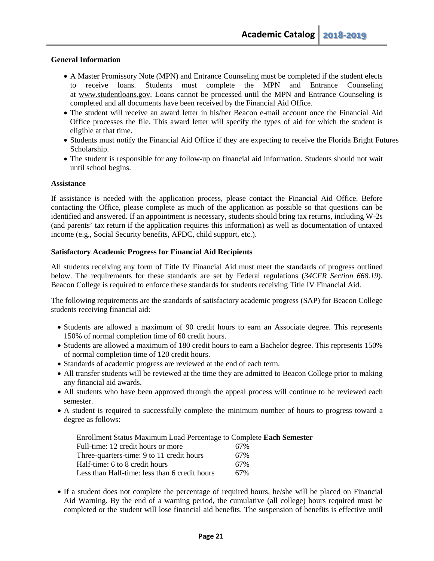#### **General Information**

- A Master Promissory Note (MPN) and Entrance Counseling must be completed if the student elects to receive loans. Students must complete the MPN and Entrance Counseling at [www.studentloans.gov.](http://www.studentloans.gov/) Loans cannot be processed until the MPN and Entrance Counseling is completed and all documents have been received by the Financial Aid Office.
- The student will receive an award letter in his/her Beacon e-mail account once the Financial Aid Office processes the file. This award letter will specify the types of aid for which the student is eligible at that time.
- Students must notify the Financial Aid Office if they are expecting to receive the Florida Bright Futures Scholarship.
- The student is responsible for any follow-up on financial aid information. Students should not wait until school begins.

#### **Assistance**

If assistance is needed with the application process, please contact the Financial Aid Office. Before contacting the Office, please complete as much of the application as possible so that questions can be identified and answered. If an appointment is necessary, students should bring tax returns, including W-2s (and parents' tax return if the application requires this information) as well as documentation of untaxed income (e.g., Social Security benefits, AFDC, child support, etc.).

#### **Satisfactory Academic Progress for Financial Aid Recipients**

All students receiving any form of Title IV Financial Aid must meet the standards of progress outlined below. The requirements for these standards are set by Federal regulations (*34CFR Section 668.19*). Beacon College is required to enforce these standards for students receiving Title IV Financial Aid.

The following requirements are the standards of satisfactory academic progress (SAP) for Beacon College students receiving financial aid:

- Students are allowed a maximum of 90 credit hours to earn an Associate degree. This represents 150% of normal completion time of 60 credit hours.
- Students are allowed a maximum of 180 credit hours to earn a Bachelor degree. This represents 150% of normal completion time of 120 credit hours.
- Standards of academic progress are reviewed at the end of each term.
- All transfer students will be reviewed at the time they are admitted to Beacon College prior to making any financial aid awards.
- All students who have been approved through the appeal process will continue to be reviewed each semester.
- A student is required to successfully complete the minimum number of hours to progress toward a degree as follows:

| Enrollment Status Maximum Load Percentage to Complete Each Semester |     |
|---------------------------------------------------------------------|-----|
| Full-time: 12 credit hours or more                                  | 67% |
| Three-quarters-time: 9 to 11 credit hours                           | 67% |
| Half-time: 6 to 8 credit hours                                      | 67% |
| Less than Half-time: less than 6 credit hours                       | 67% |

• If a student does not complete the percentage of required hours, he/she will be placed on Financial Aid Warning. By the end of a warning period, the cumulative (all college) hours required must be completed or the student will lose financial aid benefits. The suspension of benefits is effective until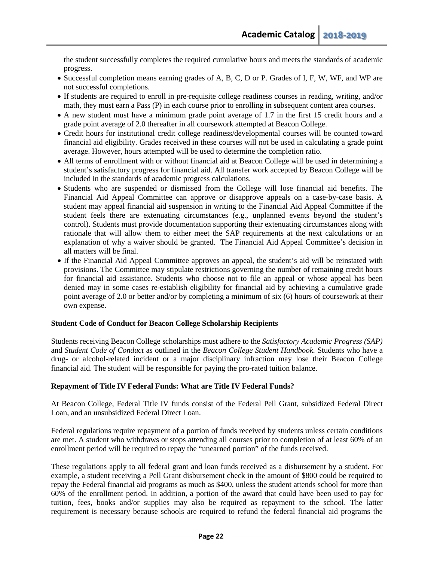the student successfully completes the required cumulative hours and meets the standards of academic progress.

- Successful completion means earning grades of A, B, C, D or P. Grades of I, F, W, WF, and WP are not successful completions.
- If students are required to enroll in pre-requisite college readiness courses in reading, writing, and/or math, they must earn a Pass (P) in each course prior to enrolling in subsequent content area courses.
- A new student must have a minimum grade point average of 1.7 in the first 15 credit hours and a grade point average of 2.0 thereafter in all coursework attempted at Beacon College.
- Credit hours for institutional credit college readiness/developmental courses will be counted toward financial aid eligibility. Grades received in these courses will not be used in calculating a grade point average. However, hours attempted will be used to determine the completion ratio.
- All terms of enrollment with or without financial aid at Beacon College will be used in determining a student's satisfactory progress for financial aid. All transfer work accepted by Beacon College will be included in the standards of academic progress calculations.
- Students who are suspended or dismissed from the College will lose financial aid benefits. The Financial Aid Appeal Committee can approve or disapprove appeals on a case-by-case basis. A student may appeal financial aid suspension in writing to the Financial Aid Appeal Committee if the student feels there are extenuating circumstances (e.g., unplanned events beyond the student's control). Students must provide documentation supporting their extenuating circumstances along with rationale that will allow them to either meet the SAP requirements at the next calculations or an explanation of why a waiver should be granted. The Financial Aid Appeal Committee's decision in all matters will be final.
- If the Financial Aid Appeal Committee approves an appeal, the student's aid will be reinstated with provisions. The Committee may stipulate restrictions governing the number of remaining credit hours for financial aid assistance. Students who choose not to file an appeal or whose appeal has been denied may in some cases re-establish eligibility for financial aid by achieving a cumulative grade point average of 2.0 or better and/or by completing a minimum of six (6) hours of coursework at their own expense.

#### **Student Code of Conduct for Beacon College Scholarship Recipients**

Students receiving Beacon College scholarships must adhere to the *Satisfactory Academic Progress (SAP)* and *Student Code of Conduct* as outlined in the *Beacon College Student Handbook.* Students who have a drug- or alcohol-related incident or a major disciplinary infraction may lose their Beacon College financial aid. The student will be responsible for paying the pro-rated tuition balance.

#### **Repayment of Title IV Federal Funds: What are Title IV Federal Funds?**

At Beacon College, Federal Title IV funds consist of the Federal Pell Grant, subsidized Federal Direct Loan, and an unsubsidized Federal Direct Loan.

Federal regulations require repayment of a portion of funds received by students unless certain conditions are met. A student who withdraws or stops attending all courses prior to completion of at least 60% of an enrollment period will be required to repay the "unearned portion" of the funds received.

These regulations apply to all federal grant and loan funds received as a disbursement by a student. For example, a student receiving a Pell Grant disbursement check in the amount of \$800 could be required to repay the Federal financial aid programs as much as \$400, unless the student attends school for more than 60% of the enrollment period. In addition, a portion of the award that could have been used to pay for tuition, fees, books and/or supplies may also be required as repayment to the school. The latter requirement is necessary because schools are required to refund the federal financial aid programs the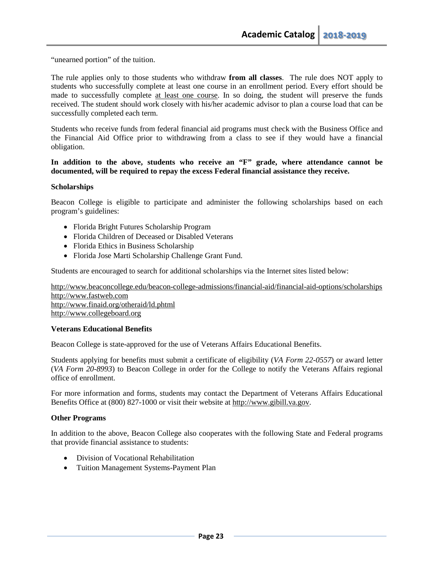"unearned portion" of the tuition.

The rule applies only to those students who withdraw **from all classes**. The rule does NOT apply to students who successfully complete at least one course in an enrollment period. Every effort should be made to successfully complete at least one course. In so doing, the student will preserve the funds received. The student should work closely with his/her academic advisor to plan a course load that can be successfully completed each term.

Students who receive funds from federal financial aid programs must check with the Business Office and the Financial Aid Office prior to withdrawing from a class to see if they would have a financial obligation.

**In addition to the above, students who receive an "F" grade, where attendance cannot be documented, will be required to repay the excess Federal financial assistance they receive.**

#### **Scholarships**

Beacon College is eligible to participate and administer the following scholarships based on each program's guidelines:

- Florida Bright Futures Scholarship Program
- Florida Children of Deceased or Disabled Veterans
- Florida Ethics in Business Scholarship
- Florida Jose Marti Scholarship Challenge Grant Fund.

Students are encouraged to search for additional scholarships via the Internet sites listed below:

http://www.beaconcollege.edu/beacon-college-admissions/financial-aid/financial-aid-options/scholarships http://www.fastweb.com http://www.finaid.org/otheraid/ld.phtml [http://www.collegeboard.org](http://www.collegeboard.org/)

#### **Veterans Educational Benefits**

Beacon College is state-approved for the use of Veterans Affairs Educational Benefits.

Students applying for benefits must submit a certificate of eligibility (*VA Form 22-0557*) or award letter (*VA Form 20-8993*) to Beacon College in order for the College to notify the Veterans Affairs regional office of enrollment.

For more information and forms, students may contact the Department of Veterans Affairs Educational Benefits Office at (800) 827-1000 or visit their website at [http://www.gibill.va.gov.](http://www.gibill.va.gov/)

#### **Other Programs**

In addition to the above, Beacon College also cooperates with the following State and Federal programs that provide financial assistance to students:

- Division of Vocational Rehabilitation
- Tuition Management Systems-Payment Plan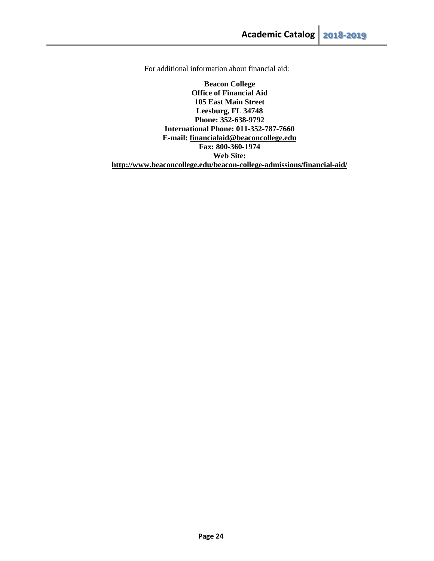For additional information about financial aid:

**Beacon College Office of Financial Aid 105 East Main Street Leesburg, FL 34748 Phone: 352-638-9792 International Phone: 011-352-787-7660 E-mail: [financialaid@beaconcollege.edu](mailto:financialaid@beaconcollege.edu) Fax: 800-360-1974 Web Site: http://www.beaconcollege.edu/beacon-college-admissions/financial-aid/**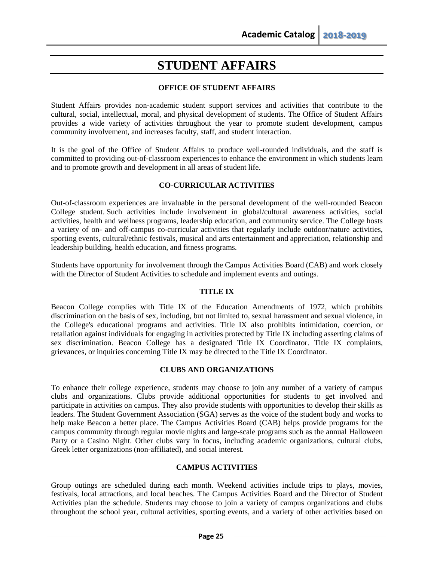# **STUDENT AFFAIRS**

# **OFFICE OF STUDENT AFFAIRS**

<span id="page-24-0"></span>Student Affairs provides non-academic student support services and activities that contribute to the cultural, social, intellectual, moral, and physical development of students. The Office of Student Affairs provides a wide variety of activities throughout the year to promote student development, campus community involvement, and increases faculty, staff, and student interaction.

It is the goal of the Office of Student Affairs to produce well-rounded individuals, and the staff is committed to providing out-of-classroom experiences to enhance the environment in which students learn and to promote growth and development in all areas of student life.

## **CO-CURRICULAR ACTIVITIES**

Out-of-classroom experiences are invaluable in the personal development of the well-rounded Beacon College student. Such activities include involvement in global/cultural awareness activities, social activities, health and wellness programs, leadership education, and community service. The College hosts a variety of on- and off-campus co-curricular activities that regularly include outdoor/nature activities, sporting events, cultural/ethnic festivals, musical and arts entertainment and appreciation, relationship and leadership building, health education, and fitness programs.

Students have opportunity for involvement through the Campus Activities Board (CAB) and work closely with the Director of Student Activities to schedule and implement events and outings.

#### **TITLE IX**

Beacon College complies with Title IX of the Education Amendments of 1972, which prohibits discrimination on the basis of sex, including, but not limited to, sexual harassment and sexual violence, in the College's educational programs and activities. Title IX also prohibits intimidation, coercion, or retaliation against individuals for engaging in activities protected by Title IX including asserting claims of sex discrimination. Beacon College has a designated Title IX Coordinator. Title IX complaints, grievances, or inquiries concerning Title IX may be directed to the Title IX Coordinator.

#### **CLUBS AND ORGANIZATIONS**

To enhance their college experience, students may choose to join any number of a variety of campus clubs and organizations. Clubs provide additional opportunities for students to get involved and participate in activities on campus. They also provide students with opportunities to develop their skills as leaders. The Student Government Association (SGA) serves as the voice of the student body and works to help make Beacon a better place. The Campus Activities Board (CAB) helps provide programs for the campus community through regular movie nights and large-scale programs such as the annual Halloween Party or a Casino Night. Other clubs vary in focus, including academic organizations, cultural clubs, Greek letter organizations (non-affiliated), and social interest.

## **CAMPUS ACTIVITIES**

Group outings are scheduled during each month. Weekend activities include trips to plays, movies, festivals, local attractions, and local beaches. The Campus Activities Board and the Director of Student Activities plan the schedule. Students may choose to join a variety of campus organizations and clubs throughout the school year, cultural activities, sporting events, and a variety of other activities based on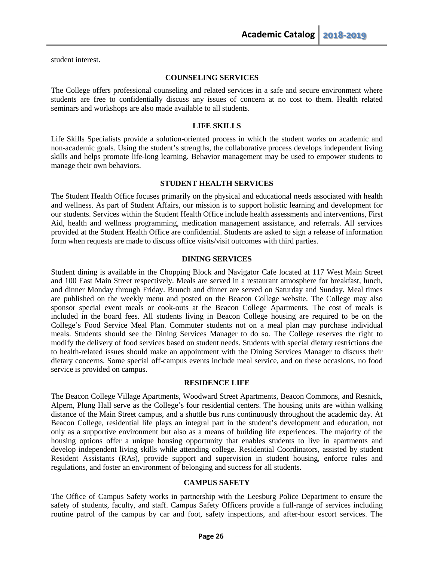student interest.

#### **COUNSELING SERVICES**

The College offers professional counseling and related services in a safe and secure environment where students are free to confidentially discuss any issues of concern at no cost to them. Health related seminars and workshops are also made available to all students.

#### **LIFE SKILLS**

Life Skills Specialists provide a solution-oriented process in which the student works on academic and non-academic goals. Using the student's strengths, the collaborative process develops independent living skills and helps promote life-long learning. Behavior management may be used to empower students to manage their own behaviors.

#### **STUDENT HEALTH SERVICES**

The Student Health Office focuses primarily on the physical and educational needs associated with health and wellness. As part of Student Affairs, our mission is to support holistic learning and development for our students. Services within the Student Health Office include health assessments and interventions, First Aid, health and wellness programming, medication management assistance, and referrals. All services provided at the Student Health Office are confidential. Students are asked to sign a release of information form when requests are made to discuss office visits/visit outcomes with third parties.

#### **DINING SERVICES**

Student dining is available in the Chopping Block and Navigator Cafe located at 117 West Main Street and 100 East Main Street respectively. Meals are served in a restaurant atmosphere for breakfast, lunch, and dinner Monday through Friday. Brunch and dinner are served on Saturday and Sunday. Meal times are published on the weekly menu and posted on the Beacon College website. The College may also sponsor special event meals or cook-outs at the Beacon College Apartments. The cost of meals is included in the board fees. All students living in Beacon College housing are required to be on the College's Food Service Meal Plan. Commuter students not on a meal plan may purchase individual meals. Students should see the Dining Services Manager to do so. The College reserves the right to modify the delivery of food services based on student needs. Students with special dietary restrictions due to health-related issues should make an appointment with the Dining Services Manager to discuss their dietary concerns. Some special off-campus events include meal service, and on these occasions, no food service is provided on campus.

#### **RESIDENCE LIFE**

The Beacon College Village Apartments, Woodward Street Apartments, Beacon Commons, and Resnick, Alpern, Plung Hall serve as the College's four residential centers. The housing units are within walking distance of the Main Street campus, and a shuttle bus runs continuously throughout the academic day. At Beacon College, residential life plays an integral part in the student's development and education, not only as a supportive environment but also as a means of building life experiences. The majority of the housing options offer a unique housing opportunity that enables students to live in apartments and develop independent living skills while attending college. Residential Coordinators, assisted by student Resident Assistants (RAs), provide support and supervision in student housing, enforce rules and regulations, and foster an environment of belonging and success for all students.

#### **CAMPUS SAFETY**

The Office of Campus Safety works in partnership with the Leesburg Police Department to ensure the safety of students, faculty, and staff. Campus Safety Officers provide a full-range of services including routine patrol of the campus by car and foot, safety inspections, and after-hour escort services. The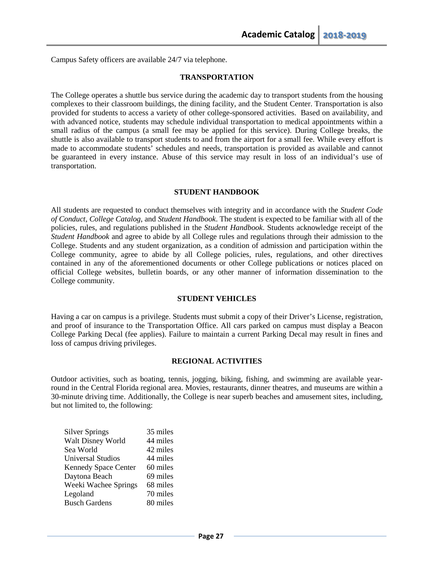Campus Safety officers are available 24/7 via telephone.

#### **TRANSPORTATION**

The College operates a shuttle bus service during the academic day to transport students from the housing complexes to their classroom buildings, the dining facility, and the Student Center. Transportation is also provided for students to access a variety of other college-sponsored activities. Based on availability, and with advanced notice, students may schedule individual transportation to medical appointments within a small radius of the campus (a small fee may be applied for this service). During College breaks, the shuttle is also available to transport students to and from the airport for a small fee. While every effort is made to accommodate students' schedules and needs, transportation is provided as available and cannot be guaranteed in every instance. Abuse of this service may result in loss of an individual's use of transportation.

#### **STUDENT HANDBOOK**

All students are requested to conduct themselves with integrity and in accordance with the *Student Code of Conduct*, *College Catalog*, and *Student Handbook*. The student is expected to be familiar with all of the policies, rules, and regulations published in the *Student Handbook*. Students acknowledge receipt of the *Student Handbook* and agree to abide by all College rules and regulations through their admission to the College. Students and any student organization, as a condition of admission and participation within the College community, agree to abide by all College policies, rules, regulations, and other directives contained in any of the aforementioned documents or other College publications or notices placed on official College websites, bulletin boards, or any other manner of information dissemination to the College community.

#### **STUDENT VEHICLES**

Having a car on campus is a privilege. Students must submit a copy of their Driver's License, registration, and proof of insurance to the Transportation Office. All cars parked on campus must display a Beacon College Parking Decal (fee applies). Failure to maintain a current Parking Decal may result in fines and loss of campus driving privileges.

#### **REGIONAL ACTIVITIES**

Outdoor activities, such as boating, tennis, jogging, biking, fishing, and swimming are available yearround in the Central Florida regional area. Movies, restaurants, dinner theatres, and museums are within a 30-minute driving time. Additionally, the College is near superb beaches and amusement sites, including, but not limited to, the following:

| 35 miles |
|----------|
| 44 miles |
| 42 miles |
| 44 miles |
| 60 miles |
| 69 miles |
| 68 miles |
| 70 miles |
| 80 miles |
|          |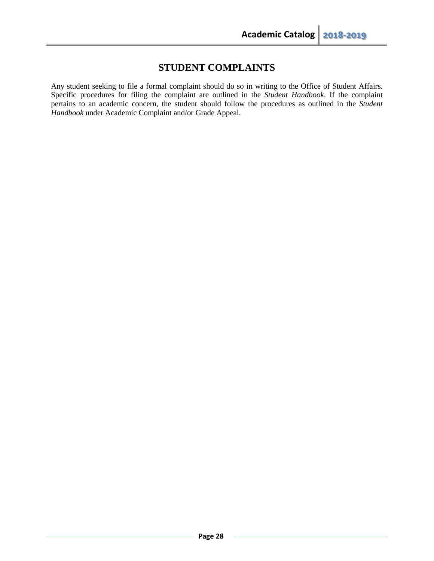# **STUDENT COMPLAINTS**

Any student seeking to file a formal complaint should do so in writing to the Office of Student Affairs. Specific procedures for filing the complaint are outlined in the *Student Handbook*. If the complaint pertains to an academic concern, the student should follow the procedures as outlined in the *Student Handbook* under Academic Complaint and/or Grade Appeal.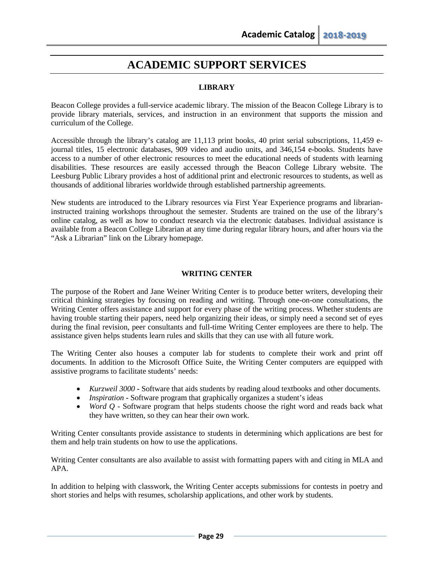# **ACADEMIC SUPPORT SERVICES**

# **LIBRARY**

Beacon College provides a full-service academic library. The mission of the Beacon College Library is to provide library materials, services, and instruction in an environment that supports the mission and curriculum of the College.

Accessible through the library's catalog are 11,113 print books, 40 print serial subscriptions, 11,459 ejournal titles, 15 electronic databases, 909 video and audio units, and 346,154 e-books. Students have access to a number of other electronic resources to meet the educational needs of students with learning disabilities. These resources are easily accessed through the Beacon College Library website. The Leesburg Public Library provides a host of additional print and electronic resources to students, as well as thousands of additional libraries worldwide through established partnership agreements.

New students are introduced to the Library resources via First Year Experience programs and librarianinstructed training workshops throughout the semester. Students are trained on the use of the library's online catalog, as well as how to conduct research via the electronic databases. Individual assistance is available from a Beacon College Librarian at any time during regular library hours, and after hours via the "Ask a Librarian" link on the Library homepage.

#### **WRITING CENTER**

The purpose of the Robert and Jane Weiner Writing Center is to produce better writers, developing their critical thinking strategies by focusing on reading and writing. Through one-on-one consultations, the Writing Center offers assistance and support for every phase of the writing process. Whether students are having trouble starting their papers, need help organizing their ideas, or simply need a second set of eyes during the final revision, peer consultants and full-time Writing Center employees are there to help. The assistance given helps students learn rules and skills that they can use with all future work.

The Writing Center also houses a computer lab for students to complete their work and print off documents. In addition to the Microsoft Office Suite, the Writing Center computers are equipped with assistive programs to facilitate students' needs:

- *Kurzweil 3000* **-** Software that aids students by reading aloud textbooks and other documents.
- *Inspiration* **-** Software program that graphically organizes a student's ideas
- *Word Q -* Software program that helps students choose the right word and reads back what they have written, so they can hear their own work.

Writing Center consultants provide assistance to students in determining which applications are best for them and help train students on how to use the applications.

Writing Center consultants are also available to assist with formatting papers with and citing in MLA and APA.

In addition to helping with classwork, the Writing Center accepts submissions for contests in poetry and short stories and helps with resumes, scholarship applications, and other work by students.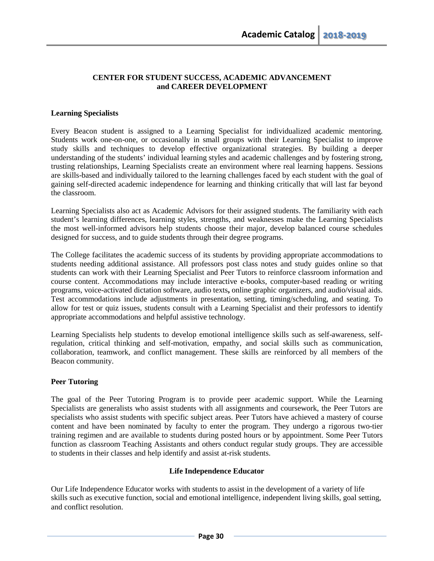#### **CENTER FOR STUDENT SUCCESS, ACADEMIC ADVANCEMENT and CAREER DEVELOPMENT**

## **Learning Specialists**

Every Beacon student is assigned to a Learning Specialist for individualized academic mentoring. Students work one-on-one, or occasionally in small groups with their Learning Specialist to improve study skills and techniques to develop effective organizational strategies. By building a deeper understanding of the students' individual learning styles and academic challenges and by fostering strong, trusting relationships, Learning Specialists create an environment where real learning happens. Sessions are skills-based and individually tailored to the learning challenges faced by each student with the goal of gaining self-directed academic independence for learning and thinking critically that will last far beyond the classroom.

Learning Specialists also act as Academic Advisors for their assigned students. The familiarity with each student's learning differences, learning styles, strengths, and weaknesses make the Learning Specialists the most well-informed advisors help students choose their major, develop balanced course schedules designed for success, and to guide students through their degree programs.

The College facilitates the academic success of its students by providing appropriate accommodations to students needing additional assistance. All professors post class notes and study guides online so that students can work with their Learning Specialist and Peer Tutors to reinforce classroom information and course content. Accommodations may include interactive e-books, computer-based reading or writing programs, voice-activated dictation software, audio texts**,** online graphic organizers, and audio/visual aids. Test accommodations include adjustments in presentation, setting, timing/scheduling, and seating. To allow for test or quiz issues, students consult with a Learning Specialist and their professors to identify appropriate accommodations and helpful assistive technology.

Learning Specialists help students to develop emotional intelligence skills such as self-awareness, selfregulation, critical thinking and self-motivation, empathy, and social skills such as communication, collaboration, teamwork, and conflict management. These skills are reinforced by all members of the Beacon community.

#### **Peer Tutoring**

The goal of the Peer Tutoring Program is to provide peer academic support. While the Learning Specialists are generalists who assist students with all assignments and coursework, the Peer Tutors are specialists who assist students with specific subject areas. Peer Tutors have achieved a mastery of course content and have been nominated by faculty to enter the program. They undergo a rigorous two-tier training regimen and are available to students during posted hours or by appointment. Some Peer Tutors function as classroom Teaching Assistants and others conduct regular study groups. They are accessible to students in their classes and help identify and assist at-risk students.

#### **Life Independence Educator**

Our Life Independence Educator works with students to assist in the development of a variety of life skills such as executive function, social and emotional intelligence, independent living skills, goal setting, and conflict resolution.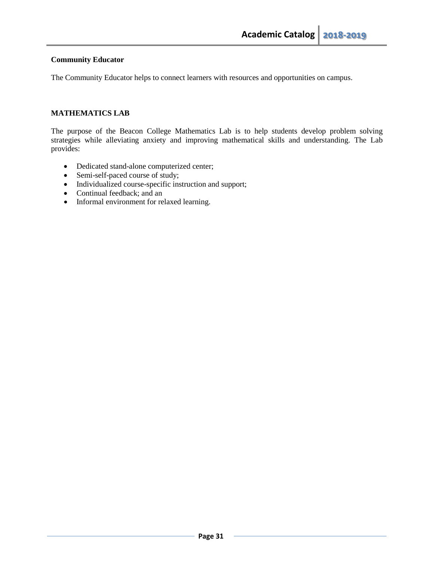## **Community Educator**

The Community Educator helps to connect learners with resources and opportunities on campus.

# **MATHEMATICS LAB**

The purpose of the Beacon College Mathematics Lab is to help students develop problem solving strategies while alleviating anxiety and improving mathematical skills and understanding. The Lab provides:

- Dedicated stand-alone computerized center;
- Semi-self-paced course of study;
- Individualized course-specific instruction and support;
- Continual feedback; and an
- Informal environment for relaxed learning.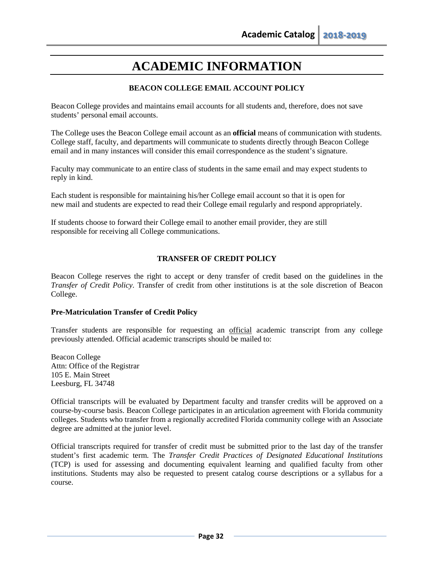# **ACADEMIC INFORMATION**

# **BEACON COLLEGE EMAIL ACCOUNT POLICY**

Beacon College provides and maintains email accounts for all students and, therefore, does not save students' personal email accounts.

The College uses the Beacon College email account as an **official** means of communication with students. College staff, faculty, and departments will communicate to students directly through Beacon College email and in many instances will consider this email correspondence as the student's signature.

Faculty may communicate to an entire class of students in the same email and may expect students to reply in kind.

Each student is responsible for maintaining his/her College email account so that it is open for new mail and students are expected to read their College email regularly and respond appropriately.

If students choose to forward their College email to another email provider, they are still responsible for receiving all College communications.

## **TRANSFER OF CREDIT POLICY**

Beacon College reserves the right to accept or deny transfer of credit based on the guidelines in the *Transfer of Credit Policy.* Transfer of credit from other institutions is at the sole discretion of Beacon College.

#### **Pre-Matriculation Transfer of Credit Policy**

Transfer students are responsible for requesting an official academic transcript from any college previously attended. Official academic transcripts should be mailed to:

Beacon College Attn: Office of the Registrar 105 E. Main Street Leesburg, FL 34748

Official transcripts will be evaluated by Department faculty and transfer credits will be approved on a course-by-course basis. Beacon College participates in an articulation agreement with Florida community colleges. Students who transfer from a regionally accredited Florida community college with an Associate degree are admitted at the junior level.

Official transcripts required for transfer of credit must be submitted prior to the last day of the transfer student's first academic term. The *Transfer Credit Practices of Designated Educational Institutions*  (TCP) is used for assessing and documenting equivalent learning and qualified faculty from other institutions. Students may also be requested to present catalog course descriptions or a syllabus for a course.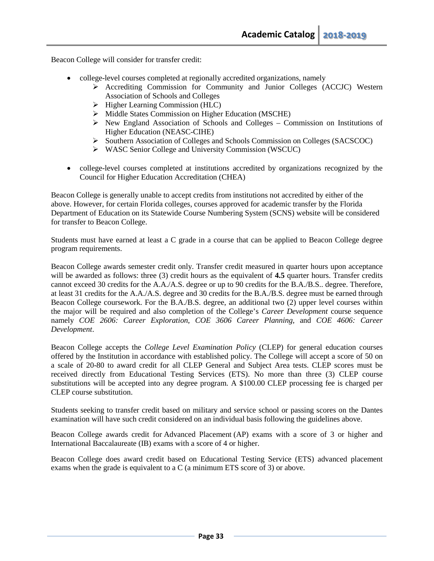Beacon College will consider for transfer credit:

- college-level courses completed at regionally accredited organizations, namely
	- $\triangleright$  Accrediting Commission for Community and Junior Colleges (ACCJC) Western Association of Schools and Colleges
	- $\triangleright$  Higher Learning Commission (HLC)
	- $\triangleright$  Middle States Commission on Higher Education (MSCHE)
	- $\triangleright$  New England Association of Schools and Colleges Commission on Institutions of Higher Education (NEASC-CIHE)
	- Southern Association of Colleges and Schools Commission on Colleges (SACSCOC)
	- WASC Senior College and University Commission (WSCUC)
- college-level courses completed at institutions accredited by organizations recognized by the Council for Higher Education Accreditation (CHEA)

Beacon College is generally unable to accept credits from institutions not accredited by either of the above. However, for certain Florida colleges, courses approved for academic transfer by the Florida Department of Education on its Statewide Course Numbering System (SCNS) website will be considered for transfer to Beacon College.

Students must have earned at least a C grade in a course that can be applied to Beacon College degree program requirements.

Beacon College awards semester credit only. Transfer credit measured in quarter hours upon acceptance will be awarded as follows: three (3) credit hours as the equivalent of **4.5** quarter hours. Transfer credits cannot exceed 30 credits for the A.A./A.S. degree or up to 90 credits for the B.A./B.S.. degree. Therefore, at least 31 credits for the A.A./A.S. degree and 30 credits for the B.A./B.S. degree must be earned through Beacon College coursework. For the B.A./B.S. degree, an additional two (2) upper level courses within the major will be required and also completion of the College's *Career Development* course sequence namely *COE 2606: Career Exploration*, *COE 3606 Career Planning,* and *COE 4606: Career Development*.

Beacon College accepts the *College Level Examination Policy* (CLEP) for general education courses offered by the Institution in accordance with established policy. The College will accept a score of 50 on a scale of 20-80 to award credit for all CLEP General and Subject Area tests. CLEP scores must be received directly from Educational Testing Services (ETS). No more than three (3) CLEP course substitutions will be accepted into any degree program. A \$100.00 CLEP processing fee is charged per CLEP course substitution.

Students seeking to transfer credit based on military and service school or passing scores on the Dantes examination will have such credit considered on an individual basis following the guidelines above.

Beacon College awards credit for Advanced Placement (AP) exams with a score of 3 or higher and International Baccalaureate (IB) exams with a score of 4 or higher.

Beacon College does award credit based on Educational Testing Service (ETS) advanced placement exams when the grade is equivalent to a C (a minimum ETS score of 3) or above.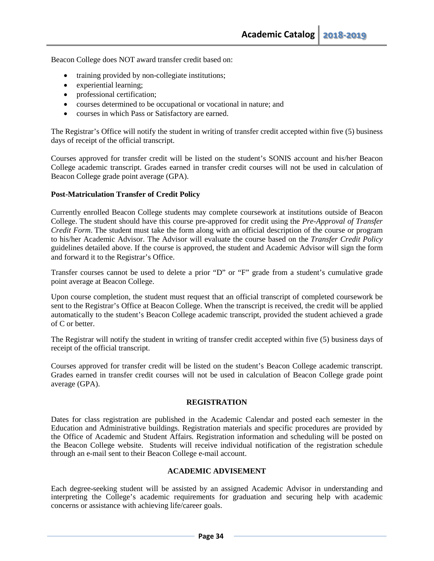Beacon College does NOT award transfer credit based on:

- training provided by non-collegiate institutions;
- experiential learning;
- professional certification;
- courses determined to be occupational or vocational in nature; and
- courses in which Pass or Satisfactory are earned.

The Registrar's Office will notify the student in writing of transfer credit accepted within five (5) business days of receipt of the official transcript.

Courses approved for transfer credit will be listed on the student's SONIS account and his/her Beacon College academic transcript. Grades earned in transfer credit courses will not be used in calculation of Beacon College grade point average (GPA).

#### **Post-Matriculation Transfer of Credit Policy**

Currently enrolled Beacon College students may complete coursework at institutions outside of Beacon College. The student should have this course pre-approved for credit using the *Pre-Approval of Transfer Credit Form*. The student must take the form along with an official description of the course or program to his/her Academic Advisor. The Advisor will evaluate the course based on the *Transfer Credit Policy* guidelines detailed above. If the course is approved, the student and Academic Advisor will sign the form and forward it to the Registrar's Office.

Transfer courses cannot be used to delete a prior "D" or "F" grade from a student's cumulative grade point average at Beacon College.

Upon course completion, the student must request that an official transcript of completed coursework be sent to the Registrar's Office at Beacon College. When the transcript is received, the credit will be applied automatically to the student's Beacon College academic transcript, provided the student achieved a grade of C or better.

The Registrar will notify the student in writing of transfer credit accepted within five (5) business days of receipt of the official transcript.

Courses approved for transfer credit will be listed on the student's Beacon College academic transcript. Grades earned in transfer credit courses will not be used in calculation of Beacon College grade point average (GPA).

#### **REGISTRATION**

Dates for class registration are published in the Academic Calendar and posted each semester in the Education and Administrative buildings. Registration materials and specific procedures are provided by the Office of Academic and Student Affairs. Registration information and scheduling will be posted on the Beacon College website. Students will receive individual notification of the registration schedule through an e-mail sent to their Beacon College e-mail account.

#### **ACADEMIC ADVISEMENT**

Each degree-seeking student will be assisted by an assigned Academic Advisor in understanding and interpreting the College's academic requirements for graduation and securing help with academic concerns or assistance with achieving life/career goals.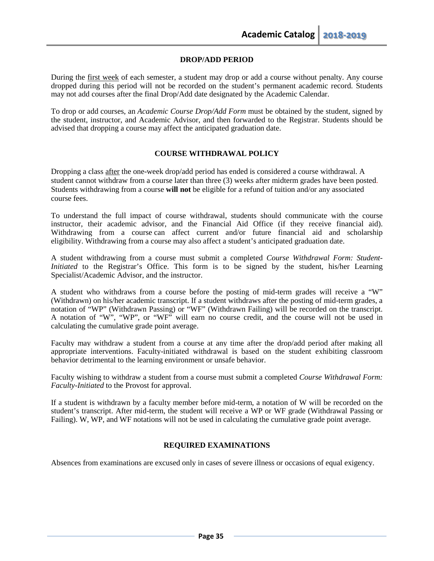#### **DROP/ADD PERIOD**

During the first week of each semester, a student may drop or add a course without penalty. Any course dropped during this period will not be recorded on the student's permanent academic record. Students may not add courses after the final Drop/Add date designated by the Academic Calendar.

To drop or add courses, an *Academic Course Drop/Add Form* must be obtained by the student, signed by the student, instructor, and Academic Advisor, and then forwarded to the Registrar. Students should be advised that dropping a course may affect the anticipated graduation date.

## **COURSE WITHDRAWAL POLICY**

Dropping a class after the one-week drop/add period has ended is considered a course withdrawal. A student cannot withdraw from a course later than three (3) weeks after midterm grades have been posted. Students withdrawing from a course **will not** be eligible for a refund of tuition and/or any associated course fees.

To understand the full impact of course withdrawal, students should communicate with the course instructor, their academic advisor, and the Financial Aid Office (if they receive financial aid). Withdrawing from a course can affect current and/or future financial aid and scholarship eligibility. Withdrawing from a course may also affect a student's anticipated graduation date.

A student withdrawing from a course must submit a completed *Course Withdrawal Form: Student-Initiated* to the Registrar's Office. This form is to be signed by the student, his/her Learning Specialist/Academic Advisor, and the instructor.

A student who withdraws from a course before the posting of mid-term grades will receive a "W" (Withdrawn) on his/her academic transcript. If a student withdraws after the posting of mid-term grades, a notation of "WP" (Withdrawn Passing) or "WF" (Withdrawn Failing) will be recorded on the transcript. A notation of "W", "WP", or "WF" will earn no course credit, and the course will not be used in calculating the cumulative grade point average.

Faculty may withdraw a student from a course at any time after the drop/add period after making all appropriate interventions. Faculty-initiated withdrawal is based on the student exhibiting classroom behavior detrimental to the learning environment or unsafe behavior.

Faculty wishing to withdraw a student from a course must submit a completed *Course Withdrawal Form: Faculty-Initiated* to the Provost for approval.

If a student is withdrawn by a faculty member before mid-term, a notation of W will be recorded on the student's transcript. After mid-term, the student will receive a WP or WF grade (Withdrawal Passing or Failing). W, WP, and WF notations will not be used in calculating the cumulative grade point average.

#### **REQUIRED EXAMINATIONS**

Absences from examinations are excused only in cases of severe illness or occasions of equal exigency.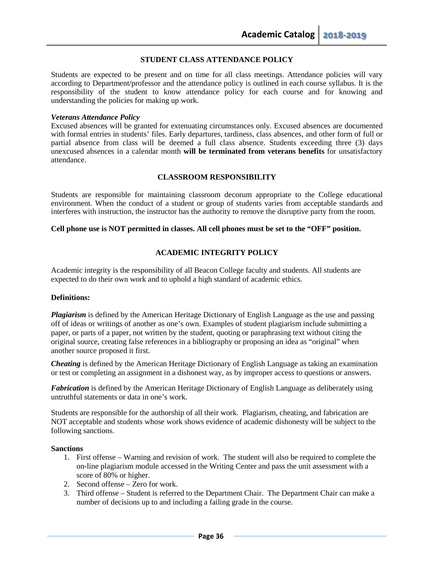## **STUDENT CLASS ATTENDANCE POLICY**

Students are expected to be present and on time for all class meetings. Attendance policies will vary according to Department/professor and the attendance policy is outlined in each course syllabus. It is the responsibility of the student to know attendance policy for each course and for knowing and understanding the policies for making up work.

#### *Veterans Attendance Policy*

Excused absences will be granted for extenuating circumstances only. Excused absences are documented with formal entries in students' files. Early departures, tardiness, class absences, and other form of full or partial absence from class will be deemed a full class absence. Students exceeding three (3) days unexcused absences in a calendar month **will be terminated from veterans benefits** for unsatisfactory attendance.

#### **CLASSROOM RESPONSIBILITY**

Students are responsible for maintaining classroom decorum appropriate to the College educational environment. When the conduct of a student or group of students varies from acceptable standards and interferes with instruction, the instructor has the authority to remove the disruptive party from the room.

#### **Cell phone use is NOT permitted in classes. All cell phones must be set to the "OFF" position.**

## **ACADEMIC INTEGRITY POLICY**

Academic integrity is the responsibility of all Beacon College faculty and students. All students are expected to do their own work and to uphold a high standard of academic ethics.

#### **Definitions:**

*Plagiarism* is defined by the American Heritage Dictionary of English Language as the use and passing off of ideas or writings of another as one's own. Examples of student plagiarism include submitting a paper, or parts of a paper, not written by the student, quoting or paraphrasing text without citing the original source, creating false references in a bibliography or proposing an idea as "original" when another source proposed it first.

*Cheating* is defined by the American Heritage Dictionary of English Language as taking an examination or test or completing an assignment in a dishonest way, as by improper access to questions or answers.

*Fabrication* is defined by the American Heritage Dictionary of English Language as deliberately using untruthful statements or data in one's work.

Students are responsible for the authorship of all their work. Plagiarism, cheating, and fabrication are NOT acceptable and students whose work shows evidence of academic dishonesty will be subject to the following sanctions.

#### **Sanctions**

- 1. First offense Warning and revision of work. The student will also be required to complete the on-line plagiarism module accessed in the Writing Center and pass the unit assessment with a score of 80% or higher.
- 2. Second offense Zero for work.
- 3. Third offense Student is referred to the Department Chair. The Department Chair can make a number of decisions up to and including a failing grade in the course.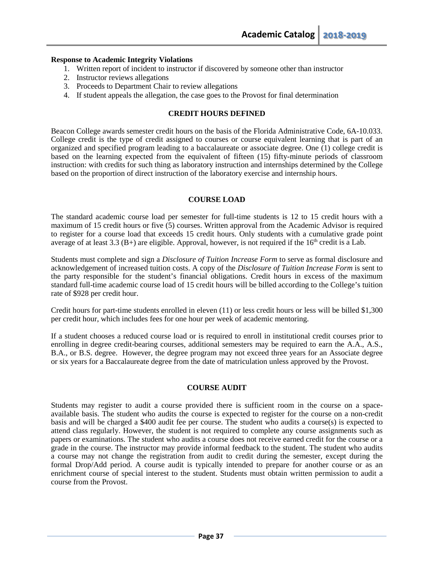### **Response to Academic Integrity Violations**

- 1. Written report of incident to instructor if discovered by someone other than instructor
- 2. Instructor reviews allegations
- 3. Proceeds to Department Chair to review allegations
- 4. If student appeals the allegation, the case goes to the Provost for final determination

### **CREDIT HOURS DEFINED**

Beacon College awards semester credit hours on the basis of the Florida Administrative Code, 6A-10.033. College credit is the type of credit assigned to courses or course equivalent learning that is part of an organized and specified program leading to a baccalaureate or associate degree. One (1) college credit is based on the learning expected from the equivalent of fifteen (15) fifty-minute periods of classroom instruction: with credits for such thing as laboratory instruction and internships determined by the College based on the proportion of direct instruction of the laboratory exercise and internship hours.

### **COURSE LOAD**

The standard academic course load per semester for full-time students is 12 to 15 credit hours with a maximum of 15 credit hours or five (5) courses. Written approval from the Academic Advisor is required to register for a course load that exceeds 15 credit hours. Only students with a cumulative grade point average of at least 3.3 (B+) are eligible. Approval, however, is not required if the  $16<sup>th</sup>$  credit is a Lab.

Students must complete and sign a *Disclosure of Tuition Increase Form* to serve as formal disclosure and acknowledgement of increased tuition costs. A copy of the *Disclosure of Tuition Increase Form* is sent to the party responsible for the student's financial obligations. Credit hours in excess of the maximum standard full-time academic course load of 15 credit hours will be billed according to the College's tuition rate of \$928 per credit hour.

Credit hours for part-time students enrolled in eleven (11) or less credit hours or less will be billed \$1,300 per credit hour, which includes fees for one hour per week of academic mentoring.

If a student chooses a reduced course load or is required to enroll in institutional credit courses prior to enrolling in degree credit-bearing courses, additional semesters may be required to earn the A.A., A.S., B.A., or B.S. degree. However, the degree program may not exceed three years for an Associate degree or six years for a Baccalaureate degree from the date of matriculation unless approved by the Provost.

### **COURSE AUDIT**

Students may register to audit a course provided there is sufficient room in the course on a spaceavailable basis. The student who audits the course is expected to register for the course on a non-credit basis and will be charged a \$400 audit fee per course. The student who audits a course(s) is expected to attend class regularly. However, the student is not required to complete any course assignments such as papers or examinations. The student who audits a course does not receive earned credit for the course or a grade in the course. The instructor may provide informal feedback to the student. The student who audits a course may not change the registration from audit to credit during the semester, except during the formal Drop/Add period. A course audit is typically intended to prepare for another course or as an enrichment course of special interest to the student. Students must obtain written permission to audit a course from the Provost.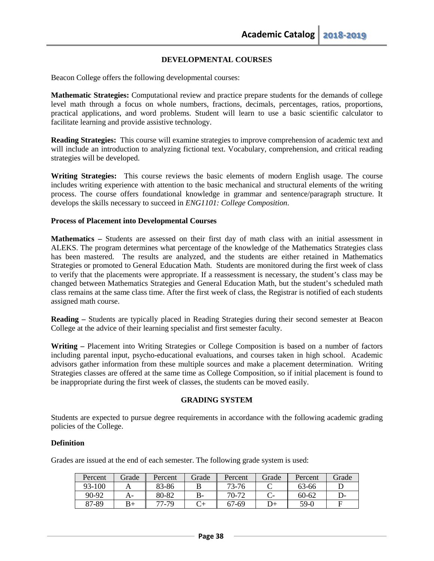## **DEVELOPMENTAL COURSES**

Beacon College offers the following developmental courses:

**Mathematic Strategies:** Computational review and practice prepare students for the demands of college level math through a focus on whole numbers, fractions, decimals, percentages, ratios, proportions, practical applications, and word problems. Student will learn to use a basic scientific calculator to facilitate learning and provide assistive technology.

**Reading Strategies:** This course will examine strategies to improve comprehension of academic text and will include an introduction to analyzing fictional text. Vocabulary, comprehension, and critical reading strategies will be developed.

**Writing Strategies:** This course reviews the basic elements of modern English usage. The course includes writing experience with attention to the basic mechanical and structural elements of the writing process. The course offers foundational knowledge in grammar and sentence/paragraph structure. It develops the skills necessary to succeed in *ENG1101: College Composition*.

### **Process of Placement into Developmental Courses**

**Mathematics –** Students are assessed on their first day of math class with an initial assessment in ALEKS. The program determines what percentage of the knowledge of the Mathematics Strategies class has been mastered. The results are analyzed, and the students are either retained in Mathematics Strategies or promoted to General Education Math. Students are monitored during the first week of class to verify that the placements were appropriate. If a reassessment is necessary, the student's class may be changed between Mathematics Strategies and General Education Math, but the student's scheduled math class remains at the same class time. After the first week of class, the Registrar is notified of each students assigned math course.

**Reading –** Students are typically placed in Reading Strategies during their second semester at Beacon College at the advice of their learning specialist and first semester faculty.

**Writing –** Placement into Writing Strategies or College Composition is based on a number of factors including parental input, psycho-educational evaluations, and courses taken in high school. Academic advisors gather information from these multiple sources and make a placement determination. Writing Strategies classes are offered at the same time as College Composition, so if initial placement is found to be inappropriate during the first week of classes, the students can be moved easily.

### **GRADING SYSTEM**

Students are expected to pursue degree requirements in accordance with the following academic grading policies of the College.

### **Definition**

Grades are issued at the end of each semester. The following grade system is used:

| Percent | Grade | Percent | Grade | Percent | Grade | Percent | Grade |
|---------|-------|---------|-------|---------|-------|---------|-------|
| 93-100  |       | 83-86   |       | 73-76   |       | 63-66   |       |
| 90-92   |       | 80-82   | $B-$  | 70-72   |       | 60-62   |       |
| 87-89   |       | 77-79   |       | 67-69   | D+    | 59-0    |       |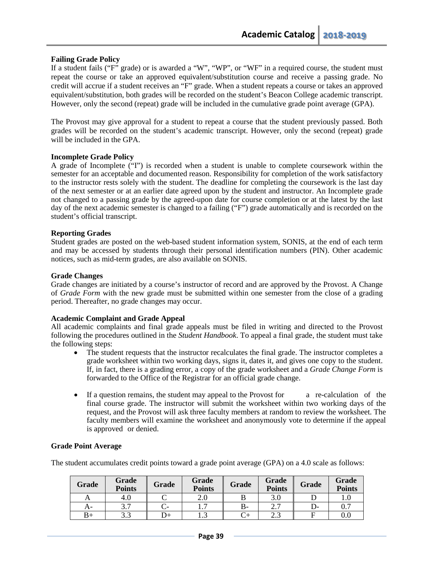## **Failing Grade Policy**

If a student fails ("F" grade) or is awarded a "W", "WP", or "WF" in a required course, the student must repeat the course or take an approved equivalent/substitution course and receive a passing grade. No credit will accrue if a student receives an "F" grade. When a student repeats a course or takes an approved equivalent/substitution, both grades will be recorded on the student's Beacon College academic transcript. However, only the second (repeat) grade will be included in the cumulative grade point average (GPA).

The Provost may give approval for a student to repeat a course that the student previously passed. Both grades will be recorded on the student's academic transcript. However, only the second (repeat) grade will be included in the GPA.

### **Incomplete Grade Policy**

A grade of Incomplete ("I") is recorded when a student is unable to complete coursework within the semester for an acceptable and documented reason. Responsibility for completion of the work satisfactory to the instructor rests solely with the student. The deadline for completing the coursework is the last day of the next semester or at an earlier date agreed upon by the student and instructor. An Incomplete grade not changed to a passing grade by the agreed-upon date for course completion or at the latest by the last day of the next academic semester is changed to a failing ("F") grade automatically and is recorded on the student's official transcript.

### **Reporting Grades**

Student grades are posted on the web-based student information system, SONIS, at the end of each term and may be accessed by students through their personal identification numbers (PIN). Other academic notices, such as mid-term grades, are also available on SONIS.

### **Grade Changes**

Grade changes are initiated by a course's instructor of record and are approved by the Provost. A Change of *Grade Form* with the new grade must be submitted within one semester from the close of a grading period. Thereafter, no grade changes may occur.

### **Academic Complaint and Grade Appeal**

All academic complaints and final grade appeals must be filed in writing and directed to the Provost following the procedures outlined in the *Student Handbook*. To appeal a final grade, the student must take the following steps:

- The student requests that the instructor recalculates the final grade. The instructor completes a grade worksheet within two working days, signs it, dates it, and gives one copy to the student. If, in fact, there is a grading error, a copy of the grade worksheet and a *Grade Change Form* is forwarded to the Office of the Registrar for an official grade change.
- If a question remains, the student may appeal to the Provost for a re-calculation of the final course grade. The instructor will submit the worksheet within two working days of the request, and the Provost will ask three faculty members at random to review the worksheet. The faculty members will examine the worksheet and anonymously vote to determine if the appeal is approved or denied.

### **Grade Point Average**

The student accumulates credit points toward a grade point average (GPA) on a 4.0 scale as follows:

| <b>Grade</b> | Grade<br><b>Points</b> | Grade | Grade<br><b>Points</b> | Grade | Grade<br><b>Points</b> | <b>Grade</b> | Grade<br><b>Points</b> |
|--------------|------------------------|-------|------------------------|-------|------------------------|--------------|------------------------|
|              | 4.U                    |       | ∠.∪                    |       | 3.0                    |              | 1.v                    |
|              | 3.7                    |       | $\overline{ }$<br>.    | D-    | <u>ົາ</u><br>ن ک       | D-           | $\rm 0.7$              |
| B+           | 3.3                    |       | ر                      |       | 2.J                    |              | $0.0\,$                |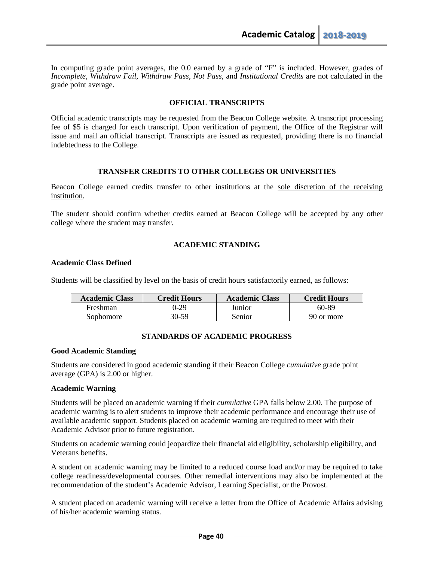In computing grade point averages, the 0.0 earned by a grade of "F" is included. However, grades of *Incomplete*, *Withdraw Fail*, *Withdraw Pass*, *Not Pass*, and *Institutional Credits* are not calculated in the grade point average.

### **OFFICIAL TRANSCRIPTS**

Official academic transcripts may be requested from the Beacon College website. A transcript processing fee of \$5 is charged for each transcript. Upon verification of payment, the Office of the Registrar will issue and mail an official transcript. Transcripts are issued as requested, providing there is no financial indebtedness to the College.

### **TRANSFER CREDITS TO OTHER COLLEGES OR UNIVERSITIES**

Beacon College earned credits transfer to other institutions at the sole discretion of the receiving institution.

The student should confirm whether credits earned at Beacon College will be accepted by any other college where the student may transfer.

### **ACADEMIC STANDING**

### **Academic Class Defined**

Students will be classified by level on the basis of credit hours satisfactorily earned, as follows:

| <b>Academic Class</b> | <b>Credit Hours</b> | <b>Academic Class</b> | <b>Credit Hours</b> |
|-----------------------|---------------------|-----------------------|---------------------|
| Freshman              | 0-29                | Junior                | 60-89               |
| Sophomore             | 30-59               | Senior                | 90 or more          |

### **STANDARDS OF ACADEMIC PROGRESS**

### **Good Academic Standing**

Students are considered in good academic standing if their Beacon College *cumulative* grade point average (GPA) is 2.00 or higher.

### **Academic Warning**

Students will be placed on academic warning if their *cumulative* GPA falls below 2.00. The purpose of academic warning is to alert students to improve their academic performance and encourage their use of available academic support. Students placed on academic warning are required to meet with their Academic Advisor prior to future registration.

Students on academic warning could jeopardize their financial aid eligibility, scholarship eligibility, and Veterans benefits.

A student on academic warning may be limited to a reduced course load and/or may be required to take college readiness/developmental courses. Other remedial interventions may also be implemented at the recommendation of the student's Academic Advisor, Learning Specialist, or the Provost.

A student placed on academic warning will receive a letter from the Office of Academic Affairs advising of his/her academic warning status.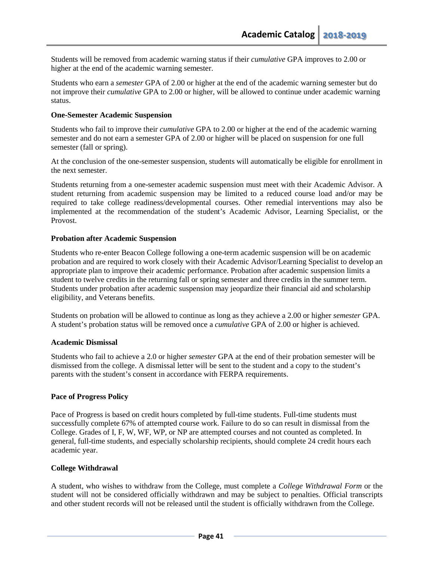Students will be removed from academic warning status if their *cumulative* GPA improves to 2.00 or higher at the end of the academic warning semester.

Students who earn a *semester* GPA of 2.00 or higher at the end of the academic warning semester but do not improve their *cumulative* GPA to 2.00 or higher, will be allowed to continue under academic warning status.

### **One-Semester Academic Suspension**

Students who fail to improve their *cumulative* GPA to 2.00 or higher at the end of the academic warning semester and do not earn a semester GPA of 2.00 or higher will be placed on suspension for one full semester (fall or spring).

At the conclusion of the one-semester suspension, students will automatically be eligible for enrollment in the next semester.

Students returning from a one-semester academic suspension must meet with their Academic Advisor. A student returning from academic suspension may be limited to a reduced course load and/or may be required to take college readiness/developmental courses. Other remedial interventions may also be implemented at the recommendation of the student's Academic Advisor, Learning Specialist, or the Provost.

### **Probation after Academic Suspension**

Students who re-enter Beacon College following a one-term academic suspension will be on academic probation and are required to work closely with their Academic Advisor/Learning Specialist to develop an appropriate plan to improve their academic performance. Probation after academic suspension limits a student to twelve credits in the returning fall or spring semester and three credits in the summer term. Students under probation after academic suspension may jeopardize their financial aid and scholarship eligibility, and Veterans benefits.

Students on probation will be allowed to continue as long as they achieve a 2.00 or higher *semester* GPA. A student's probation status will be removed once a *cumulative* GPA of 2.00 or higher is achieved.

### **Academic Dismissal**

Students who fail to achieve a 2.0 or higher *semester* GPA at the end of their probation semester will be dismissed from the college. A dismissal letter will be sent to the student and a copy to the student's parents with the student's consent in accordance with FERPA requirements.

### **Pace of Progress Policy**

Pace of Progress is based on credit hours completed by full-time students. Full-time students must successfully complete 67% of attempted course work. Failure to do so can result in dismissal from the College. Grades of I, F, W, WF, WP, or NP are attempted courses and not counted as completed. In general, full-time students, and especially scholarship recipients, should complete 24 credit hours each academic year.

### **College Withdrawal**

A student, who wishes to withdraw from the College, must complete a *College Withdrawal Form* or the student will not be considered officially withdrawn and may be subject to penalties. Official transcripts and other student records will not be released until the student is officially withdrawn from the College.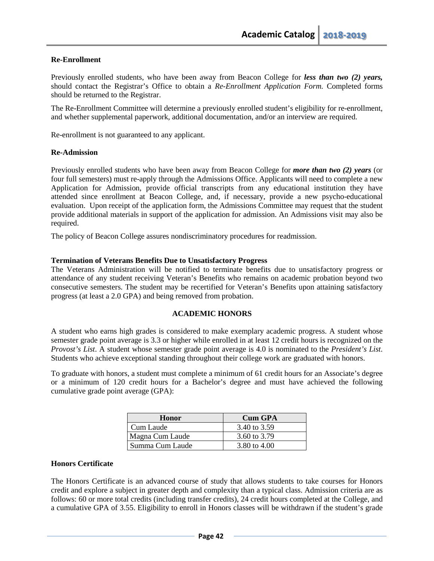## **Re-Enrollment**

Previously enrolled students, who have been away from Beacon College for *less than two (2) years,*  should contact the Registrar's Office to obtain a *Re-Enrollment Application Form.* Completed forms should be returned to the Registrar.

The Re-Enrollment Committee will determine a previously enrolled student's eligibility for re-enrollment, and whether supplemental paperwork, additional documentation, and/or an interview are required.

Re-enrollment is not guaranteed to any applicant.

### **Re-Admission**

Previously enrolled students who have been away from Beacon College for *more than two (2) years* (or four full semesters) must re-apply through the Admissions Office. Applicants will need to complete a new Application for Admission, provide official transcripts from any educational institution they have attended since enrollment at Beacon College, and, if necessary, provide a new psycho-educational evaluation. Upon receipt of the application form, the Admissions Committee may request that the student provide additional materials in support of the application for admission. An Admissions visit may also be required.

The policy of Beacon College assures nondiscriminatory procedures for readmission.

### **Termination of Veterans Benefits Due to Unsatisfactory Progress**

The Veterans Administration will be notified to terminate benefits due to unsatisfactory progress or attendance of any student receiving Veteran's Benefits who remains on academic probation beyond two consecutive semesters. The student may be recertified for Veteran's Benefits upon attaining satisfactory progress (at least a 2.0 GPA) and being removed from probation.

### **ACADEMIC HONORS**

A student who earns high grades is considered to make exemplary academic progress. A student whose semester grade point average is 3.3 or higher while enrolled in at least 12 credit hours is recognized on the *Provost's List*. A student whose semester grade point average is 4.0 is nominated to the *President's List*. Students who achieve exceptional standing throughout their college work are graduated with honors.

To graduate with honors, a student must complete a minimum of 61 credit hours for an Associate's degree or a minimum of 120 credit hours for a Bachelor's degree and must have achieved the following cumulative grade point average (GPA):

| Honor           | <b>Cum GPA</b> |
|-----------------|----------------|
| Cum Laude       | 3.40 to 3.59   |
| Magna Cum Laude | 3.60 to 3.79   |
| Summa Cum Laude | 3.80 to 4.00   |

### **Honors Certificate**

The Honors Certificate is an advanced course of study that allows students to take courses for Honors credit and explore a subject in greater depth and complexity than a typical class. Admission criteria are as follows: 60 or more total credits (including transfer credits), 24 credit hours completed at the College, and a cumulative GPA of 3.55. Eligibility to enroll in Honors classes will be withdrawn if the student's grade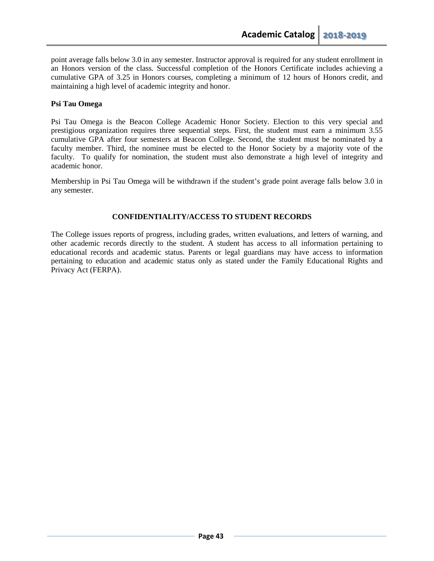point average falls below 3.0 in any semester. Instructor approval is required for any student enrollment in an Honors version of the class. Successful completion of the Honors Certificate includes achieving a cumulative GPA of 3.25 in Honors courses, completing a minimum of 12 hours of Honors credit, and maintaining a high level of academic integrity and honor.

## **Psi Tau Omega**

Psi Tau Omega is the Beacon College Academic Honor Society. Election to this very special and prestigious organization requires three sequential steps. First, the student must earn a minimum 3.55 cumulative GPA after four semesters at Beacon College. Second, the student must be nominated by a faculty member. Third, the nominee must be elected to the Honor Society by a majority vote of the faculty. To qualify for nomination, the student must also demonstrate a high level of integrity and academic honor.

Membership in Psi Tau Omega will be withdrawn if the student's grade point average falls below 3.0 in any semester.

## **CONFIDENTIALITY/ACCESS TO STUDENT RECORDS**

The College issues reports of progress, including grades, written evaluations, and letters of warning, and other academic records directly to the student. A student has access to all information pertaining to educational records and academic status. Parents or legal guardians may have access to information pertaining to education and academic status only as stated under the Family Educational Rights and Privacy Act (FERPA).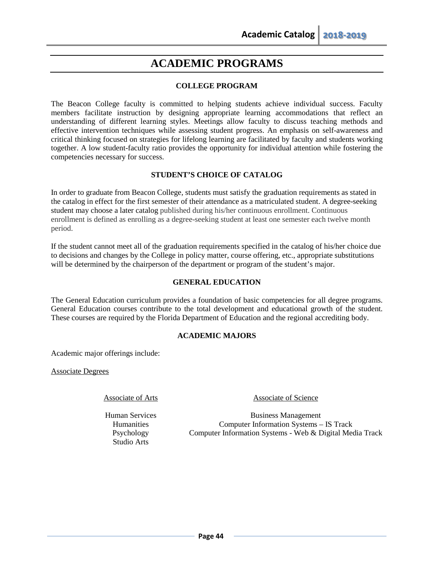# **ACADEMIC PROGRAMS**

# **COLLEGE PROGRAM**

The Beacon College faculty is committed to helping students achieve individual success. Faculty members facilitate instruction by designing appropriate learning accommodations that reflect an understanding of different learning styles. Meetings allow faculty to discuss teaching methods and effective intervention techniques while assessing student progress. An emphasis on self-awareness and critical thinking focused on strategies for lifelong learning are facilitated by faculty and students working together. A low student-faculty ratio provides the opportunity for individual attention while fostering the competencies necessary for success.

## **STUDENT'S CHOICE OF CATALOG**

In order to graduate from Beacon College, students must satisfy the graduation requirements as stated in the catalog in effect for the first semester of their attendance as a matriculated student. A degree-seeking student may choose a later catalog published during his/her continuous enrollment. Continuous enrollment is defined as enrolling as a degree-seeking student at least one semester each twelve month period.

If the student cannot meet all of the graduation requirements specified in the catalog of his/her choice due to decisions and changes by the College in policy matter, course offering, etc., appropriate substitutions will be determined by the chairperson of the department or program of the student's major.

## **GENERAL EDUCATION**

The General Education curriculum provides a foundation of basic competencies for all degree programs. General Education courses contribute to the total development and educational growth of the student. These courses are required by the Florida Department of Education and the regional accrediting body.

# **ACADEMIC MAJORS**

Academic major offerings include:

Associate Degrees

Human Services **Humanities** Psychology Studio Arts

Associate of Arts Associate of Science

Business Management Computer Information Systems – IS Track Computer Information Systems - Web & Digital Media Track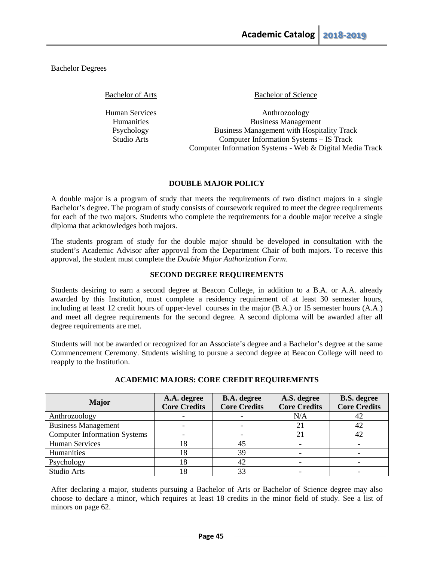Bachelor Degrees

Human Services Humanities Psychology Studio Arts

Bachelor of Arts Bachelor of Science

Anthrozoology Business Management Business Management with Hospitality Track Computer Information Systems – IS Track Computer Information Systems - Web & Digital Media Track

## **DOUBLE MAJOR POLICY**

A double major is a program of study that meets the requirements of two distinct majors in a single Bachelor's degree. The program of study consists of coursework required to meet the degree requirements for each of the two majors. Students who complete the requirements for a double major receive a single diploma that acknowledges both majors.

The students program of study for the double major should be developed in consultation with the student's Academic Advisor after approval from the Department Chair of both majors. To receive this approval, the student must complete the *Double Major Authorization Form*.

## **SECOND DEGREE REQUIREMENTS**

Students desiring to earn a second degree at Beacon College, in addition to a B.A. or A.A. already awarded by this Institution, must complete a residency requirement of at least 30 semester hours, including at least 12 credit hours of upper-level courses in the major (B.A.) or 15 semester hours (A.A.) and meet all degree requirements for the second degree. A second diploma will be awarded after all degree requirements are met.

Students will not be awarded or recognized for an Associate's degree and a Bachelor's degree at the same Commencement Ceremony. Students wishing to pursue a second degree at Beacon College will need to reapply to the Institution.

| <b>Major</b>                        | A.A. degree<br><b>Core Credits</b> | <b>B.A.</b> degree<br><b>Core Credits</b> | A.S. degree<br><b>Core Credits</b> | <b>B.S.</b> degree<br><b>Core Credits</b> |
|-------------------------------------|------------------------------------|-------------------------------------------|------------------------------------|-------------------------------------------|
| Anthrozoology                       |                                    |                                           | N/A                                | 42                                        |
| <b>Business Management</b>          |                                    |                                           |                                    | 42                                        |
| <b>Computer Information Systems</b> |                                    |                                           | 21                                 | 42                                        |
| <b>Human Services</b>               | l8                                 | 45                                        |                                    |                                           |
| Humanities                          | 18                                 | 39                                        |                                    |                                           |
| Psychology                          | 18                                 | 42                                        |                                    |                                           |
| Studio Arts                         | 18                                 | 33                                        |                                    |                                           |

# **ACADEMIC MAJORS: CORE CREDIT REQUIREMENTS**

After declaring a major, students pursuing a Bachelor of Arts or Bachelor of Science degree may also choose to declare a minor, which requires at least 18 credits in the minor field of study. See a list of minors on page 62.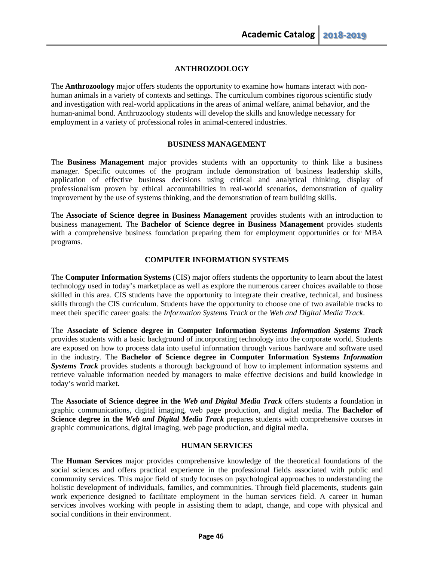## **ANTHROZOOLOGY**

The **Anthrozoology** major offers students the opportunity to examine how humans interact with nonhuman animals in a variety of contexts and settings. The curriculum combines rigorous scientific study and investigation with real-world applications in the areas of animal welfare, animal behavior, and the human-animal bond. Anthrozoology students will develop the skills and knowledge necessary for employment in a variety of professional roles in animal-centered industries.

### **BUSINESS MANAGEMENT**

The **Business Management** major provides students with an opportunity to think like a business manager. Specific outcomes of the program include demonstration of business leadership skills, application of effective business decisions using critical and analytical thinking, display of professionalism proven by ethical accountabilities in real-world scenarios, demonstration of quality improvement by the use of systems thinking, and the demonstration of team building skills.

The **Associate of Science degree in Business Management** provides students with an introduction to business management. The **Bachelor of Science degree in Business Management** provides students with a comprehensive business foundation preparing them for employment opportunities or for MBA programs.

### **COMPUTER INFORMATION SYSTEMS**

The **Computer Information Systems** (CIS) major offers students the opportunity to learn about the latest technology used in today's marketplace as well as explore the numerous career choices available to those skilled in this area. CIS students have the opportunity to integrate their creative, technical, and business skills through the CIS curriculum. Students have the opportunity to choose one of two available tracks to meet their specific career goals: the *Information Systems Track* or the *Web and Digital Media Track*.

The **Associate of Science degree in Computer Information Systems** *Information Systems Track* provides students with a basic background of incorporating technology into the corporate world. Students are exposed on how to process data into useful information through various hardware and software used in the industry. The **Bachelor of Science degree in Computer Information Systems** *Information Systems Track* provides students a thorough background of how to implement information systems and retrieve valuable information needed by managers to make effective decisions and build knowledge in today's world market.

The **Associate of Science degree in the** *Web and Digital Media Track* offers students a foundation in graphic communications, digital imaging, web page production, and digital media. The **Bachelor of Science degree in the** *Web and Digital Media Track* prepares students with comprehensive courses in graphic communications, digital imaging, web page production, and digital media.

### **HUMAN SERVICES**

The **Human Services** major provides comprehensive knowledge of the theoretical foundations of the social sciences and offers practical experience in the professional fields associated with public and community services. This major field of study focuses on psychological approaches to understanding the holistic development of individuals, families, and communities. Through field placements, students gain work experience designed to facilitate employment in the human services field. A career in human services involves working with people in assisting them to adapt, change, and cope with physical and social conditions in their environment.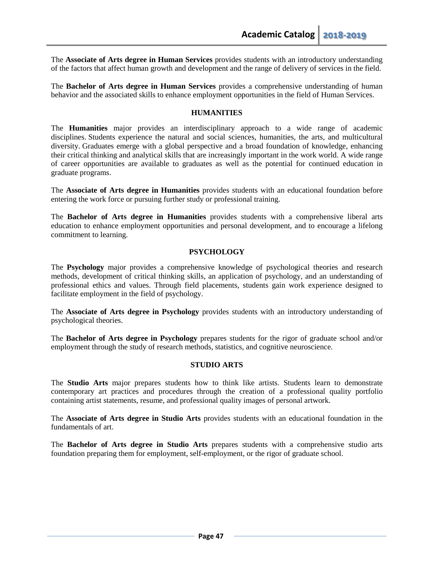The **Associate of Arts degree in Human Services** provides students with an introductory understanding of the factors that affect human growth and development and the range of delivery of services in the field.

The **Bachelor of Arts degree in Human Services** provides a comprehensive understanding of human behavior and the associated skills to enhance employment opportunities in the field of Human Services.

### **HUMANITIES**

The **Humanities** major provides an interdisciplinary approach to a wide range of academic disciplines. Students experience the natural and social sciences, humanities, the arts, and multicultural diversity. Graduates emerge with a global perspective and a broad foundation of knowledge, enhancing their critical thinking and analytical skills that are increasingly important in the work world. A wide range of career opportunities are available to graduates as well as the potential for continued education in graduate programs.

The **Associate of Arts degree in Humanities** provides students with an educational foundation before entering the work force or pursuing further study or professional training.

The **Bachelor of Arts degree in Humanities** provides students with a comprehensive liberal arts education to enhance employment opportunities and personal development, and to encourage a lifelong commitment to learning.

### **PSYCHOLOGY**

The **Psychology** major provides a comprehensive knowledge of psychological theories and research methods, development of critical thinking skills, an application of psychology, and an understanding of professional ethics and values. Through field placements, students gain work experience designed to facilitate employment in the field of psychology.

The **Associate of Arts degree in Psychology** provides students with an introductory understanding of psychological theories.

The **Bachelor of Arts degree in Psychology** prepares students for the rigor of graduate school and/or employment through the study of research methods, statistics, and cognitive neuroscience.

### **STUDIO ARTS**

The **Studio Arts** major prepares students how to think like artists. Students learn to demonstrate contemporary art practices and procedures through the creation of a professional quality portfolio containing artist statements, resume, and professional quality images of personal artwork.

The **Associate of Arts degree in Studio Arts** provides students with an educational foundation in the fundamentals of art.

The **Bachelor of Arts degree in Studio Arts** prepares students with a comprehensive studio arts foundation preparing them for employment, self-employment, or the rigor of graduate school.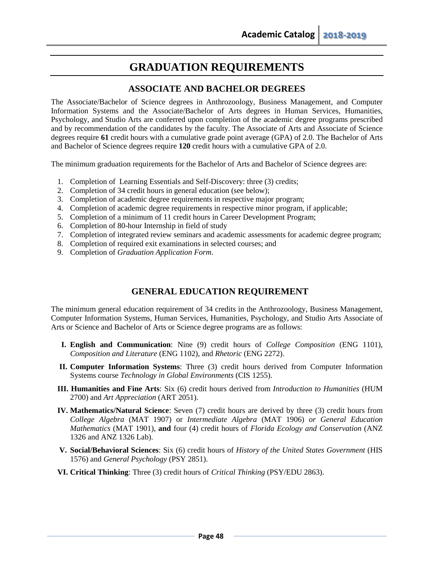# **GRADUATION REQUIREMENTS**

# **ASSOCIATE AND BACHELOR DEGREES**

The Associate/Bachelor of Science degrees in Anthrozoology, Business Management, and Computer Information Systems and the Associate/Bachelor of Arts degrees in Human Services, Humanities, Psychology, and Studio Arts are conferred upon completion of the academic degree programs prescribed and by recommendation of the candidates by the faculty. The Associate of Arts and Associate of Science degrees require **61** credit hours with a cumulative grade point average (GPA) of 2.0. The Bachelor of Arts and Bachelor of Science degrees require **120** credit hours with a cumulative GPA of 2.0.

The minimum graduation requirements for the Bachelor of Arts and Bachelor of Science degrees are:

- 1. Completion of Learning Essentials and Self-Discovery: three (3) credits;
- 2. Completion of 34 credit hours in general education (see below);
- 3. Completion of academic degree requirements in respective major program;
- 4. Completion of academic degree requirements in respective minor program, if applicable;
- 5. Completion of a minimum of 11 credit hours in Career Development Program;
- 6. Completion of 80-hour Internship in field of study
- 7. Completion of integrated review seminars and academic assessments for academic degree program;
- 8. Completion of required exit examinations in selected courses; and
- 9. Completion of *Graduation Application Form*.

# **GENERAL EDUCATION REQUIREMENT**

The minimum general education requirement of 34 credits in the Anthrozoology, Business Management, Computer Information Systems, Human Services, Humanities, Psychology, and Studio Arts Associate of Arts or Science and Bachelor of Arts or Science degree programs are as follows:

- **I. English and Communication**: Nine (9) credit hours of *College Composition* (ENG 1101), *Composition and Literature* (ENG 1102), and *Rhetoric* (ENG 2272).
- **II. Computer Information Systems**: Three (3) credit hours derived from Computer Information Systems course *Technology in Global Environments* (CIS 1255).
- **III. Humanities and Fine Arts**: Six (6) credit hours derived from *Introduction to Humanities* (HUM 2700) and *Art Appreciation* (ART 2051).
- **IV. Mathematics/Natural Science**: Seven (7) credit hours are derived by three (3) credit hours from *College Algebra* (MAT 1907) or *Intermediate Algebra* (MAT 1906) *or General Education Mathematics* (MAT 1901), **and** four (4) credit hours of *Florida Ecology and Conservation* (ANZ 1326 and ANZ 1326 Lab).
- **V. Social/Behavioral Sciences**: Six (6) credit hours of *History of the United States Government* (HIS 1576) and *General Psychology* (PSY 2851).
- **VI. Critical Thinking**: Three (3) credit hours of *Critical Thinking* (PSY/EDU 2863).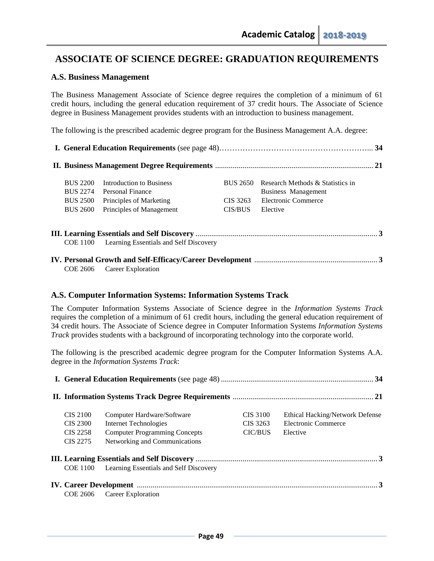# **ASSOCIATE OF SCIENCE DEGREE: GRADUATION REQUIREMENTS**

# **A.S. Business Management**

The Business Management Associate of Science degree requires the completion of a minimum of 61 credit hours, including the general education requirement of 37 credit hours. The Associate of Science degree in Business Management provides students with an introduction to business management.

The following is the prescribed academic degree program for the Business Management A.A. degree:

| <b>BUS 2200</b> | Introduction to Business               | <b>BUS 2650</b> | Research Methods & Statistics in |  |
|-----------------|----------------------------------------|-----------------|----------------------------------|--|
| <b>BUS 2274</b> | Personal Finance                       |                 | Business Management              |  |
| <b>BUS 2500</b> | Principles of Marketing                | CIS 3263        | Electronic Commerce              |  |
| <b>BUS 2600</b> | Principles of Management               | CIS/BUS         | Elective                         |  |
|                 |                                        |                 |                                  |  |
| <b>COE 1100</b> | Learning Essentials and Self Discovery |                 |                                  |  |
|                 |                                        |                 |                                  |  |
| COE 2606        | Career Exploration                     |                 |                                  |  |

# **A.S. Computer Information Systems: Information Systems Track**

The Computer Information Systems Associate of Science degree in the *Information Systems Track* requires the completion of a minimum of 61 credit hours, including the general education requirement of 34 credit hours. The Associate of Science degree in Computer Information Systems *Information Systems Track* provides students with a background of incorporating technology into the corporate world.

The following is the prescribed academic degree program for the Computer Information Systems A.A. degree in the *Information Systems Track*:

| <b>CIS 2100</b> | Computer Hardware/Software             | CIS 3100       | <b>Ethical Hacking/Network Defense</b> |
|-----------------|----------------------------------------|----------------|----------------------------------------|
| <b>CIS 2300</b> | <b>Internet Technologies</b>           | CIS 3263       | Electronic Commerce                    |
| CIS 2258        | <b>Computer Programming Concepts</b>   | <b>CIC/BUS</b> | Elective                               |
| CIS 2275        | Networking and Communications          |                |                                        |
|                 |                                        |                |                                        |
| <b>COE</b> 1100 | Learning Essentials and Self Discovery |                |                                        |
|                 |                                        |                |                                        |
| COE 2606        | Career Exploration                     |                |                                        |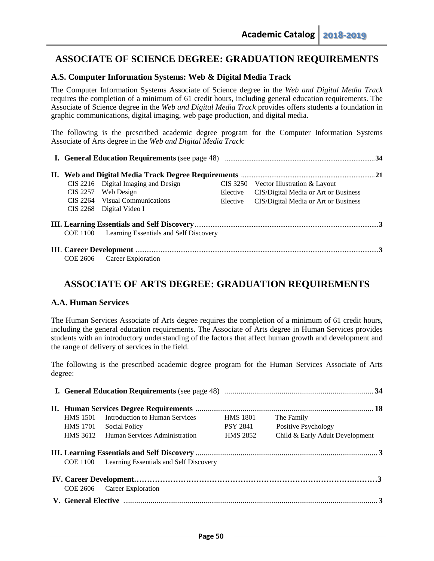# **ASSOCIATE OF SCIENCE DEGREE: GRADUATION REQUIREMENTS**

# **A.S. Computer Information Systems: Web & Digital Media Track**

The Computer Information Systems Associate of Science degree in the *Web and Digital Media Track* requires the completion of a minimum of 61 credit hours, including general education requirements. The Associate of Science degree in the *Web and Digital Media Track* provides offers students a foundation in graphic communications, digital imaging, web page production, and digital media.

The following is the prescribed academic degree program for the Computer Information Systems Associate of Arts degree in the *Web and Digital Media Track*:

|                 | CIS 2216 Digital Imaging and Design    |          | $CIS 3250$ Vector Illustration & Layout |  |  |  |
|-----------------|----------------------------------------|----------|-----------------------------------------|--|--|--|
|                 | CIS 2257 Web Design                    | Elective | CIS/Digital Media or Art or Business    |  |  |  |
|                 | CIS 2264 Visual Communications         | Elective | CIS/Digital Media or Art or Business    |  |  |  |
|                 | CIS 2268 Digital Video I               |          |                                         |  |  |  |
|                 |                                        |          |                                         |  |  |  |
| <b>COE 1100</b> | Learning Essentials and Self Discovery |          |                                         |  |  |  |
|                 |                                        |          |                                         |  |  |  |
|                 | COE 2606 Career Exploration            |          |                                         |  |  |  |

# **ASSOCIATE OF ARTS DEGREE: GRADUATION REQUIREMENTS**

# **A.A. Human Services**

The Human Services Associate of Arts degree requires the completion of a minimum of 61 credit hours, including the general education requirements. The Associate of Arts degree in Human Services provides students with an introductory understanding of the factors that affect human growth and development and the range of delivery of services in the field.

The following is the prescribed academic degree program for the Human Services Associate of Arts degree:

| <b>HMS</b> 1501 | Introduction to Human Services         | <b>HMS 1801</b> | The Family                      |  |
|-----------------|----------------------------------------|-----------------|---------------------------------|--|
| HMS 1701        | <b>Social Policy</b>                   | PSY 2841        | Positive Psychology             |  |
|                 | HMS 3612 Human Services Administration | <b>HMS 2852</b> | Child & Early Adult Development |  |
| COE 1100        | Learning Essentials and Self Discovery |                 |                                 |  |
| COE 2606        | Career Exploration                     |                 |                                 |  |
|                 |                                        |                 |                                 |  |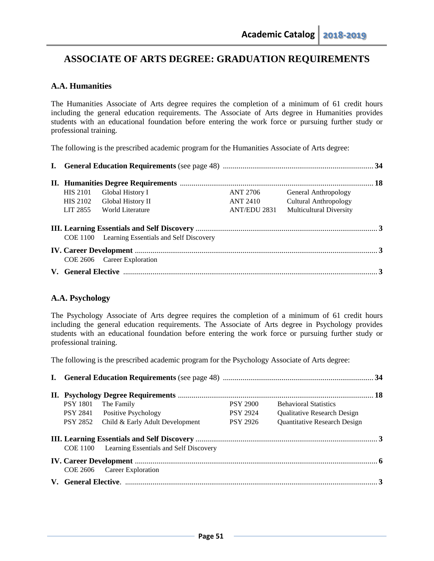# **ASSOCIATE OF ARTS DEGREE: GRADUATION REQUIREMENTS**

# **A.A. Humanities**

The Humanities Associate of Arts degree requires the completion of a minimum of 61 credit hours including the general education requirements. The Associate of Arts degree in Humanities provides students with an educational foundation before entering the work force or pursuing further study or professional training.

The following is the prescribed academic program for the Humanities Associate of Arts degree:

| <b>HIS 2101</b> | Global History I                                | ANT 2706     | General Anthropology           |  |
|-----------------|-------------------------------------------------|--------------|--------------------------------|--|
| HIS 2102        | Global History II                               | ANT 2410     | <b>Cultural Anthropology</b>   |  |
| LIT 2855        | World Literature                                | ANT/EDU 2831 | <b>Multicultural Diversity</b> |  |
|                 | COE 1100 Learning Essentials and Self Discovery |              |                                |  |
|                 |                                                 |              |                                |  |
|                 | COE 2606 Career Exploration                     |              |                                |  |
|                 |                                                 |              |                                |  |

# **A.A. Psychology**

The Psychology Associate of Arts degree requires the completion of a minimum of 61 credit hours including the general education requirements. The Associate of Arts degree in Psychology provides students with an educational foundation before entering the work force or pursuing further study or professional training.

The following is the prescribed academic program for the Psychology Associate of Arts degree:

| <b>PSY 1801</b> | The Family                                      | <b>PSY 2900</b> | <b>Behavioral Statistics</b>       |  |
|-----------------|-------------------------------------------------|-----------------|------------------------------------|--|
|                 | PSY 2841 Positive Psychology                    | <b>PSY 2924</b> | <b>Oualitative Research Design</b> |  |
|                 | PSY 2852 Child & Early Adult Development        | <b>PSY 2926</b> | Quantitative Research Design       |  |
|                 |                                                 |                 |                                    |  |
|                 | COE 1100 Learning Essentials and Self Discovery |                 |                                    |  |
|                 |                                                 |                 |                                    |  |
|                 | COE 2606 Career Exploration                     |                 |                                    |  |
|                 |                                                 |                 |                                    |  |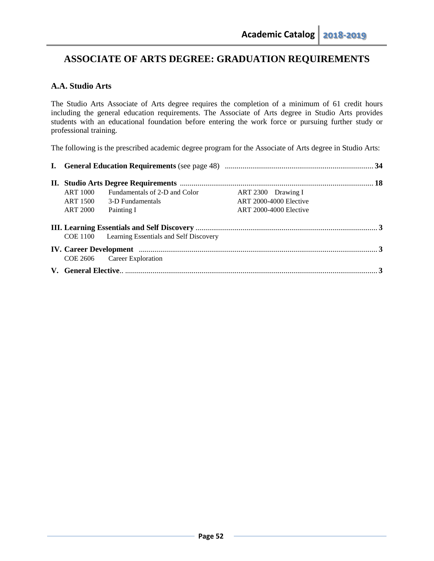# **ASSOCIATE OF ARTS DEGREE: GRADUATION REQUIREMENTS**

# **A.A. Studio Arts**

The Studio Arts Associate of Arts degree requires the completion of a minimum of 61 credit hours including the general education requirements. The Associate of Arts degree in Studio Arts provides students with an educational foundation before entering the work force or pursuing further study or professional training.

The following is the prescribed academic degree program for the Associate of Arts degree in Studio Arts:

| ART 1000 | Fundamentals of 2-D and Color                   | ART 2300 Drawing I            |  |  |
|----------|-------------------------------------------------|-------------------------------|--|--|
|          | ART 1500 3-D Fundamentals                       | <b>ART 2000-4000 Elective</b> |  |  |
| ART 2000 | Painting I                                      | <b>ART 2000-4000 Elective</b> |  |  |
|          |                                                 |                               |  |  |
|          | COE 1100 Learning Essentials and Self Discovery |                               |  |  |
|          |                                                 |                               |  |  |
|          | COE 2606 Career Exploration                     |                               |  |  |
|          |                                                 |                               |  |  |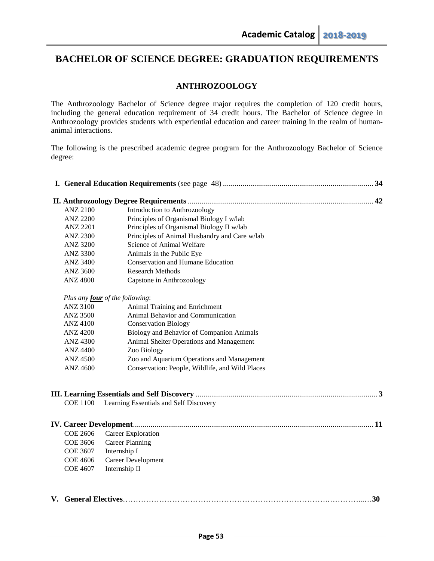# **ANTHROZOOLOGY**

The Anthrozoology Bachelor of Science degree major requires the completion of 120 credit hours, including the general education requirement of 34 credit hours. The Bachelor of Science degree in Anthrozoology provides students with experiential education and career training in the realm of humananimal interactions.

The following is the prescribed academic degree program for the Anthrozoology Bachelor of Science degree:

| <b>ANZ 2100</b> | Introduction to Anthrozoology                   |     |
|-----------------|-------------------------------------------------|-----|
| <b>ANZ 2200</b> | Principles of Organismal Biology I w/lab        |     |
| <b>ANZ 2201</b> | Principles of Organismal Biology II w/lab       |     |
| <b>ANZ 2300</b> | Principles of Animal Husbandry and Care w/lab   |     |
| <b>ANZ 3200</b> | Science of Animal Welfare                       |     |
| <b>ANZ 3300</b> | Animals in the Public Eye                       |     |
| <b>ANZ 3400</b> | <b>Conservation and Humane Education</b>        |     |
| <b>ANZ 3600</b> | <b>Research Methods</b>                         |     |
| <b>ANZ 4800</b> | Capstone in Anthrozoology                       |     |
|                 | Plus any <b>four</b> of the following:          |     |
| <b>ANZ 3100</b> | Animal Training and Enrichment                  |     |
| <b>ANZ 3500</b> | Animal Behavior and Communication               |     |
| <b>ANZ 4100</b> | <b>Conservation Biology</b>                     |     |
| <b>ANZ 4200</b> | Biology and Behavior of Companion Animals       |     |
| <b>ANZ 4300</b> | Animal Shelter Operations and Management        |     |
| <b>ANZ 4400</b> | Zoo Biology                                     |     |
| <b>ANZ 4500</b> | Zoo and Aquarium Operations and Management      |     |
| <b>ANZ 4600</b> | Conservation: People, Wildlife, and Wild Places |     |
| <b>COE 1100</b> | Learning Essentials and Self Discovery          |     |
|                 |                                                 |     |
| <b>COE 2606</b> | Career Exploration                              |     |
| <b>COE 3606</b> | <b>Career Planning</b>                          |     |
| <b>COE 3607</b> | Internship I                                    |     |
| <b>COE 4606</b> | Career Development                              |     |
| <b>COE 4607</b> | Internship II                                   |     |
|                 |                                                 | .30 |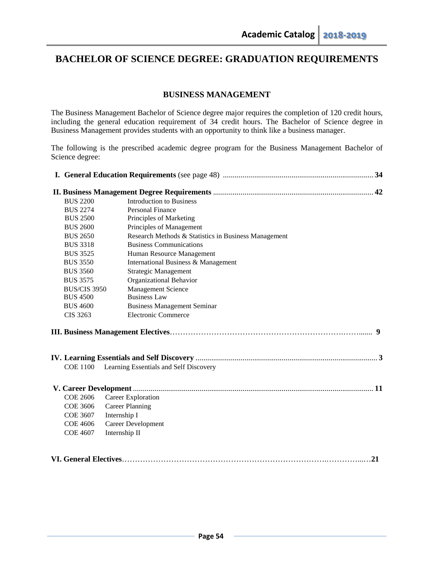# **BUSINESS MANAGEMENT**

The Business Management Bachelor of Science degree major requires the completion of 120 credit hours, including the general education requirement of 34 credit hours. The Bachelor of Science degree in Business Management provides students with an opportunity to think like a business manager.

The following is the prescribed academic degree program for the Business Management Bachelor of Science degree:

| <b>BUS 2200</b>               | <b>Introduction to Business</b>                      |    |
|-------------------------------|------------------------------------------------------|----|
| <b>BUS 2274</b>               | <b>Personal Finance</b>                              |    |
| <b>BUS 2500</b>               | Principles of Marketing                              |    |
| <b>BUS 2600</b>               | Principles of Management                             |    |
| <b>BUS 2650</b>               | Research Methods & Statistics in Business Management |    |
| <b>BUS 3318</b>               | <b>Business Communications</b>                       |    |
| <b>BUS 3525</b>               | Human Resource Management                            |    |
| <b>BUS 3550</b>               | International Business & Management                  |    |
| <b>BUS 3560</b>               | <b>Strategic Management</b>                          |    |
| <b>BUS 3575</b>               | Organizational Behavior                              |    |
| <b>BUS/CIS 3950</b>           | <b>Management Science</b>                            |    |
| <b>BUS 4500</b>               | <b>Business Law</b>                                  |    |
| <b>BUS 4600</b>               | <b>Business Management Seminar</b>                   |    |
| CIS 3263                      | <b>Electronic Commerce</b>                           |    |
|                               |                                                      |    |
|                               |                                                      |    |
| <b>COE 1100</b>               | Learning Essentials and Self Discovery               |    |
|                               |                                                      |    |
| <b>COE 2606</b>               | Career Exploration                                   |    |
| <b>COE 3606</b>               | <b>Career Planning</b>                               |    |
| <b>COE 3607</b>               | Internship I                                         |    |
| <b>COE 4606</b>               | <b>Career Development</b>                            |    |
| <b>COE 4607</b>               | Internship II                                        |    |
|                               |                                                      |    |
|                               |                                                      |    |
| <b>VI. General Electives.</b> |                                                      | 21 |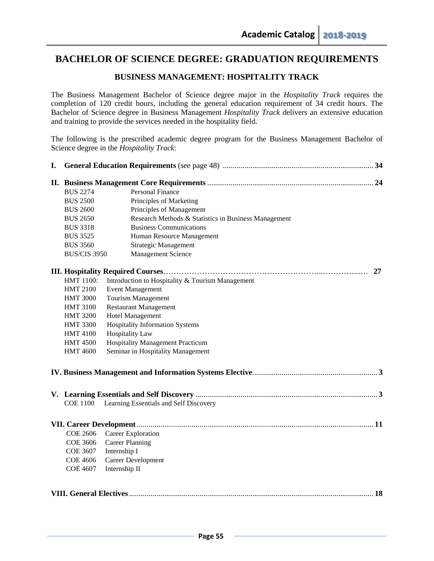# **BUSINESS MANAGEMENT: HOSPITALITY TRACK**

The Business Management Bachelor of Science degree major in the *Hospitality Track* requires the completion of 120 credit hours, including the general education requirement of 34 credit hours. The Bachelor of Science degree in Business Management *Hospitality Track* delivers an extensive education and training to provide the services needed in the hospitality field.

The following is the prescribed academic degree program for the Business Management Bachelor of Science degree in the *Hospitality Track*:

| I. |                     |                                                      |    |
|----|---------------------|------------------------------------------------------|----|
|    |                     |                                                      |    |
|    | <b>BUS 2274</b>     | Personal Finance                                     |    |
|    | <b>BUS 2500</b>     | Principles of Marketing                              |    |
|    | <b>BUS 2600</b>     | Principles of Management                             |    |
|    | <b>BUS 2650</b>     | Research Methods & Statistics in Business Management |    |
|    | <b>BUS 3318</b>     | <b>Business Communications</b>                       |    |
|    | <b>BUS 3525</b>     | Human Resource Management                            |    |
|    | <b>BUS 3560</b>     | Strategic Management                                 |    |
|    | <b>BUS/CIS 3950</b> | <b>Management Science</b>                            |    |
|    |                     |                                                      | 27 |
|    | HMT 1100:           | Introduction to Hospitality & Tourism Management     |    |
|    | <b>HMT 2100</b>     | <b>Event Management</b>                              |    |
|    | <b>HMT 3000</b>     | <b>Tourism Management</b>                            |    |
|    | <b>HMT 3100</b>     | <b>Restaurant Management</b>                         |    |
|    | <b>HMT 3200</b>     | <b>Hotel Management</b>                              |    |
|    | <b>HMT 3300</b>     | <b>Hospitality Information Systems</b>               |    |
|    | <b>HMT 4100</b>     | <b>Hospitality Law</b>                               |    |
|    | <b>HMT 4500</b>     | <b>Hospitality Management Practicum</b>              |    |
|    | <b>HMT 4600</b>     | Seminar in Hospitality Management                    |    |
|    |                     |                                                      |    |
|    |                     |                                                      |    |
|    | <b>COE 1100</b>     | Learning Essentials and Self Discovery               |    |
|    |                     |                                                      |    |
|    |                     |                                                      |    |
|    | <b>COE 2606</b>     | Career Exploration                                   |    |
|    | <b>COE 3606</b>     | <b>Career Planning</b>                               |    |
|    | <b>COE 3607</b>     | Internship I                                         |    |
|    | <b>COE 4606</b>     | Career Development                                   |    |
|    | COE 4607            | Internship II                                        |    |
|    |                     |                                                      |    |
|    |                     |                                                      |    |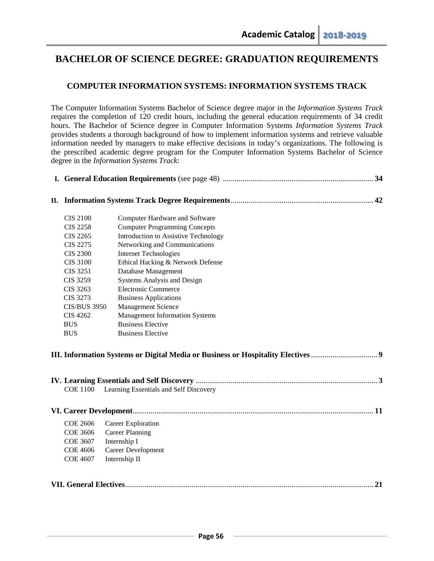# **COMPUTER INFORMATION SYSTEMS: INFORMATION SYSTEMS TRACK**

The Computer Information Systems Bachelor of Science degree major in the *Information Systems Track* requires the completion of 120 credit hours, including the general education requirements of 34 credit hours. The Bachelor of Science degree in Computer Information Systems *Information Systems Track* provides students a thorough background of how to implement information systems and retrieve valuable information needed by managers to make effective decisions in today's organizations. The following is the prescribed academic degree program for the Computer Information Systems Bachelor of Science degree in the *Information Systems Track*:

| П.                                                        |  |
|-----------------------------------------------------------|--|
|                                                           |  |
|                                                           |  |
| <b>CIS 2100</b><br>Computer Hardware and Software         |  |
| <b>Computer Programming Concepts</b><br><b>CIS 2258</b>   |  |
| Introduction to Assistive Technology<br><b>CIS 2265</b>   |  |
| Networking and Communications<br><b>CIS 2275</b>          |  |
| <b>CIS 2300</b><br><b>Internet Technologies</b>           |  |
| Ethical Hacking & Network Defense<br><b>CIS 3100</b>      |  |
| Database Management<br><b>CIS 3251</b>                    |  |
| <b>CIS 3259</b><br>Systems Analysis and Design            |  |
| Electronic Commerce<br><b>CIS 3263</b>                    |  |
| <b>CIS 3273</b><br><b>Business Applications</b>           |  |
| <b>Management Science</b><br><b>CIS/BUS 3950</b>          |  |
| <b>Management Information Systems</b><br><b>CIS 4262</b>  |  |
| <b>Business Elective</b><br><b>BUS</b>                    |  |
| <b>Business Elective</b><br><b>BUS</b>                    |  |
|                                                           |  |
|                                                           |  |
|                                                           |  |
|                                                           |  |
|                                                           |  |
| <b>COE 1100</b><br>Learning Essentials and Self Discovery |  |
|                                                           |  |
|                                                           |  |
|                                                           |  |
| <b>COE 2606</b><br>Career Exploration                     |  |
| <b>COE 3606</b><br><b>Career Planning</b>                 |  |
| <b>COE 3607</b><br>Internship I                           |  |
| Career Development<br><b>COE 4606</b>                     |  |
| Internship II<br><b>COE 4607</b>                          |  |
|                                                           |  |
|                                                           |  |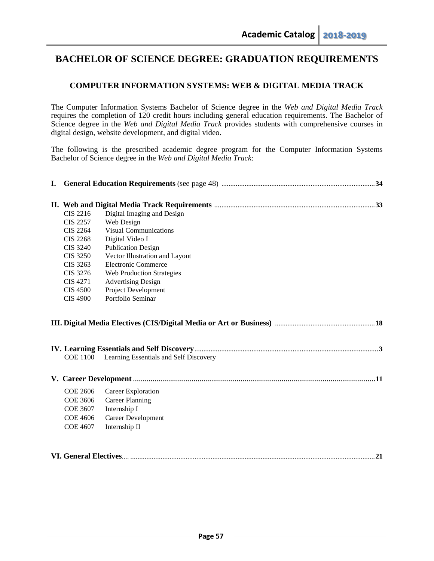# **COMPUTER INFORMATION SYSTEMS: WEB & DIGITAL MEDIA TRACK**

The Computer Information Systems Bachelor of Science degree in the *Web and Digital Media Track* requires the completion of 120 credit hours including general education requirements. The Bachelor of Science degree in the *Web and Digital Media Track* provides students with comprehensive courses in digital design, website development, and digital video.

The following is the prescribed academic degree program for the Computer Information Systems Bachelor of Science degree in the *Web and Digital Media Track*:

| <b>CIS 2216</b> | Digital Imaging and Design             |  |
|-----------------|----------------------------------------|--|
| <b>CIS 2257</b> | Web Design                             |  |
| <b>CIS 2264</b> | <b>Visual Communications</b>           |  |
| <b>CIS 2268</b> | Digital Video I                        |  |
| <b>CIS 3240</b> | <b>Publication Design</b>              |  |
| <b>CIS 3250</b> | Vector Illustration and Layout         |  |
| CIS 3263        | <b>Electronic Commerce</b>             |  |
| CIS 3276        | <b>Web Production Strategies</b>       |  |
| CIS 4271        | <b>Advertising Design</b>              |  |
| <b>CIS 4500</b> | <b>Project Development</b>             |  |
| <b>CIS 4900</b> | Portfolio Seminar                      |  |
|                 |                                        |  |
|                 |                                        |  |
| <b>COE 1100</b> | Learning Essentials and Self Discovery |  |
|                 |                                        |  |
| <b>COE 2606</b> | Career Exploration                     |  |
| <b>COE 3606</b> | <b>Career Planning</b>                 |  |
| <b>COE 3607</b> | Internship I                           |  |
| <b>COE 4606</b> | Career Development                     |  |
| <b>COE 4607</b> | Internship II                          |  |
|                 |                                        |  |
|                 |                                        |  |
|                 |                                        |  |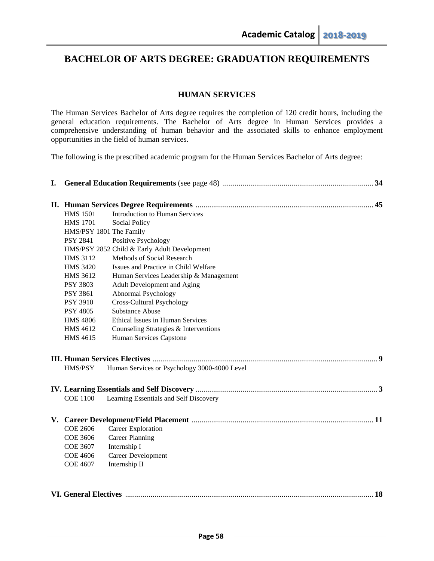# **HUMAN SERVICES**

The Human Services Bachelor of Arts degree requires the completion of 120 credit hours, including the general education requirements. The Bachelor of Arts degree in Human Services provides a comprehensive understanding of human behavior and the associated skills to enhance employment opportunities in the field of human services.

The following is the prescribed academic program for the Human Services Bachelor of Arts degree:

| I. |                         |                                              |  |
|----|-------------------------|----------------------------------------------|--|
|    |                         |                                              |  |
|    | <b>HMS 1501</b>         | <b>Introduction to Human Services</b>        |  |
|    | <b>HMS 1701</b>         | <b>Social Policy</b>                         |  |
|    | HMS/PSY 1801 The Family |                                              |  |
|    | <b>PSY 2841</b>         | Positive Psychology                          |  |
|    |                         | HMS/PSY 2852 Child & Early Adult Development |  |
|    | <b>HMS 3112</b>         | Methods of Social Research                   |  |
|    | <b>HMS 3420</b>         | Issues and Practice in Child Welfare         |  |
|    | <b>HMS 3612</b>         | Human Services Leadership & Management       |  |
|    | <b>PSY 3803</b>         | Adult Development and Aging                  |  |
|    | <b>PSY 3861</b>         | Abnormal Psychology                          |  |
|    | <b>PSY 3910</b>         | Cross-Cultural Psychology                    |  |
|    | <b>PSY 4805</b>         | <b>Substance Abuse</b>                       |  |
|    | <b>HMS 4806</b>         | <b>Ethical Issues in Human Services</b>      |  |
|    | <b>HMS 4612</b>         | Counseling Strategies & Interventions        |  |
|    | <b>HMS 4615</b>         | Human Services Capstone                      |  |
|    |                         |                                              |  |
|    | HMS/PSY                 | Human Services or Psychology 3000-4000 Level |  |
|    |                         |                                              |  |
|    | <b>COE 1100</b>         | Learning Essentials and Self Discovery       |  |
|    |                         |                                              |  |
|    | <b>COE 2606</b>         | Career Exploration                           |  |
|    | <b>COE 3606</b>         | <b>Career Planning</b>                       |  |
|    | <b>COE 3607</b>         | Internship I                                 |  |
|    | <b>COE 4606</b>         | Career Development                           |  |
|    | <b>COE 4607</b>         | Internship II                                |  |
|    |                         |                                              |  |
|    |                         |                                              |  |
|    |                         |                                              |  |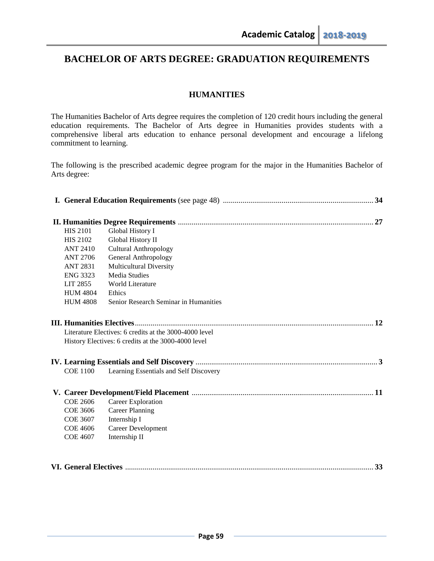# **HUMANITIES**

The Humanities Bachelor of Arts degree requires the completion of 120 credit hours including the general education requirements. The Bachelor of Arts degree in Humanities provides students with a comprehensive liberal arts education to enhance personal development and encourage a lifelong commitment to learning.

The following is the prescribed academic degree program for the major in the Humanities Bachelor of Arts degree:

| <b>HIS 2101</b> | Global History I                                       |    |
|-----------------|--------------------------------------------------------|----|
| <b>HIS 2102</b> | Global History II                                      |    |
| <b>ANT 2410</b> | <b>Cultural Anthropology</b>                           |    |
| <b>ANT 2706</b> | General Anthropology                                   |    |
| <b>ANT 2831</b> | <b>Multicultural Diversity</b>                         |    |
| <b>ENG 3323</b> | <b>Media Studies</b>                                   |    |
| LIT 2855        | <b>World Literature</b>                                |    |
| <b>HUM 4804</b> | Ethics                                                 |    |
| <b>HUM 4808</b> | Senior Research Seminar in Humanities                  |    |
|                 |                                                        |    |
|                 | Literature Electives: 6 credits at the 3000-4000 level |    |
|                 | History Electives: 6 credits at the 3000-4000 level    |    |
|                 |                                                        |    |
|                 |                                                        |    |
| <b>COE 1100</b> | Learning Essentials and Self Discovery                 |    |
|                 |                                                        |    |
| <b>COE 2606</b> | Career Exploration                                     |    |
| <b>COE 3606</b> | <b>Career Planning</b>                                 |    |
| <b>COE 3607</b> | Internship I                                           |    |
| <b>COE 4606</b> | Career Development                                     |    |
| <b>COE 4607</b> | Internship II                                          |    |
|                 |                                                        |    |
|                 |                                                        | 33 |
|                 |                                                        |    |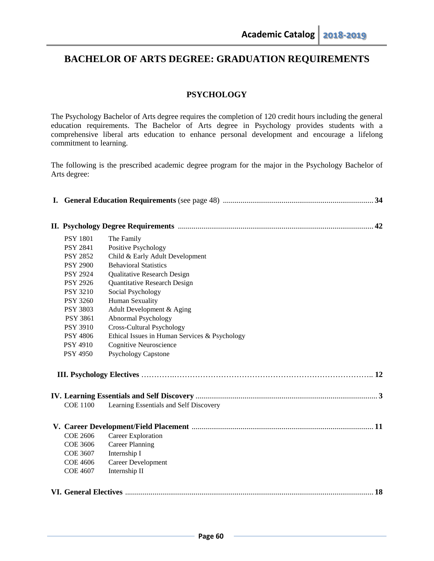# **PSYCHOLOGY**

The Psychology Bachelor of Arts degree requires the completion of 120 credit hours including the general education requirements. The Bachelor of Arts degree in Psychology provides students with a comprehensive liberal arts education to enhance personal development and encourage a lifelong commitment to learning.

The following is the prescribed academic degree program for the major in the Psychology Bachelor of Arts degree:

| <b>PSY 1801</b> | The Family                                    |
|-----------------|-----------------------------------------------|
| <b>PSY 2841</b> | Positive Psychology                           |
| <b>PSY 2852</b> | Child & Early Adult Development               |
| <b>PSY 2900</b> | <b>Behavioral Statistics</b>                  |
| <b>PSY 2924</b> | Qualitative Research Design                   |
| <b>PSY 2926</b> | Quantitative Research Design                  |
| <b>PSY 3210</b> | Social Psychology                             |
| <b>PSY 3260</b> | Human Sexuality                               |
| <b>PSY 3803</b> | Adult Development & Aging                     |
| PSY 3861        | Abnormal Psychology                           |
| <b>PSY 3910</b> | <b>Cross-Cultural Psychology</b>              |
| <b>PSY 4806</b> | Ethical Issues in Human Services & Psychology |
| <b>PSY 4910</b> | <b>Cognitive Neuroscience</b>                 |
| <b>PSY 4950</b> | <b>Psychology Capstone</b>                    |
|                 |                                               |
|                 |                                               |
|                 |                                               |
| <b>COE 1100</b> | Learning Essentials and Self Discovery        |
|                 |                                               |
| <b>COE 2606</b> | Career Exploration                            |
| <b>COE 3606</b> | <b>Career Planning</b>                        |
| <b>COE 3607</b> | Internship I                                  |
| <b>COE 4606</b> | Career Development                            |
| <b>COE 4607</b> | Internship II                                 |
|                 |                                               |
|                 |                                               |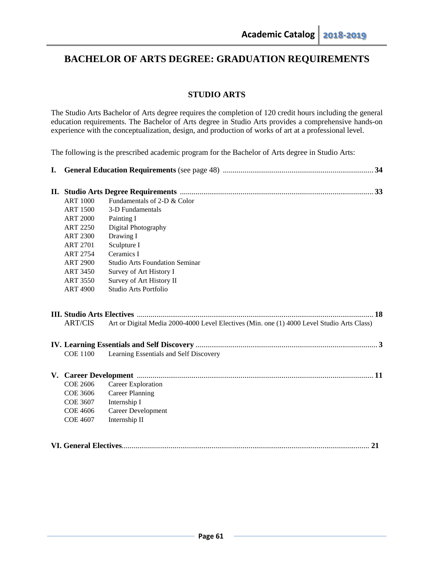# **STUDIO ARTS**

The Studio Arts Bachelor of Arts degree requires the completion of 120 credit hours including the general education requirements. The Bachelor of Arts degree in Studio Arts provides a comprehensive hands-on experience with the conceptualization, design, and production of works of art at a professional level.

The following is the prescribed academic program for the Bachelor of Arts degree in Studio Arts:

| <b>ART 1000</b> | Fundamentals of 2-D & Color                                                                |
|-----------------|--------------------------------------------------------------------------------------------|
| <b>ART 1500</b> | 3-D Fundamentals                                                                           |
| <b>ART 2000</b> | Painting I                                                                                 |
| <b>ART 2250</b> | Digital Photography                                                                        |
| <b>ART 2300</b> | Drawing I                                                                                  |
| <b>ART 2701</b> | Sculpture I                                                                                |
| <b>ART 2754</b> | Ceramics I                                                                                 |
| <b>ART 2900</b> | <b>Studio Arts Foundation Seminar</b>                                                      |
| <b>ART 3450</b> | Survey of Art History I                                                                    |
| <b>ART 3550</b> | Survey of Art History II                                                                   |
| <b>ART 4900</b> | Studio Arts Portfolio                                                                      |
|                 |                                                                                            |
|                 |                                                                                            |
| <b>ART/CIS</b>  | Art or Digital Media 2000-4000 Level Electives (Min. one (1) 4000 Level Studio Arts Class) |
|                 |                                                                                            |
| <b>COE 1100</b> | Learning Essentials and Self Discovery                                                     |
|                 |                                                                                            |
|                 |                                                                                            |
| <b>COE 2606</b> | Career Exploration                                                                         |
| <b>COE 3606</b> | <b>Career Planning</b>                                                                     |
| COE 3607        | Internship I                                                                               |
| <b>COE 4606</b> | <b>Career Development</b>                                                                  |
| <b>COE 4607</b> | Internship II                                                                              |
|                 |                                                                                            |
|                 |                                                                                            |
|                 |                                                                                            |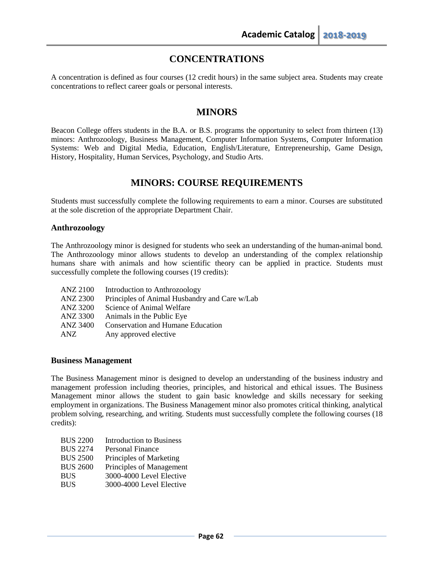# **CONCENTRATIONS**

A concentration is defined as four courses (12 credit hours) in the same subject area. Students may create concentrations to reflect career goals or personal interests.

# **MINORS**

Beacon College offers students in the B.A. or B.S. programs the opportunity to select from thirteen (13) minors: Anthrozoology, Business Management, Computer Information Systems, Computer Information Systems: Web and Digital Media, Education, English/Literature, Entrepreneurship, Game Design, History, Hospitality, Human Services, Psychology, and Studio Arts.

# **MINORS: COURSE REQUIREMENTS**

Students must successfully complete the following requirements to earn a minor. Courses are substituted at the sole discretion of the appropriate Department Chair.

## **Anthrozoology**

The Anthrozoology minor is designed for students who seek an understanding of the human-animal bond. The Anthrozoology minor allows students to develop an understanding of the complex relationship humans share with animals and how scientific theory can be applied in practice. Students must successfully complete the following courses (19 credits):

- ANZ 2100 Introduction to Anthrozoology
- ANZ 2300 Principles of Animal Husbandry and Care w/Lab
- ANZ 3200 Science of Animal Welfare
- ANZ 3300 Animals in the Public Eye
- ANZ 3400 Conservation and Humane Education
- ANZ Any approved elective

# **Business Management**

The Business Management minor is designed to develop an understanding of the business industry and management profession including theories, principles, and historical and ethical issues. The Business Management minor allows the student to gain basic knowledge and skills necessary for seeking employment in organizations. The Business Management minor also promotes critical thinking, analytical problem solving, researching, and writing. Students must successfully complete the following courses (18 credits):

| <b>BUS 2200</b> | <b>Introduction to Business</b> |
|-----------------|---------------------------------|
| <b>BUS 2274</b> | <b>Personal Finance</b>         |
| <b>BUS 2500</b> | Principles of Marketing         |
| <b>BUS 2600</b> | Principles of Management        |
| <b>BUS</b>      | 3000-4000 Level Elective        |
| <b>BUS</b>      | 3000-4000 Level Elective        |
|                 |                                 |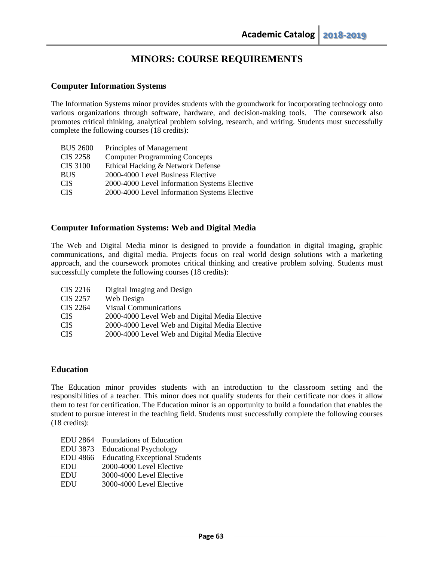## **Computer Information Systems**

The Information Systems minor provides students with the groundwork for incorporating technology onto various organizations through software, hardware, and decision-making tools. The coursework also promotes critical thinking, analytical problem solving, research, and writing. Students must successfully complete the following courses (18 credits):

| <b>CIS 2258</b><br><b>Computer Programming Concepts</b><br><b>CIS 3100</b><br>Ethical Hacking & Network Defense<br>2000-4000 Level Business Elective<br><b>BUS</b><br><b>CIS</b><br><b>CIS</b> | <b>BUS 2600</b> | Principles of Management                     |
|------------------------------------------------------------------------------------------------------------------------------------------------------------------------------------------------|-----------------|----------------------------------------------|
|                                                                                                                                                                                                |                 |                                              |
|                                                                                                                                                                                                |                 |                                              |
|                                                                                                                                                                                                |                 |                                              |
|                                                                                                                                                                                                |                 | 2000-4000 Level Information Systems Elective |
|                                                                                                                                                                                                |                 | 2000-4000 Level Information Systems Elective |

# **Computer Information Systems: Web and Digital Media**

The Web and Digital Media minor is designed to provide a foundation in digital imaging, graphic communications, and digital media. Projects focus on real world design solutions with a marketing approach, and the coursework promotes critical thinking and creative problem solving. Students must successfully complete the following courses (18 credits):

| CIS 2216        | Digital Imaging and Design                     |
|-----------------|------------------------------------------------|
| CIS 2257        | Web Design                                     |
| <b>CIS 2264</b> | <b>Visual Communications</b>                   |
| <b>CIS</b>      | 2000-4000 Level Web and Digital Media Elective |
| <b>CIS</b>      | 2000-4000 Level Web and Digital Media Elective |
| <b>CIS</b>      | 2000-4000 Level Web and Digital Media Elective |

### **Education**

The Education minor provides students with an introduction to the classroom setting and the responsibilities of a teacher. This minor does not qualify students for their certificate nor does it allow them to test for certification. The Education minor is an opportunity to build a foundation that enables the student to pursue interest in the teaching field. Students must successfully complete the following courses (18 credits):

| <b>EDU</b> 2864 | <b>Foundations of Education</b>       |
|-----------------|---------------------------------------|
| EDU 3873        | <b>Educational Psychology</b>         |
| <b>EDU</b> 4866 | <b>Educating Exceptional Students</b> |
| <b>EDU</b>      | 2000-4000 Level Elective              |
| <b>EDU</b>      | 3000-4000 Level Elective              |
| <b>EDU</b>      | 3000-4000 Level Elective              |
|                 |                                       |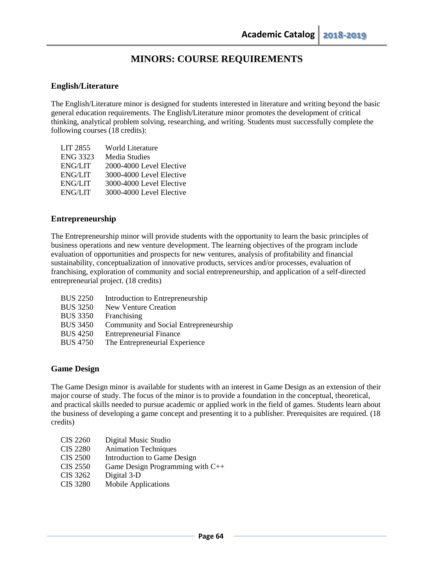# **English/Literature**

The English/Literature minor is designed for students interested in literature and writing beyond the basic general education requirements. The English/Literature minor promotes the development of critical thinking, analytical problem solving, researching, and writing. Students must successfully complete the following courses (18 credits):

| LIT 2855        | World Literature         |
|-----------------|--------------------------|
| <b>ENG 3323</b> | Media Studies            |
| <b>ENG/LIT</b>  | 2000-4000 Level Elective |
| <b>ENG/LIT</b>  | 3000-4000 Level Elective |
| <b>ENG/LIT</b>  | 3000-4000 Level Elective |
| <b>ENG/LIT</b>  | 3000-4000 Level Elective |

## **Entrepreneurship**

The Entrepreneurship minor will provide students with the opportunity to learn the basic principles of business operations and new venture development. The learning objectives of the program include evaluation of opportunities and prospects for new ventures, analysis of profitability and financial sustainability, conceptualization of innovative products, services and/or processes, evaluation of franchising, exploration of community and social entrepreneurship, and application of a self-directed entrepreneurial project. (18 credits)

| <b>BUS 2250</b> | Introduction to Entrepreneurship      |
|-----------------|---------------------------------------|
| <b>BUS 3250</b> | <b>New Venture Creation</b>           |
| <b>BUS 3350</b> | Franchising                           |
| <b>BUS 3450</b> | Community and Social Entrepreneurship |
| <b>BUS 4250</b> | <b>Entrepreneurial Finance</b>        |
| <b>BUS 4750</b> | The Entrepreneurial Experience        |
|                 |                                       |

### **Game Design**

The Game Design minor is available for students with an interest in Game Design as an extension of their major course of study. The focus of the minor is to provide a foundation in the conceptual, theoretical, and practical skills needed to pursue academic or applied work in the field of games. Students learn about the business of developing a game concept and presenting it to a publisher. Prerequisites are required. (18 credits)

| <b>CIS 2260</b> | Digital Music Studio             |
|-----------------|----------------------------------|
| <b>CIS 2280</b> | <b>Animation Techniques</b>      |
| <b>CIS 2500</b> | Introduction to Game Design      |
| CIS 2550        | Game Design Programming with C++ |
| CIS 3262        | Digital 3-D                      |
| <b>CIS 3280</b> | <b>Mobile Applications</b>       |
|                 |                                  |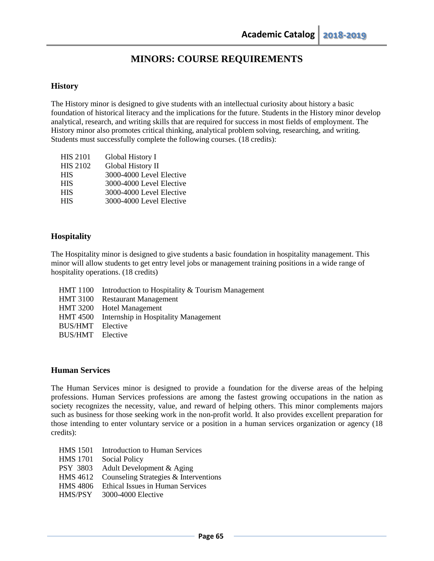## **History**

The History minor is designed to give students with an intellectual curiosity about history a basic foundation of historical literacy and the implications for the future. Students in the History minor develop analytical, research, and writing skills that are required for success in most fields of employment. The History minor also promotes critical thinking, analytical problem solving, researching, and writing. Students must successfully complete the following courses. (18 credits):

| <b>HIS 2101</b> | Global History I         |
|-----------------|--------------------------|
| <b>HIS 2102</b> | Global History II        |
| <b>HIS</b>      | 3000-4000 Level Elective |
| <b>HIS</b>      | 3000-4000 Level Elective |
| <b>HIS</b>      | 3000-4000 Level Elective |
| <b>HIS</b>      | 3000-4000 Level Elective |
|                 |                          |

# **Hospitality**

The Hospitality minor is designed to give students a basic foundation in hospitality management. This minor will allow students to get entry level jobs or management training positions in a wide range of hospitality operations. (18 credits)

- HMT 1100 Introduction to Hospitality & Tourism Management
- HMT 3100 Restaurant Management HMT 3200 Hotel Management
- HMT 4500 Internship in Hospitality Management
- 
- BUS/HMT Elective
- BUS/HMT Elective

### **Human Services**

The Human Services minor is designed to provide a foundation for the diverse areas of the helping professions. Human Services professions are among the fastest growing occupations in the nation as society recognizes the necessity, value, and reward of helping others. This minor complements majors such as business for those seeking work in the non-profit world. It also provides excellent preparation for those intending to enter voluntary service or a position in a human services organization or agency (18 credits):

- HMS 1501 Introduction to Human Services
- HMS 1701 Social Policy
- PSY 3803 Adult Development & Aging
- HMS 4612 Counseling Strategies & Interventions
- HMS 4806 Ethical Issues in Human Services
- HMS/PSY 3000-4000 Elective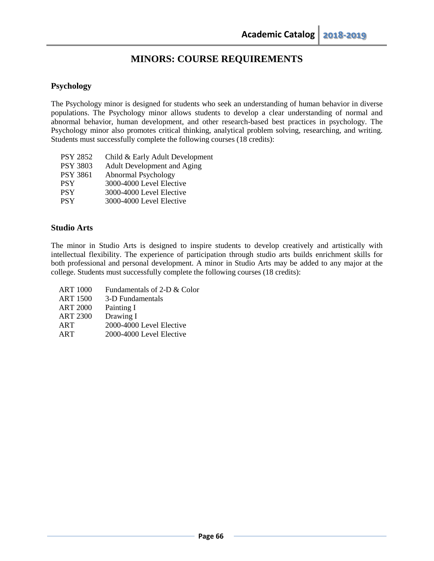# **Psychology**

The Psychology minor is designed for students who seek an understanding of human behavior in diverse populations. The Psychology minor allows students to develop a clear understanding of normal and abnormal behavior, human development, and other research-based best practices in psychology. The Psychology minor also promotes critical thinking, analytical problem solving, researching, and writing. Students must successfully complete the following courses (18 credits):

| <b>PSY 2852</b> | Child & Early Adult Development |
|-----------------|---------------------------------|
| <b>PSY 3803</b> | Adult Development and Aging     |
| <b>PSY 3861</b> | Abnormal Psychology             |
| <b>PSY</b>      | 3000-4000 Level Elective        |
| <b>PSY</b>      | 3000-4000 Level Elective        |
| <b>PSY</b>      | 3000-4000 Level Elective        |
|                 |                                 |

# **Studio Arts**

The minor in Studio Arts is designed to inspire students to develop creatively and artistically with intellectual flexibility. The experience of participation through studio arts builds enrichment skills for both professional and personal development. A minor in Studio Arts may be added to any major at the college. Students must successfully complete the following courses (18 credits):

ART 1000 Fundamentals of 2-D & Color ART 1500 3-D Fundamentals ART 2000 Painting I ART 2300 Drawing I ART 2000-4000 Level Elective ART 2000-4000 Level Elective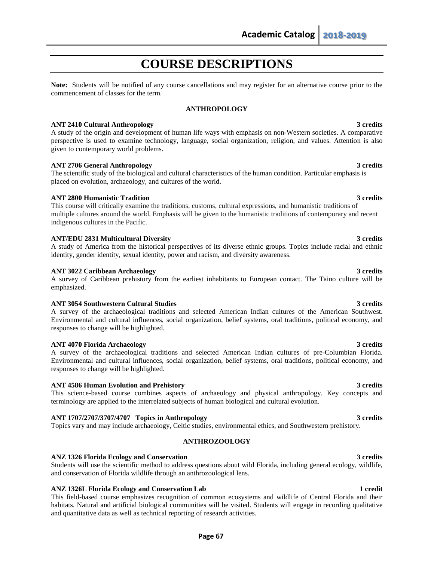# **COURSE DESCRIPTIONS**

**Note:** Students will be notified of any course cancellations and may register for an alternative course prior to the commencement of classes for the term.

### **ANTHROPOLOGY**

### **ANT 2410 Cultural Anthropology 3 credits**

A study of the origin and development of human life ways with emphasis on non-Western societies. A comparative perspective is used to examine technology, language, social organization, religion, and values. Attention is also given to contemporary world problems.

### **ANT 2706 General Anthropology 3 credits**

The scientific study of the biological and cultural characteristics of the human condition. Particular emphasis is placed on evolution, archaeology, and cultures of the world.

### **ANT 2800 Humanistic Tradition 3 credits**

This course will critically examine the traditions, customs, cultural expressions, and humanistic traditions of multiple cultures around the world. Emphasis will be given to the humanistic traditions of contemporary and recent indigenous cultures in the Pacific.

### **ANT/EDU 2831 Multicultural Diversity 3 credits**

A study of America from the historical perspectives of its diverse ethnic groups. Topics include racial and ethnic identity, gender identity, sexual identity, power and racism, and diversity awareness.

### **ANT 3022 Caribbean Archaeology 3 credits**

A survey of Caribbean prehistory from the earliest inhabitants to European contact. The Taino culture will be emphasized.

### **ANT 3054 Southwestern Cultural Studies 3 credits**

A survey of the archaeological traditions and selected American Indian cultures of the American Southwest. Environmental and cultural influences, social organization, belief systems, oral traditions, political economy, and responses to change will be highlighted.

### **ANT 4070 Florida Archaeology 3 credits**

A survey of the archaeological traditions and selected American Indian cultures of pre-Columbian Florida. Environmental and cultural influences, social organization, belief systems, oral traditions, political economy, and responses to change will be highlighted.

### **ANT 4586 Human Evolution and Prehistory 3 credits**

This science-based course combines aspects of archaeology and physical anthropology. Key concepts and terminology are applied to the interrelated subjects of human biological and cultural evolution.

### **ANT 1707/2707/3707/4707 Topics in Anthropology 3 credits**

Topics vary and may include archaeology, Celtic studies, environmental ethics, and Southwestern prehistory.

### **ANTHROZOOLOGY**

### **ANZ 1326 Florida Ecology and Conservation 3 credits**

Students will use the scientific method to address questions about wild Florida, including general ecology, wildlife, and conservation of Florida wildlife through an anthrozoological lens.

### **ANZ 1326L Florida Ecology and Conservation Lab 1 credit**

This field-based course emphasizes recognition of common ecosystems and wildlife of Central Florida and their habitats. Natural and artificial biological communities will be visited. Students will engage in recording qualitative and quantitative data as well as technical reporting of research activities.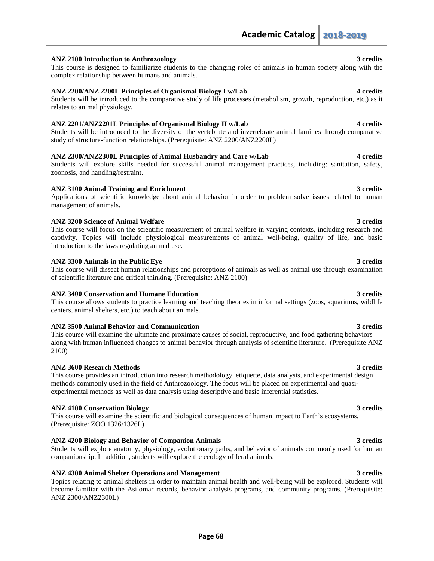### **ANZ 2100 Introduction to Anthrozoology 3 credits**

This course is designed to familiarize students to the changing roles of animals in human society along with the complex relationship between humans and animals.

### **ANZ 2200/ANZ 2200L Principles of Organismal Biology I w/Lab 4 credits**

Students will be introduced to the comparative study of life processes (metabolism, growth, reproduction, etc.) as it relates to animal physiology.

### **ANZ 2201/ANZ2201L Principles of Organismal Biology II w/Lab 4 credits**

Students will be introduced to the diversity of the vertebrate and invertebrate animal families through comparative study of structure-function relationships. (Prerequisite: ANZ 2200/ANZ2200L)

### **ANZ 2300/ANZ2300L Principles of Animal Husbandry and Care w/Lab 4 credits**

Students will explore skills needed for successful animal management practices, including: sanitation, safety, zoonosis, and handling/restraint.

### **ANZ 3100 Animal Training and Enrichment 3 credits**

Applications of scientific knowledge about animal behavior in order to problem solve issues related to human management of animals.

### **ANZ 3200 Science of Animal Welfare 3 credits**

This course will focus on the scientific measurement of animal welfare in varying contexts, including research and captivity. Topics will include physiological measurements of animal well-being, quality of life, and basic introduction to the laws regulating animal use.

### **ANZ 3300 Animals in the Public Eye 3 credits**

This course will dissect human relationships and perceptions of animals as well as animal use through examination of scientific literature and critical thinking. (Prerequisite: ANZ 2100)

### **ANZ 3400 Conservation and Humane Education 3 credits**

This course allows students to practice learning and teaching theories in informal settings (zoos, aquariums, wildlife centers, animal shelters, etc.) to teach about animals.

### **ANZ 3500 Animal Behavior and Communication 3 credits**

This course will examine the ultimate and proximate causes of social, reproductive, and food gathering behaviors along with human influenced changes to animal behavior through analysis of scientific literature. (Prerequisite ANZ 2100)

### **ANZ 3600 Research Methods 3 credits**

This course provides an introduction into research methodology, etiquette, data analysis, and experimental design methods commonly used in the field of Anthrozoology. The focus will be placed on experimental and quasiexperimental methods as well as data analysis using descriptive and basic inferential statistics.

### **ANZ 4100 Conservation Biology 3 credits**

This course will examine the scientific and biological consequences of human impact to Earth's ecosystems. (Prerequisite: ZOO 1326/1326L)

### **ANZ 4200 Biology and Behavior of Companion Animals 3 credits**

Students will explore anatomy, physiology, evolutionary paths, and behavior of animals commonly used for human companionship. In addition, students will explore the ecology of feral animals.

### **ANZ 4300 Animal Shelter Operations and Management 3 credits**

Topics relating to animal shelters in order to maintain animal health and well-being will be explored. Students will become familiar with the Asilomar records, behavior analysis programs, and community programs. (Prerequisite: ANZ 2300/ANZ2300L)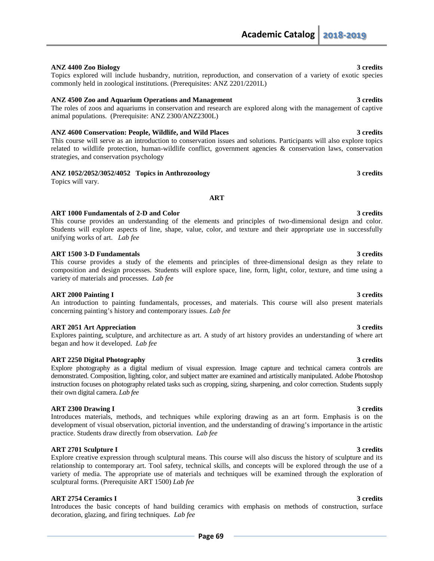### **ANZ 4400 Zoo Biology 3 credits**

## Topics explored will include husbandry, nutrition, reproduction, and conservation of a variety of exotic species commonly held in zoological institutions. (Prerequisites: ANZ 2201/2201L)

### **ANZ 4500 Zoo and Aquarium Operations and Management 3 credits**

The roles of zoos and aquariums in conservation and research are explored along with the management of captive animal populations. (Prerequisite: ANZ 2300/ANZ2300L)

### **ANZ 4600 Conservation: People, Wildlife, and Wild Places 3 credits**

This course will serve as an introduction to conservation issues and solutions. Participants will also explore topics related to wildlife protection, human-wildlife conflict, government agencies & conservation laws, conservation strategies, and conservation psychology

### **ANZ 1052/2052/3052/4052 Topics in Anthrozoology 3 credits**

Topics will vary.

### ART 1000 Fundamentals of 2-D and Color 3 credits **3** credits

This course provides an understanding of the elements and principles of two-dimensional design and color. Students will explore aspects of line, shape, value, color, and texture and their appropriate use in successfully unifying works of art. *Lab fee*

**ART**

### **ART 1500 3-D Fundamentals** 3 credits

This course provides a study of the elements and principles of three-dimensional design as they relate to composition and design processes. Students will explore space, line, form, light, color, texture, and time using a variety of materials and processes. *Lab fee*

### **ART 2000 Painting I 3 credits**

### An introduction to painting fundamentals, processes, and materials. This course will also present materials concerning painting's history and contemporary issues. *Lab fee*

### **ART 2051 Art Appreciation 3 credits**

Explores painting, sculpture, and architecture as art. A study of art history provides an understanding of where art began and how it developed. *Lab fee*

### **ART 2250 Digital Photography 3 credits**

Explore photography as a digital medium of visual expression. Image capture and technical camera controls are demonstrated. Composition, lighting, color, and subject matter are examined and artistically manipulated. Adobe Photoshop instruction focuses on photography related tasks such as cropping, sizing, sharpening, and color correction. Students supply their own digital camera. *Lab fee* 

### **ART 2300 Drawing I** 3 credits

Introduces materials, methods, and techniques while exploring drawing as an art form. Emphasis is on the development of visual observation, pictorial invention, and the understanding of drawing's importance in the artistic practice. Students draw directly from observation. *Lab fee*

### **ART 2701 Sculpture I** 3 credits

Explore creative expression through sculptural means. This course will also discuss the history of sculpture and its relationship to contemporary art. Tool safety, technical skills, and concepts will be explored through the use of a variety of media. The appropriate use of materials and techniques will be examined through the exploration of sculptural forms. (Prerequisite ART 1500) *Lab fee*

### **ART 2754 Ceramics I** 3 credits

Introduces the basic concepts of hand building ceramics with emphasis on methods of construction, surface decoration, glazing, and firing techniques. *Lab fee*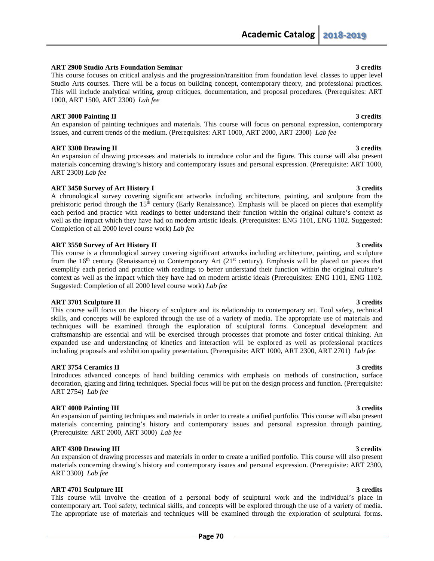### **ART 2900 Studio Arts Foundation Seminar 3 credits**

This course focuses on critical analysis and the progression/transition from foundation level classes to upper level Studio Arts courses. There will be a focus on building concept, contemporary theory, and professional practices. This will include analytical writing, group critiques, documentation, and proposal procedures. (Prerequisites: ART 1000, ART 1500, ART 2300) *Lab fee*

### **ART 3000 Painting II** 3 credits

An expansion of painting techniques and materials. This course will focus on personal expression, contemporary issues, and current trends of the medium. (Prerequisites: ART 1000, ART 2000, ART 2300) *Lab fee*

### **ART 3300 Drawing II** 3 credits

An expansion of drawing processes and materials to introduce color and the figure. This course will also present materials concerning drawing's history and contemporary issues and personal expression. (Prerequisite: ART 1000, ART 2300) *Lab fee*

### **ART 3450 Survey of Art History I 3 credits**

A chronological survey covering significant artworks including architecture, painting, and sculpture from the prehistoric period through the 15th century (Early Renaissance). Emphasis will be placed on pieces that exemplify each period and practice with readings to better understand their function within the original culture's context as well as the impact which they have had on modern artistic ideals. (Prerequisites: ENG 1101, ENG 1102. Suggested: Completion of all 2000 level course work) *Lab fee*

### **ART 3550 Survey of Art History II** 3 credits

This course is a chronological survey covering significant artworks including architecture, painting, and sculpture from the 16<sup>th</sup> century (Renaissance) to Contemporary Art (21<sup>st</sup> century). Emphasis will be placed on pieces that exemplify each period and practice with readings to better understand their function within the original culture's context as well as the impact which they have had on modern artistic ideals (Prerequisites: ENG 1101, ENG 1102. Suggested: Completion of all 2000 level course work) *Lab fee*

### **ART 3701 Sculpture II** 3 credits

This course will focus on the history of sculpture and its relationship to contemporary art. Tool safety, technical skills, and concepts will be explored through the use of a variety of media. The appropriate use of materials and techniques will be examined through the exploration of sculptural forms. Conceptual development and craftsmanship are essential and will be exercised through processes that promote and foster critical thinking. An expanded use and understanding of kinetics and interaction will be explored as well as professional practices including proposals and exhibition quality presentation. (Prerequisite: ART 1000, ART 2300, ART 2701) *Lab fee*

### **ART 3754 Ceramics II** 3 and 3 and 3 and 3 and 3 and 3 and 3 and 3 and 3 and 3 and 3 and 3 and 3 and 3 and 3 and 3 and 3 and 3 and 3 and 3 and 3 and 3 and 3 and 3 and 3 and 3 and 3 and 3 and 3 and 3 and 3 and 3 and 3 and 3

Introduces advanced concepts of hand building ceramics with emphasis on methods of construction, surface decoration, glazing and firing techniques. Special focus will be put on the design process and function. (Prerequisite: ART 2754) *Lab fee*

### **ART 4000 Painting III** 3 credits

An expansion of painting techniques and materials in order to create a unified portfolio. This course will also present materials concerning painting's history and contemporary issues and personal expression through painting. (Prerequisite: ART 2000, ART 3000) *Lab fee*

### **ART 4300 Drawing III** 3 credits

An expansion of drawing processes and materials in order to create a unified portfolio. This course will also present materials concerning drawing's history and contemporary issues and personal expression. (Prerequisite: ART 2300, ART 3300) *Lab fee*

### **ART 4701 Sculpture III** 3 credits

This course will involve the creation of a personal body of sculptural work and the individual's place in contemporary art. Tool safety, technical skills, and concepts will be explored through the use of a variety of media. The appropriate use of materials and techniques will be examined through the exploration of sculptural forms.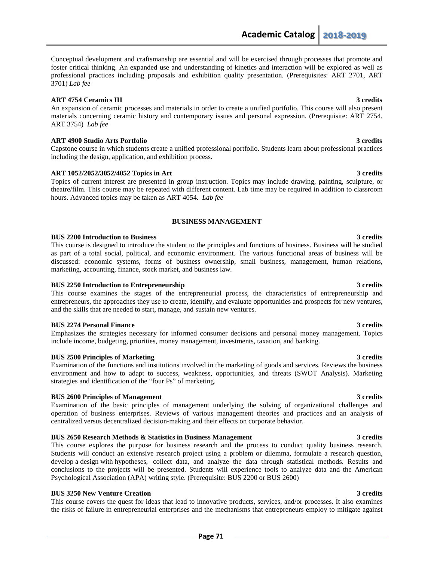Conceptual development and craftsmanship are essential and will be exercised through processes that promote and foster critical thinking. An expanded use and understanding of kinetics and interaction will be explored as well as professional practices including proposals and exhibition quality presentation. (Prerequisites: ART 2701, ART 3701) *Lab fee*

### **ART 4754 Ceramics III** 3 and 3 and 3 and 3 and 3 and 3 and 3 and 3 and 3 and 3 and 4 and 4 and 4 and 4 and 4 and 4 and 4 and 4 and 4 and 4 and 4 and 4 and 4 and 4 and 4 and 4 and 4 and 4 and 4 and 4 and 4 and 4 and 4 and

An expansion of ceramic processes and materials in order to create a unified portfolio. This course will also present materials concerning ceramic history and contemporary issues and personal expression. (Prerequisite: ART 2754, ART 3754) *Lab fee*

### **ART 4900 Studio Arts Portfolio 3 credits**

Capstone course in which students create a unified professional portfolio. Students learn about professional practices including the design, application, and exhibition process.

## **ART 1052/2052/3052/4052 Topics in Art 3 credits**

Topics of current interest are presented in group instruction. Topics may include drawing, painting, sculpture, or theatre/film. This course may be repeated with different content. Lab time may be required in addition to classroom hours. Advanced topics may be taken as ART 4054. *Lab fee*

## **BUSINESS MANAGEMENT**

### **BUS 2200 Introduction to Business 3 credits**

This course is designed to introduce the student to the principles and functions of business. Business will be studied as part of a total social, political, and economic environment. The various functional areas of business will be discussed: economic systems, forms of business ownership, small business, management, human relations, marketing, accounting, finance, stock market, and business law.

### **BUS 2250 Introduction to Entrepreneurship 3 credits 3 credits**

This course examines the stages of the entrepreneurial process, the characteristics of entrepreneurship and entrepreneurs, the approaches they use to create, identify, and evaluate opportunities and prospects for new ventures, and the skills that are needed to start, manage, and sustain new ventures.

### **BUS 2274 Personal Finance** 3 credits **3** credits

Emphasizes the strategies necessary for informed consumer decisions and personal money management. Topics include income, budgeting, priorities, money management, investments, taxation, and banking.

### **BUS 2500 Principles of Marketing 3 credits 3 credits 3 credits 3 credits 3 credits 3 credits 3 credits 3 credits 3 credits 3 credits 3 credits 3 credits 3 credits 3 credits 3 credits 3 credits 3 credits 3 credits 3 credit**

Examination of the functions and institutions involved in the marketing of goods and services. Reviews the business environment and how to adapt to success, weakness, opportunities, and threats (SWOT Analysis). Marketing strategies and identification of the "four Ps" of marketing.

### **BUS 2600 Principles of Management 3 credits**

Examination of the basic principles of management underlying the solving of organizational challenges and operation of business enterprises. Reviews of various management theories and practices and an analysis of centralized versus decentralized decision-making and their effects on corporate behavior.

### **BUS 2650 Research Methods & Statistics in Business Management 3 credits**

This course explores the purpose for business research and the process to conduct quality business research. Students will conduct an extensive research project using a problem or dilemma, formulate a research question, develop a design with hypotheses, collect data, and analyze the data through statistical methods. Results and conclusions to the projects will be presented. Students will experience tools to analyze data and the American Psychological Association (APA) writing style. (Prerequisite: BUS 2200 or BUS 2600)

### **BUS 3250 New Venture Creation 3 credits**

This course covers the quest for ideas that lead to innovative products, services, and/or processes. It also examines the risks of failure in entrepreneurial enterprises and the mechanisms that entrepreneurs employ to mitigate against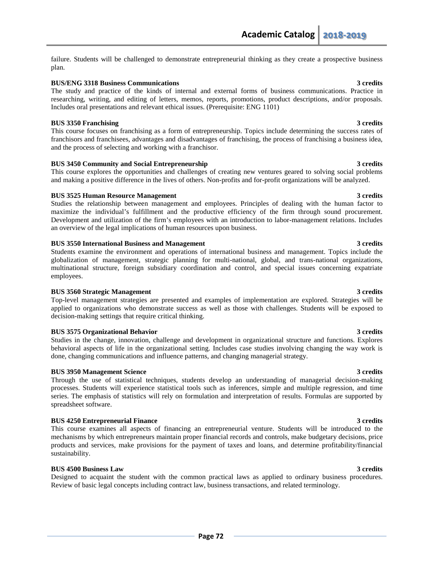failure. Students will be challenged to demonstrate entrepreneurial thinking as they create a prospective business plan.

### **BUS/ENG 3318 Business Communications** 3 credits

The study and practice of the kinds of internal and external forms of business communications. Practice in researching, writing, and editing of letters, memos, reports, promotions, product descriptions, and/or proposals. Includes oral presentations and relevant ethical issues. (Prerequisite: ENG 1101)

### **BUS 3350 Franchising 3 credits**  $\frac{3}{2}$  3 credits **3** 3 credits

This course focuses on franchising as a form of entrepreneurship. Topics include determining the success rates of franchisors and franchisees, advantages and disadvantages of franchising, the process of franchising a business idea, and the process of selecting and working with a franchisor.

### **BUS 3450 Community and Social Entrepreneurship 3 credits**

This course explores the opportunities and challenges of creating new ventures geared to solving social problems and making a positive difference in the lives of others. Non-profits and for-profit organizations will be analyzed.

### **BUS 3525 Human Resource Management** 3 credits 3 credits **3** 3 credits

Studies the relationship between management and employees. Principles of dealing with the human factor to maximize the individual's fulfillment and the productive efficiency of the firm through sound procurement. Development and utilization of the firm's employees with an introduction to labor-management relations. Includes an overview of the legal implications of human resources upon business.

### **BUS 3550 International Business and Management 3 credits**

Students examine the environment and operations of international business and management. Topics include the globalization of management, strategic planning for multi-national, global, and trans-national organizations, multinational structure, foreign subsidiary coordination and control, and special issues concerning expatriate employees.

### **BUS 3560 Strategic Management 3 credits**

Top-level management strategies are presented and examples of implementation are explored. Strategies will be applied to organizations who demonstrate success as well as those with challenges. Students will be exposed to decision-making settings that require critical thinking.

### **BUS 3575 Organizational Behavior** 3 credits **3** credits

Studies in the change, innovation, challenge and development in organizational structure and functions. Explores behavioral aspects of life in the organizational setting. Includes case studies involving changing the way work is done, changing communications and influence patterns, and changing managerial strategy.

### **BUS 3950 Management Science 3 credits 3 credits**

Through the use of statistical techniques, students develop an understanding of managerial decision-making processes. Students will experience statistical tools such as inferences, simple and multiple regression, and time series. The emphasis of statistics will rely on formulation and interpretation of results. Formulas are supported by spreadsheet software.

### **BUS 4250 Entrepreneurial Finance 3 credits 3 credits**

This course examines all aspects of financing an entrepreneurial venture. Students will be introduced to the mechanisms by which entrepreneurs maintain proper financial records and controls, make budgetary decisions, price products and services, make provisions for the payment of taxes and loans, and determine profitability/financial sustainability.

### **BUS 4500 Business Law 3 credits**

Designed to acquaint the student with the common practical laws as applied to ordinary business procedures. Review of basic legal concepts including contract law, business transactions, and related terminology.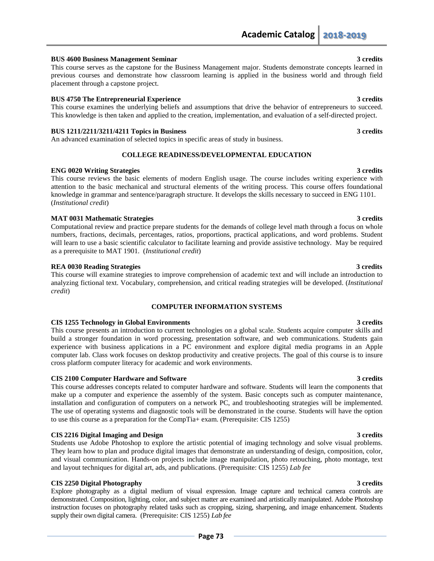### **BUS 4600 Business Management Seminar 3 credits**

This course serves as the capstone for the Business Management major. Students demonstrate concepts learned in previous courses and demonstrate how classroom learning is applied in the business world and through field placement through a capstone project.

### **BUS 4750 The Entrepreneurial Experience 3 credits 3 credits 3 credits**

This course examines the underlying beliefs and assumptions that drive the behavior of entrepreneurs to succeed. This knowledge is then taken and applied to the creation, implementation, and evaluation of a self-directed project.

### **BUS 1211/2211/3211/4211 Topics in Business 3 credits**

An advanced examination of selected topics in specific areas of study in business.

### **COLLEGE READINESS/DEVELOPMENTAL EDUCATION**

### **ENG 0020 Writing Strategies 3 credits**

This course reviews the basic elements of modern English usage. The course includes writing experience with attention to the basic mechanical and structural elements of the writing process. This course offers foundational knowledge in grammar and sentence/paragraph structure. It develops the skills necessary to succeed in ENG 1101. (*Institutional credit*)

### **MAT 0031 Mathematic Strategies 3 credits**

Computational review and practice prepare students for the demands of college level math through a focus on whole numbers, fractions, decimals, percentages, ratios, proportions, practical applications, and word problems. Student will learn to use a basic scientific calculator to facilitate learning and provide assistive technology. May be required as a prerequisite to MAT 1901. (*Institutional credit*)

### **REA 0030 Reading Strategies 3 credits**

This course will examine strategies to improve comprehension of academic text and will include an introduction to analyzing fictional text. Vocabulary, comprehension, and critical reading strategies will be developed. (*Institutional credit*)

### **COMPUTER INFORMATION SYSTEMS**

### **CIS 1255 Technology in Global Environments 3 credits**

This course presents an introduction to current technologies on a global scale. Students acquire computer skills and build a stronger foundation in word processing, presentation software, and web communications. Students gain experience with business applications in a PC environment and explore digital media programs in an Apple computer lab. Class work focuses on desktop productivity and creative projects. The goal of this course is to insure cross platform computer literacy for academic and work environments.

### **CIS 2100 Computer Hardware and Software 3 credits 3 credits 3 credits**

This course addresses concepts related to computer hardware and software. Students will learn the components that make up a computer and experience the assembly of the system. Basic concepts such as computer maintenance, installation and configuration of computers on a network PC, and troubleshooting strategies will be implemented. The use of operating systems and diagnostic tools will be demonstrated in the course. Students will have the option to use this course as a preparation for the CompTia+ exam. (Prerequisite: CIS 1255)

### **CIS 2216 Digital Imaging and Design 3 credits**

Students use Adobe Photoshop to explore the artistic potential of imaging technology and solve visual problems. They learn how to plan and produce digital images that demonstrate an understanding of design, composition, color, and visual communication. Hands-on projects include image manipulation, photo retouching, photo montage, text and layout techniques for digital art, ads, and publications. (Prerequisite: CIS 1255) *Lab fee*

# **CIS 2250 Digital Photography 3 credits**

Explore photography as a digital medium of visual expression. Image capture and technical camera controls are demonstrated. Composition, lighting, color, and subject matter are examined and artistically manipulated. Adobe Photoshop instruction focuses on photography related tasks such as cropping, sizing, sharpening, and image enhancement. Students supply their own digital camera. (Prerequisite: CIS 1255) *Lab fee*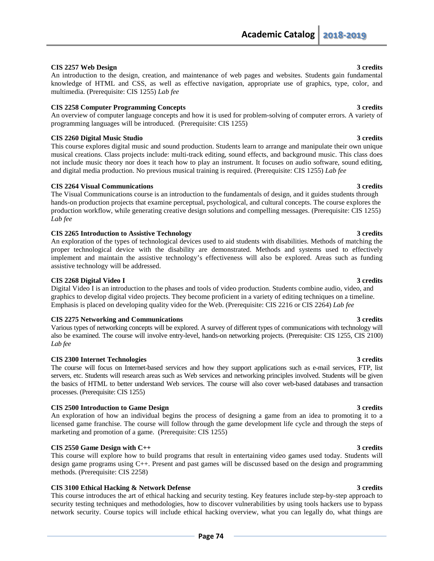## **CIS 2257 Web Design 3 credits**

An introduction to the design, creation, and maintenance of web pages and websites. Students gain fundamental knowledge of HTML and CSS, as well as effective navigation, appropriate use of graphics, type, color, and multimedia. (Prerequisite: CIS 1255) *Lab fee*

### **CIS 2258 Computer Programming Concepts 3 credits**

An overview of computer language concepts and how it is used for problem-solving of computer errors. A variety of programming languages will be introduced. (Prerequisite: CIS 1255)

## **CIS 2260 Digital Music Studio 3 credits**

This course explores digital music and sound production. Students learn to arrange and manipulate their own unique musical creations. Class projects include: multi-track editing, sound effects, and background music. This class does not include music theory nor does it teach how to play an instrument. It focuses on audio software, sound editing, and digital media production. No previous musical training is required. (Prerequisite: CIS 1255) *Lab fee*

### **CIS 2264 Visual Communications 3 credits**

The Visual Communications course is an introduction to the fundamentals of design, and it guides students through hands-on production projects that examine perceptual, psychological, and cultural concepts. The course explores the production workflow, while generating creative design solutions and compelling messages. (Prerequisite: CIS 1255) *Lab fee*

### **CIS 2265 Introduction to Assistive Technology 3 credits**

An exploration of the types of technological devices used to aid students with disabilities. Methods of matching the proper technological device with the disability are demonstrated. Methods and systems used to effectively implement and maintain the assistive technology's effectiveness will also be explored. Areas such as funding assistive technology will be addressed.

### **CIS 2268 Digital Video I 3 credits**

Digital Video I is an introduction to the phases and tools of video production. Students combine audio, video, and graphics to develop digital video projects. They become proficient in a variety of editing techniques on a timeline. Emphasis is placed on developing quality video for the Web. (Prerequisite: CIS 2216 or CIS 2264) *Lab fee*

### **CIS 2275 Networking and Communications 3 credits**

Various types of networking concepts will be explored. A survey of different types of communications with technology will also be examined. The course will involve entry-level, hands-on networking projects. (Prerequisite: CIS 1255, CIS 2100) *Lab fee*

### **CIS 2300 Internet Technologies 3 credits**

The course will focus on Internet-based services and how they support applications such as e-mail services, FTP, list servers, etc. Students will research areas such as Web services and networking principles involved. Students will be given the basics of HTML to better understand Web services. The course will also cover web-based databases and transaction processes. (Prerequisite: CIS 1255)

### **CIS 2500 Introduction to Game Design 3 credits**

An exploration of how an individual begins the process of designing a game from an idea to promoting it to a licensed game franchise. The course will follow through the game development life cycle and through the steps of marketing and promotion of a game. (Prerequisite: CIS 1255)

# **CIS 2550 Game Design with C++ 3 credits**

This course will explore how to build programs that result in entertaining video games used today. Students will design game programs using C++. Present and past games will be discussed based on the design and programming methods. (Prerequisite: CIS 2258)

### **CIS 3100 Ethical Hacking & Network Defense 3 credits 3 credits 3 credits 3 credits 3 credits 3 credits 3 credits 3 credits 3 credits 3 credits 3 credits 3 credits 3 credits 3 credits 3 credits 3 credits 3 credits 3 credit**

This course introduces the art of ethical hacking and security testing. Key features include step-by-step approach to security testing techniques and methodologies, how to discover vulnerabilities by using tools hackers use to bypass network security. Course topics will include ethical hacking overview, what you can legally do, what things are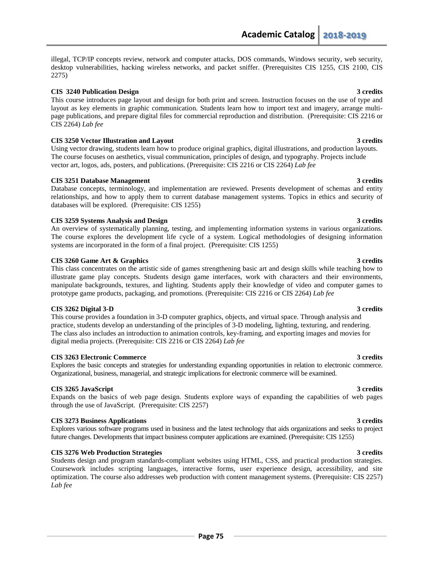illegal, TCP/IP concepts review, network and computer attacks, DOS commands, Windows security, web security, desktop vulnerabilities, hacking wireless networks, and packet sniffer. (Prerequisites CIS 1255, CIS 2100, CIS 2275)

### **CIS 3240 Publication Design 3 credits**

This course introduces page layout and design for both print and screen. Instruction focuses on the use of type and layout as key elements in graphic communication. Students learn how to import text and imagery, arrange multipage publications, and prepare digital files for commercial reproduction and distribution. (Prerequisite: CIS 2216 or CIS 2264) *Lab fee*

### **CIS 3250 Vector Illustration and Layout 3 credits**

Using vector drawing, students learn how to produce original graphics, digital illustrations, and production layouts. The course focuses on aesthetics, visual communication, principles of design, and typography. Projects include vector art, logos, ads, posters, and publications. (Prerequisite: CIS 2216 or CIS 2264) *Lab fee*

### **CIS 3251 Database Management 3 credits**

Database concepts, terminology, and implementation are reviewed. Presents development of schemas and entity relationships, and how to apply them to current database management systems. Topics in ethics and security of databases will be explored. (Prerequisite: CIS 1255)

### **CIS 3259 Systems Analysis and Design 3 credits**

An overview of systematically planning, testing, and implementing information systems in various organizations. The course explores the development life cycle of a system. Logical methodologies of designing information systems are incorporated in the form of a final project. (Prerequisite: CIS 1255)

### **CIS 3260 Game Art & Graphics 3 credits**

This class concentrates on the artistic side of games strengthening basic art and design skills while teaching how to illustrate game play concepts. Students design game interfaces, work with characters and their environments, manipulate backgrounds, textures, and lighting. Students apply their knowledge of video and computer games to prototype game products, packaging, and promotions. (Prerequisite: CIS 2216 or CIS 2264) *Lab fee*

### **CIS 3262 Digital 3-D 3 credits**

This course provides a foundation in 3-D computer graphics, objects, and virtual space. Through analysis and practice, students develop an understanding of the principles of 3-D modeling, lighting, texturing, and rendering. The class also includes an introduction to animation controls, key-framing, and exporting images and movies for digital media projects. (Prerequisite: CIS 2216 or CIS 2264) *Lab fee*

### **CIS 3263 Electronic Commerce 3 credits**

Explores the basic concepts and strategies for understanding expanding opportunities in relation to electronic commerce. Organizational, business, managerial, and strategic implications for electronic commerce will be examined.

# **CIS 3265 JavaScript 3 credits**

Expands on the basics of web page design. Students explore ways of expanding the capabilities of web pages through the use of JavaScript. (Prerequisite: CIS 2257)

### **CIS 3273 Business Applications 3 credits**

Explores various software programs used in business and the latest technology that aids organizations and seeks to project future changes. Developments that impact business computer applications are examined. (Prerequisite: CIS 1255)

### **CIS 3276 Web Production Strategies 3 credits**

Students design and program standards-compliant websites using HTML, CSS, and practical production strategies. Coursework includes scripting languages, interactive forms, user experience design, accessibility, and site optimization. The course also addresses web production with content management systems. (Prerequisite: CIS 2257) *Lab fee*

### **Page 75**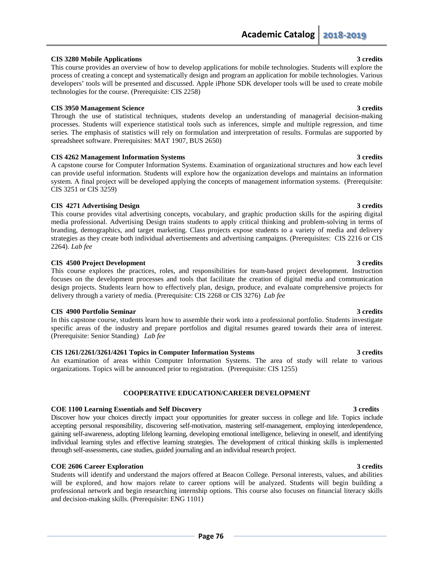# **CIS 3280 Mobile Applications 3 credits**

This course provides an overview of how to develop applications for mobile technologies. Students will explore the process of creating a concept and systematically design and program an application for mobile technologies. Various developers' tools will be presented and discussed. Apple iPhone SDK developer tools will be used to create mobile technologies for the course. (Prerequisite: CIS 2258)

### **CIS 3950 Management Science 3 credits**

Through the use of statistical techniques, students develop an understanding of managerial decision-making processes. Students will experience statistical tools such as inferences, simple and multiple regression, and time series. The emphasis of statistics will rely on formulation and interpretation of results. Formulas are supported by spreadsheet software. Prerequisites: MAT 1907, BUS 2650)

### **CIS 4262 Management Information Systems 3 credits**

A capstone course for Computer Information Systems. Examination of organizational structures and how each level can provide useful information. Students will explore how the organization develops and maintains an information system. A final project will be developed applying the concepts of management information systems. (Prerequisite: CIS 3251 or CIS 3259)

# **CIS 4271 Advertising Design 3 credits**

This course provides vital advertising concepts, vocabulary, and graphic production skills for the aspiring digital media professional. Advertising Design trains students to apply critical thinking and problem-solving in terms of branding, demographics, and target marketing. Class projects expose students to a variety of media and delivery strategies as they create both individual advertisements and advertising campaigns. (Prerequisites: CIS 2216 or CIS 2264). *Lab fee*

### **CIS 4500 Project Development 3 credits**

This course explores the practices, roles, and responsibilities for team-based project development. Instruction focuses on the development processes and tools that facilitate the creation of digital media and communication design projects. Students learn how to effectively plan, design, produce, and evaluate comprehensive projects for delivery through a variety of media. (Prerequisite: CIS 2268 or CIS 3276) *Lab fee*

### **CIS 4900 Portfolio Seminar 3 credits**

In this capstone course, students learn how to assemble their work into a professional portfolio. Students investigate specific areas of the industry and prepare portfolios and digital resumes geared towards their area of interest. (Prerequisite: Senior Standing) *Lab fee*

# **CIS 1261/2261/3261/4261 Topics in Computer Information Systems 3 credits**

An examination of areas within Computer Information Systems. The area of study will relate to various organizations. Topics will be announced prior to registration. (Prerequisite: CIS 1255)

# **COOPERATIVE EDUCATION/CAREER DEVELOPMENT**

### **COE 1100 Learning Essentials and Self Discovery 3 credits**

Discover how your choices directly impact your opportunities for greater success in college and life. Topics include accepting personal responsibility, discovering self-motivation, mastering self-management, employing interdependence, gaining self-awareness, adopting lifelong learning, developing emotional intelligence, believing in oneself, and identifying individual learning styles and effective learning strategies. The development of critical thinking skills is implemented through self-assessments, case studies, guided journaling and an individual research project.

### **COE 2606 Career Exploration 3 credits**

Students will identify and understand the majors offered at Beacon College. Personal interests, values, and abilities will be explored, and how majors relate to career options will be analyzed. Students will begin building a professional network and begin researching internship options. This course also focuses on financial literacy skills and decision-making skills. (Prerequisite: ENG 1101)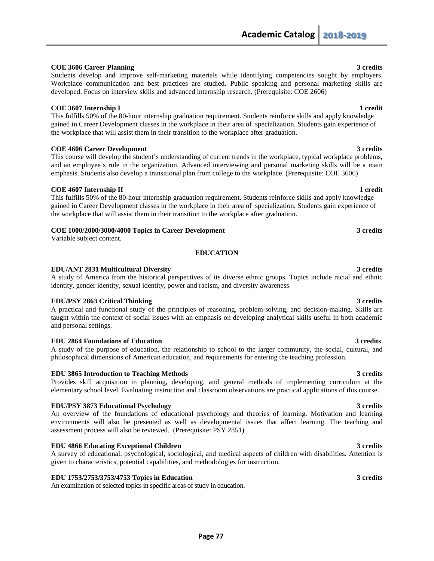### **COE 3606 Career Planning 3 credits** Students develop and improve self-marketing materials while identifying competencies sought by employers.

# **COE 3607** Internship I 1 credit

This fulfills 50% of the 80-hour internship graduation requirement. Students reinforce skills and apply knowledge gained in Career Development classes in the workplace in their area of specialization. Students gain experience of the workplace that will assist them in their transition to the workplace after graduation.

Workplace communication and best practices are studied. Public speaking and personal marketing skills are

developed. Focus on interview skills and advanced internship research. (Prerequisite: COE 2606)

### **COE 4606 Career Development 3 credits**

This course will develop the student's understanding of current trends in the workplace, typical workplace problems, and an employee's role in the organization. Advanced interviewing and personal marketing skills will be a main emphasis. Students also develop a transitional plan from college to the workplace. (Prerequisite: COE 3606)

### **COE** 4607 Internship II 1 credit

This fulfills 50% of the 80-hour internship graduation requirement. Students reinforce skills and apply knowledge gained in Career Development classes in the workplace in their area of specialization. Students gain experience of the workplace that will assist them in their transition to the workplace after graduation.

### **COE 1000/2000/3000/4000 Topics in Career Development 3 credits**

Variable subject content.

### **EDUCATION**

### **EDU/ANT 2831 Multicultural Diversity 3 credits**

A study of America from the historical perspectives of its diverse ethnic groups. Topics include racial and ethnic identity, gender identity, sexual identity, power and racism, and diversity awareness.

### **EDU/PSY 2863 Critical Thinking 3 credits 3 credits**

A practical and functional study of the principles of reasoning, problem-solving, and decision-making. Skills are taught within the context of social issues with an emphasis on developing analytical skills useful in both academic and personal settings.

### **EDU 2864 Foundations of Education 3 credits**

A study of the purpose of education, the relationship to school to the larger community, the social, cultural, and philosophical dimensions of American education, and requirements for entering the teaching profession.

### **EDU 3865 Introduction to Teaching Methods 3 credits**

Provides skill acquisition in planning, developing, and general methods of implementing curriculum at the elementary school level. Evaluating instruction and classroom observations are practical applications of this course.

### **EDU/PSY 3873 Educational Psychology 3 credits**

An overview of the foundations of educational psychology and theories of learning. Motivation and learning environments will also be presented as well as developmental issues that affect learning. The teaching and assessment process will also be reviewed. (Prerequisite: PSY 2851)

### **EDU 4866 Educating Exceptional Children** 3 credits **3** credits

A survey of educational, psychological, sociological, and medical aspects of children with disabilities. Attention is given to characteristics, potential capabilities, and methodologies for instruction.

### **EDU 1753/2753/3753/4753 Topics in Education 3 credits**

An examination of selected topics in specific areas of study in education.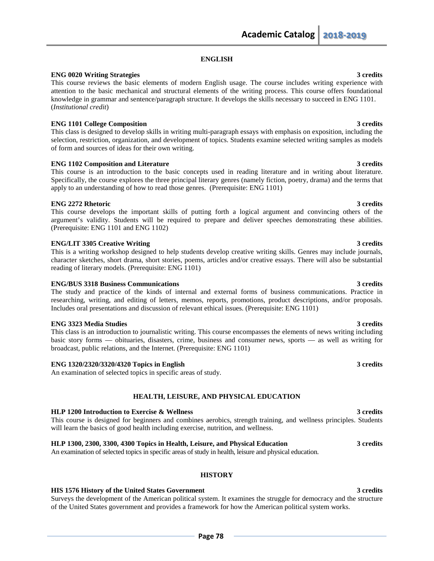# **ENGLISH**

## **ENG 0020 Writing Strategies 3 credits**

This course reviews the basic elements of modern English usage. The course includes writing experience with attention to the basic mechanical and structural elements of the writing process. This course offers foundational knowledge in grammar and sentence/paragraph structure. It develops the skills necessary to succeed in ENG 1101. (*Institutional credit*)

# **ENG 1101 College Composition 3 credits**

This class is designed to develop skills in writing multi-paragraph essays with emphasis on exposition, including the selection, restriction, organization, and development of topics. Students examine selected writing samples as models of form and sources of ideas for their own writing.

# **ENG 1102 Composition and Literature 3 credits** 3 credits

This course is an introduction to the basic concepts used in reading literature and in writing about literature. Specifically, the course explores the three principal literary genres (namely fiction, poetry, drama) and the terms that apply to an understanding of how to read those genres. (Prerequisite: ENG 1101)

### **ENG 2272 Rhetoric 3 credits** 3 credits **3**

This course develops the important skills of putting forth a logical argument and convincing others of the argument's validity. Students will be required to prepare and deliver speeches demonstrating these abilities. (Prerequisite: ENG 1101 and ENG 1102)

### **ENG/LIT** 3305 Creative Writing 3 credits 3 credits 3 credits 3 credits 3 credits 3 credits 3 credits 3 credits 3 credits 3 credits 3 credits 3 credits 3 credits 3 credits 3 credits 3 credits 3 credits 3 credits 3 credits

This is a writing workshop designed to help students develop creative writing skills. Genres may include journals, character sketches, short drama, short stories, poems, articles and/or creative essays. There will also be substantial reading of literary models. (Prerequisite: ENG 1101)

## **ENG/BUS 3318 Business Communications 3 credits**

The study and practice of the kinds of internal and external forms of business communications. Practice in researching, writing, and editing of letters, memos, reports, promotions, product descriptions, and/or proposals. Includes oral presentations and discussion of relevant ethical issues. (Prerequisite: ENG 1101)

## **ENG 3323 Media Studies** 3 credits **3**

This class is an introduction to journalistic writing. This course encompasses the elements of news writing including basic story forms — obituaries, disasters, crime, business and consumer news, sports — as well as writing for broadcast, public relations, and the Internet. (Prerequisite: ENG 1101)

# **ENG 1320/2320/3320/4320 Topics in English 3 credits**

An examination of selected topics in specific areas of study.

# **HEALTH, LEISURE, AND PHYSICAL EDUCATION**

### **HLP 1200 Introduction to Exercise & Wellness 3 credits**

This course is designed for beginners and combines aerobics, strength training, and wellness principles. Students will learn the basics of good health including exercise, nutrition, and wellness.

# **HLP 1300, 2300, 3300, 4300 Topics in Health, Leisure, and Physical Education 3 credits**

An examination of selected topics in specific areas of study in health, leisure and physical education.

# **HISTORY**

### **HIS 1576 History of the United States Government 3 credits**

Surveys the development of the American political system. It examines the struggle for democracy and the structure of the United States government and provides a framework for how the American political system works.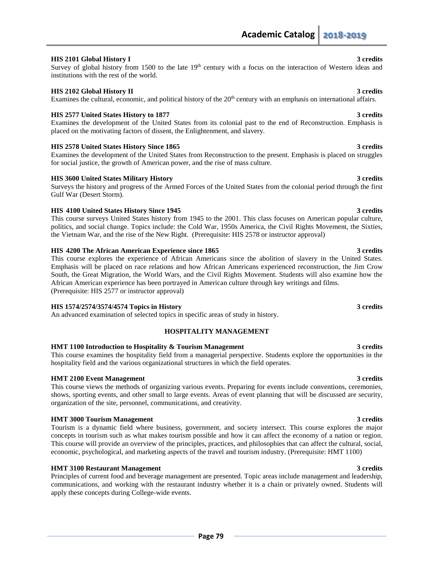### **HIS 2101 Global History I 3 credits**

Survey of global history from 1500 to the late  $19<sup>th</sup>$  century with a focus on the interaction of Western ideas and institutions with the rest of the world.

### **HIS 2102 Global History II 3 credits**

# Examines the cultural, economic, and political history of the  $20<sup>th</sup>$  century with an emphasis on international affairs.

# **HIS 2577 United States History to 1877 3 credits**

Examines the development of the United States from its colonial past to the end of Reconstruction. Emphasis is placed on the motivating factors of dissent, the Enlightenment, and slavery.

# **HIS 2578 United States History Since 1865** 3 credits 3 credits

Examines the development of the United States from Reconstruction to the present. Emphasis is placed on struggles for social justice, the growth of American power, and the rise of mass culture.

# **HIS 3600 United States Military History 3 credits**

Surveys the history and progress of the Armed Forces of the United States from the colonial period through the first Gulf War (Desert Storm).

# **HIS** 4100 United States History Since 1945 3 credits 3 credits

This course surveys United States history from 1945 to the 2001. This class focuses on American popular culture, politics, and social change. Topics include: the Cold War, 1950s America, the Civil Rights Movement, the Sixties, the Vietnam War, and the rise of the New Right. (Prerequisite: HIS 2578 or instructor approval)

### **HIS 4200 The African American Experience since 1865 3 credits**

This course explores the experience of African Americans since the abolition of slavery in the United States. Emphasis will be placed on race relations and how African Americans experienced reconstruction, the Jim Crow South, the Great Migration, the World Wars, and the Civil Rights Movement. Students will also examine how the African American experience has been portrayed in American culture through key writings and films. (Prerequisite: HIS 2577 or instructor approval)

### **HIS 1574/2574/3574/4574 Topics in History 3 credits**

An advanced examination of selected topics in specific areas of study in history.

# **HOSPITALITY MANAGEMENT**

### **HMT 1100 Introduction to Hospitality & Tourism Management 3 credits**

This course examines the hospitality field from a managerial perspective. Students explore the opportunities in the hospitality field and the various organizational structures in which the field operates.

# **HMT 2100 Event Management** 3 credits **3** credits

This course views the methods of organizing various events. Preparing for events include conventions, ceremonies, shows, sporting events, and other small to large events. Areas of event planning that will be discussed are security, organization of the site, personnel, communications, and creativity.

### **HMT 3000 Tourism Management 3 credits**

Tourism is a dynamic field where business, government, and society intersect. This course explores the major concepts in tourism such as what makes tourism possible and how it can affect the economy of a nation or region. This course will provide an overview of the principles, practices, and philosophies that can affect the cultural, social, economic, psychological, and marketing aspects of the travel and tourism industry. (Prerequisite: HMT 1100)

### **HMT 3100 Restaurant Management** 3 credits 3 credits 3 credits **3** credits **3** and **3** and **3** and **3** and **3** and **3** and **3** and **3** and **3** and **3** and **3** and **3** and **3** and **3** and **3** and **3** and **3** and **3** and **3**

Principles of current food and beverage management are presented. Topic areas include management and leadership, communications, and working with the restaurant industry whether it is a chain or privately owned. Students will apply these concepts during College-wide events.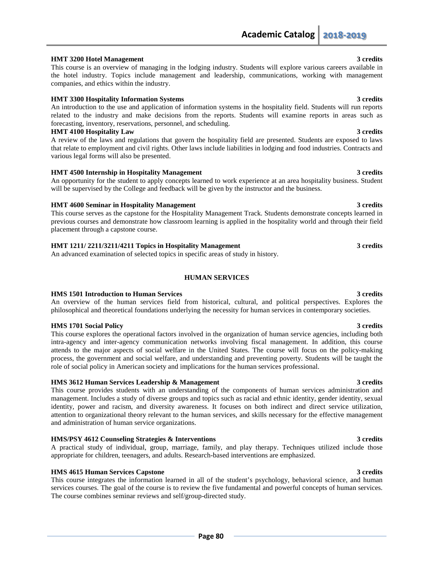### **HMT 3200 Hotel Management** 3 credits 3 credits **3** 3 credits

This course is an overview of managing in the lodging industry. Students will explore various careers available in the hotel industry. Topics include management and leadership, communications, working with management companies, and ethics within the industry.

## **HMT 3300 Hospitality Information Systems 3 credits**

An introduction to the use and application of information systems in the hospitality field. Students will run reports related to the industry and make decisions from the reports. Students will examine reports in areas such as forecasting, inventory, reservations, personnel, and scheduling.

### **HMT 4100 Hospitality Law 3 credits**

A review of the laws and regulations that govern the hospitality field are presented. Students are exposed to laws that relate to employment and civil rights. Other laws include liabilities in lodging and food industries. Contracts and various legal forms will also be presented.

### **HMT 4500 Internship in Hospitality Management 3 credits**

An opportunity for the student to apply concepts learned to work experience at an area hospitality business. Student will be supervised by the College and feedback will be given by the instructor and the business.

### **HMT 4600 Seminar in Hospitality Management** 3 credits 3 credits

This course serves as the capstone for the Hospitality Management Track. Students demonstrate concepts learned in previous courses and demonstrate how classroom learning is applied in the hospitality world and through their field placement through a capstone course.

# **HMT 1211/ 2211/3211/4211 Topics in Hospitality Management 3 credits**

An advanced examination of selected topics in specific areas of study in history.

## **HUMAN SERVICES**

# **HMS 1501 Introduction to Human Services 3 credits**

An overview of the human services field from historical, cultural, and political perspectives. Explores the philosophical and theoretical foundations underlying the necessity for human services in contemporary societies.

### **HMS 1701 Social Policy 3 credits**

This course explores the operational factors involved in the organization of human service agencies, including both intra-agency and inter-agency communication networks involving fiscal management. In addition, this course attends to the major aspects of social welfare in the United States. The course will focus on the policy-making process, the government and social welfare, and understanding and preventing poverty. Students will be taught the role of social policy in American society and implications for the human services professional.

# **HMS 3612 Human Services Leadership & Management 3 credits** 3 credits

This course provides students with an understanding of the components of human services administration and management. Includes a study of diverse groups and topics such as racial and ethnic identity, gender identity, sexual identity, power and racism, and diversity awareness. It focuses on both indirect and direct service utilization, attention to organizational theory relevant to the human services, and skills necessary for the effective management and administration of human service organizations.

### **HMS/PSY** 4612 Counseling Strategies & Interventions 3 credits

A practical study of individual, group, marriage, family, and play therapy. Techniques utilized include those appropriate for children, teenagers, and adults. Research-based interventions are emphasized.

# **HMS 4615 Human Services Capstone 3 credits**

This course integrates the information learned in all of the student's psychology, behavioral science, and human services courses. The goal of the course is to review the five fundamental and powerful concepts of human services. The course combines seminar reviews and self/group-directed study.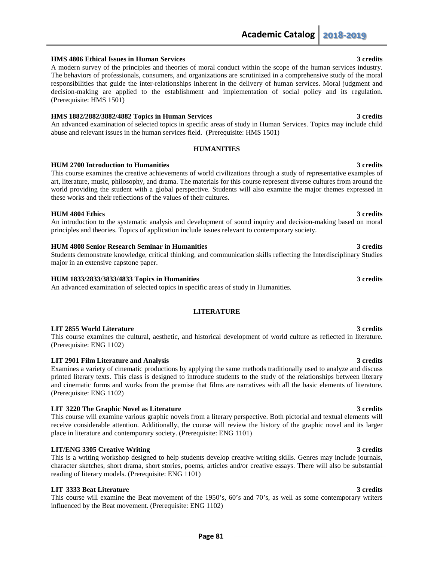### **HMS 4806 Ethical Issues in Human Services 3 credits**

A modern survey of the principles and theories of moral conduct within the scope of the human services industry. The behaviors of professionals, consumers, and organizations are scrutinized in a comprehensive study of the moral responsibilities that guide the inter-relationships inherent in the delivery of human services. Moral judgment and decision-making are applied to the establishment and implementation of social policy and its regulation. (Prerequisite: HMS 1501)

### **HMS 1882/2882/3882/4882 Topics in Human Services 3 credits**

An advanced examination of selected topics in specific areas of study in Human Services. Topics may include child abuse and relevant issues in the human services field. (Prerequisite: HMS 1501)

### **HUMANITIES**

### **HUM 2700 Introduction to Humanities 3 credits**

This course examines the creative achievements of world civilizations through a study of representative examples of art, literature, music, philosophy, and drama. The materials for this course represent diverse cultures from around the world providing the student with a global perspective. Students will also examine the major themes expressed in these works and their reflections of the values of their cultures.

### **HUM 4804 Ethics 3 credits**

An introduction to the systematic analysis and development of sound inquiry and decision-making based on moral principles and theories. Topics of application include issues relevant to contemporary society.

### **HUM 4808 Senior Research Seminar in Humanities 3 credits**

Students demonstrate knowledge, critical thinking, and communication skills reflecting the Interdisciplinary Studies major in an extensive capstone paper.

### **HUM 1833/2833/3833/4833 Topics in Humanities 3 credits**

An advanced examination of selected topics in specific areas of study in Humanities.

### **LITERATURE**

### **LIT 2855 World Literature 3 credits**  $\frac{3}{4}$  credits

This course examines the cultural, aesthetic, and historical development of world culture as reflected in literature. (Prerequisite: ENG 1102)

### **LIT 2901 Film Literature and Analysis 3 credits**

Examines a variety of cinematic productions by applying the same methods traditionally used to analyze and discuss printed literary texts. This class is designed to introduce students to the study of the relationships between literary and cinematic forms and works from the premise that films are narratives with all the basic elements of literature. (Prerequisite: ENG 1102)

### **LIT 3220 The Graphic Novel as Literature 3 credits**

This course will examine various graphic novels from a literary perspective. Both pictorial and textual elements will receive considerable attention. Additionally, the course will review the history of the graphic novel and its larger place in literature and contemporary society. (Prerequisite: ENG 1101)

### **LIT/ENG 3305 Creative Writing 3 credits**

This is a writing workshop designed to help students develop creative writing skills. Genres may include journals, character sketches, short drama, short stories, poems, articles and/or creative essays. There will also be substantial reading of literary models. (Prerequisite: ENG 1101)

### **LIT 3333 Beat Literature 3 credits**

This course will examine the Beat movement of the 1950's, 60's and 70's, as well as some contemporary writers influenced by the Beat movement. (Prerequisite: ENG 1102)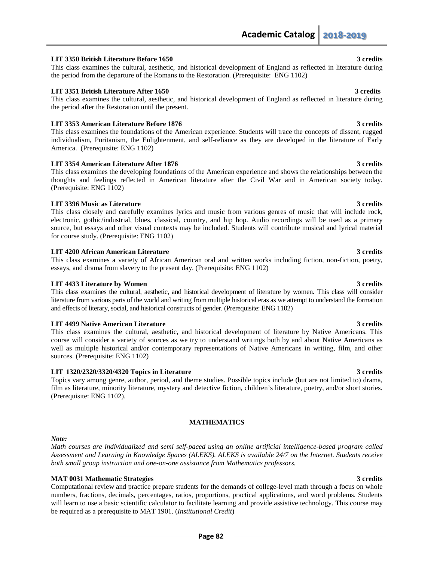### **LIT 3350 British Literature Before 1650 3 credits**

This class examines the cultural, aesthetic, and historical development of England as reflected in literature during the period from the departure of the Romans to the Restoration. (Prerequisite: ENG 1102)

### **LIT 3351 British Literature After 1650 3 credits** 3 credits

This class examines the cultural, aesthetic, and historical development of England as reflected in literature during the period after the Restoration until the present.

### **LIT 3353 American Literature Before 1876** 3 credits 3 credits **3** credits

This class examines the foundations of the American experience. Students will trace the concepts of dissent, rugged individualism, Puritanism, the Enlightenment, and self-reliance as they are developed in the literature of Early America. (Prerequisite: ENG 1102)

### **LIT 3354 American Literature After 1876** 3 credits **3** credits

This class examines the developing foundations of the American experience and shows the relationships between the thoughts and feelings reflected in American literature after the Civil War and in American society today. (Prerequisite: ENG 1102)

### **LIT 3396** Music as Literature 3 credits

This class closely and carefully examines lyrics and music from various genres of music that will include rock, electronic, gothic/industrial, blues, classical, country, and hip hop. Audio recordings will be used as a primary source, but essays and other visual contexts may be included. Students will contribute musical and lyrical material for course study. (Prerequisite: ENG 1102)

### **LIT 4200 African American Literature 3 credits** 3 credits

This class examines a variety of African American oral and written works including fiction, non-fiction, poetry, essays, and drama from slavery to the present day. (Prerequisite: ENG 1102)

### **LIT 4433 Literature by Women 3 credits**

This class examines the cultural, aesthetic, and historical development of literature by women. This class will consider literature from various parts of the world and writing from multiple historical eras as we attempt to understand the formation and effects of literary, social, and historical constructs of gender. (Prerequisite: ENG 1102)

### **LIT 4499 Native American Literature 3 credits**

This class examines the cultural, aesthetic, and historical development of literature by Native Americans. This course will consider a variety of sources as we try to understand writings both by and about Native Americans as well as multiple historical and/or contemporary representations of Native Americans in writing, film, and other sources. (Prerequisite: ENG 1102)

### **LIT 1320/2320/3320/4320 Topics in Literature 3 credits**

Topics vary among genre, author, period, and theme studies. Possible topics include (but are not limited to) drama, film as literature, minority literature, mystery and detective fiction, children's literature, poetry, and/or short stories. (Prerequisite: ENG 1102).

### **MATHEMATICS**

### *Note:*

*Math courses are individualized and semi self-paced using an online artificial intelligence-based program called Assessment and Learning in Knowledge Spaces (ALEKS). ALEKS is available 24/7 on the Internet. Students receive both small group instruction and one-on-one assistance from Mathematics professors.*

## **MAT 0031 Mathematic Strategies 3 credits**

Computational review and practice prepare students for the demands of college-level math through a focus on whole numbers, fractions, decimals, percentages, ratios, proportions, practical applications, and word problems. Students will learn to use a basic scientific calculator to facilitate learning and provide assistive technology. This course may be required as a prerequisite to MAT 1901. (*Institutional Credit*)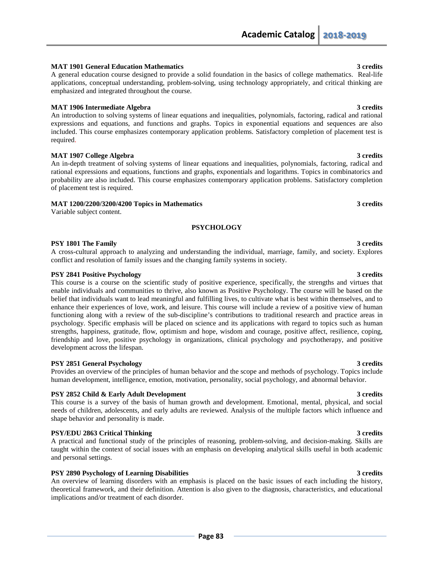# **MAT 1901 General Education Mathematics 3 credits**

A general education course designed to provide a solid foundation in the basics of college mathematics. Real-life applications, conceptual understanding, problem-solving, using technology appropriately, and critical thinking are emphasized and integrated throughout the course.

### **MAT 1906 Intermediate Algebra 3 credits**

An introduction to solving systems of linear equations and inequalities, polynomials, factoring, radical and rational expressions and equations, and functions and graphs. Topics in exponential equations and sequences are also included. This course emphasizes contemporary application problems. Satisfactory completion of placement test is required.

### **MAT 1907 College Algebra 3 credits**

An in-depth treatment of solving systems of linear equations and inequalities, polynomials, factoring, radical and rational expressions and equations, functions and graphs, exponentials and logarithms. Topics in combinatorics and probability are also included. This course emphasizes contemporary application problems. Satisfactory completion of placement test is required.

### **MAT 1200/2200/3200/4200 Topics in Mathematics 3 credits**

Variable subject content.

### **PSYCHOLOGY**

### **PSY 1801 The Family 3 credits 3 credits**

A cross-cultural approach to analyzing and understanding the individual, marriage, family, and society. Explores conflict and resolution of family issues and the changing family systems in society.

### **PSY 2841 Positive Psychology 3 credits**

This course is a course on the scientific study of positive experience, specifically, the strengths and virtues that enable individuals and communities to thrive, also known as Positive Psychology. The course will be based on the belief that individuals want to lead meaningful and fulfilling lives, to cultivate what is best within themselves, and to enhance their experiences of love, work, and leisure. This course will include a review of a positive view of human functioning along with a review of the sub-discipline's contributions to traditional research and practice areas in psychology. Specific emphasis will be placed on science and its applications with regard to topics such as human strengths, happiness, gratitude, flow, optimism and hope, wisdom and courage, positive affect, resilience, coping, friendship and love, positive psychology in organizations, clinical psychology and psychotherapy, and positive development across the lifespan.

### **PSY 2851 General Psychology 3 credits**

Provides an overview of the principles of human behavior and the scope and methods of psychology. Topics include human development, intelligence, emotion, motivation, personality, social psychology, and abnormal behavior.

### **PSY 2852 Child & Early Adult Development 3 credits 3 credits 3 credits**

This course is a survey of the basis of human growth and development. Emotional, mental, physical, and social needs of children, adolescents, and early adults are reviewed. Analysis of the multiple factors which influence and shape behavior and personality is made.

### **PSY/EDU 2863 Critical Thinking 3 credits 3 credits 3 credits 3 credits 3 credits 3 credits 3 credits 3 credits 3 credits 3 credits 3 credits 3 credits 3 credits 3 credits 3 credits 3 credits 3 credits 3 credits 3 credits**

A practical and functional study of the principles of reasoning, problem-solving, and decision-making. Skills are taught within the context of social issues with an emphasis on developing analytical skills useful in both academic and personal settings.

### **PSY 2890 Psychology of Learning Disabilities 3 credits** 3 credits

An overview of learning disorders with an emphasis is placed on the basic issues of each including the history, theoretical framework, and their definition. Attention is also given to the diagnosis, characteristics, and educational implications and/or treatment of each disorder.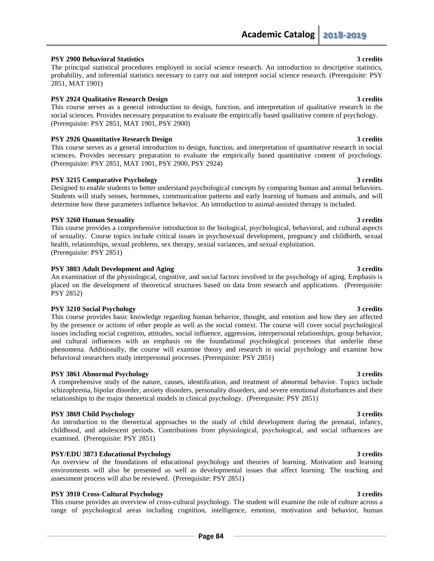# **PSY 2900 Behavioral Statistics 3 credits**

The principal statistical procedures employed in social science research. An introduction to descriptive statistics, probability, and inferential statistics necessary to carry out and interpret social science research. (Prerequisite: PSY 2851, MAT 1901)

# **PSY 2924 Qualitative Research Design 3 credits** 3 credits

This course serves as a general introduction to design, function, and interpretation of qualitative research in the social sciences. Provides necessary preparation to evaluate the empirically based qualitative content of psychology. (Prerequisite: PSY 2851, MAT 1901, PSY 2900)

# **PSY 2926 Quantitative Research Design 3 credits** 3 credits

This course serves as a general introduction to design, function, and interpretation of quantitative research in social sciences. Provides necessary preparation to evaluate the empirically based quantitative content of psychology. (Prerequisite: PSY 2851, MAT 1901, PSY 2900, PSY 2924)

# **PSY 3215 Comparative Psychology 3 credits**

Designed to enable students to better understand psychological concepts by comparing human and animal behaviors. Students will study senses, hormones, communication patterns and early learning of humans and animals, and will determine how these parameters influence behavior. An introduction to animal-assisted therapy is included.

# **PSY 3260 Human Sexuality** 3 credits **3** credits

This course provides a comprehensive introduction to the biological, psychological, behavioral, and cultural aspects of sexuality. Course topics include critical issues in psychosexual development, pregnancy and childbirth, sexual health, relationships, sexual problems, sex therapy, sexual variances, and sexual exploitation. (Prerequisite: PSY 2851)

# **PSY 3803 Adult Development and Aging 3 credits 3 credits 3 credits 3 credits**

An examination of the physiological, cognitive, and social factors involved in the psychology of aging. Emphasis is placed on the development of theoretical structures based on data from research and applications. (Prerequisite: PSY 2852)

# **PSY 3210 Social Psychology 3 credits**

This course provides basic knowledge regarding human behavior, thought, and emotion and how they are affected by the presence or actions of other people as well as the social context. The course will cover social psychological issues including social cognition, attitudes, social influence, aggression, interpersonal relationships, group behavior, and cultural influences with an emphasis on the foundational psychological processes that underlie these phenomena. Additionally, the course will examine theory and research in social psychology and examine how behavioral researchers study interpersonal processes. (Prerequisite: PSY 2851)

# **PSY 3861 Abnormal Psychology 3 credits**

A comprehensive study of the nature, causes, identification, and treatment of abnormal behavior. Topics include schizophrenia, bipolar disorder, anxiety disorders, personality disorders, and severe emotional disturbances and their relationships to the major theoretical models in clinical psychology. (Prerequisite: PSY 2851)

# **PSY 3869 Child Psychology 3 credits**

An introduction to the theoretical approaches to the study of child development during the prenatal, infancy, childhood, and adolescent periods. Contributions from physiological, psychological, and social influences are examined. (Prerequisite: PSY 2851)

# **PSY/EDU 3873 Educational Psychology 3 credits**

An overview of the foundations of educational psychology and theories of learning. Motivation and learning environments will also be presented as well as developmental issues that affect learning. The teaching and assessment process will also be reviewed. (Prerequisite: PSY 2851)

# **PSY 3910 Cross-Cultural Psychology 3 credits**

This course provides an overview of cross-cultural psychology. The student will examine the role of culture across a range of psychological areas including cognition, intelligence, emotion, motivation and behavior, human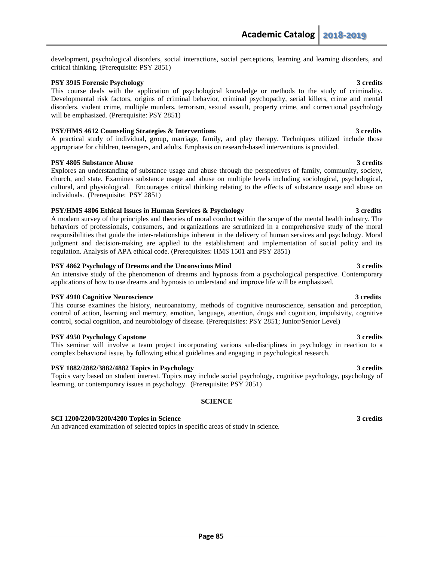development, psychological disorders, social interactions, social perceptions, learning and learning disorders, and critical thinking. (Prerequisite: PSY 2851)

### **PSY 3915 Forensic Psychology 3 credits**

This course deals with the application of psychological knowledge or methods to the study of criminality. Developmental risk factors, origins of criminal behavior, criminal psychopathy, serial killers, crime and mental disorders, violent crime, multiple murders, terrorism, sexual assault, property crime, and correctional psychology will be emphasized. (Prerequisite: PSY 2851)

### **PSY/HMS 4612 Counseling Strategies & Interventions 3 and 3 and 3 and 3 and 3 and 3 and 3 and 3 and 4 and 4 and 4 and 4 and 4 and 4 and 4 and 4 and 4 and 4 and 4 and 4 and 4 and 4 and 4 and 4 and 4 and 4 and 4 and 4 and 4**

A practical study of individual, group, marriage, family, and play therapy. Techniques utilized include those appropriate for children, teenagers, and adults. Emphasis on research-based interventions is provided.

### **PSY 4805 Substance Abuse 3 credits 3 credits**

Explores an understanding of substance usage and abuse through the perspectives of family, community, society, church, and state. Examines substance usage and abuse on multiple levels including sociological, psychological, cultural, and physiological. Encourages critical thinking relating to the effects of substance usage and abuse on individuals. (Prerequisite: PSY 2851)

### **PSY/HMS 4806 Ethical Issues in Human Services & Psychology 3 credits**

A modern survey of the principles and theories of moral conduct within the scope of the mental health industry. The behaviors of professionals, consumers, and organizations are scrutinized in a comprehensive study of the moral responsibilities that guide the inter-relationships inherent in the delivery of human services and psychology. Moral judgment and decision-making are applied to the establishment and implementation of social policy and its regulation. Analysis of APA ethical code. (Prerequisites: HMS 1501 and PSY 2851)

### **PSY 4862 Psychology of Dreams and the Unconscious Mind 3 credits**

An intensive study of the phenomenon of dreams and hypnosis from a psychological perspective. Contemporary applications of how to use dreams and hypnosis to understand and improve life will be emphasized.

### **PSY 4910 Cognitive Neuroscience 3 credits** 3 credits

This course examines the history, neuroanatomy, methods of cognitive neuroscience, sensation and perception, control of action, learning and memory, emotion, language, attention, drugs and cognition, impulsivity, cognitive control, social cognition, and neurobiology of disease. (Prerequisites: PSY 2851; Junior/Senior Level)

### **PSY 4950 Psychology Capstone 3 credits**

This seminar will involve a team project incorporating various sub-disciplines in psychology in reaction to a complex behavioral issue, by following ethical guidelines and engaging in psychological research.

## **PSY 1882/2882/3882/4882 Topics in Psychology 3 credits**

Topics vary based on student interest. Topics may include social psychology, cognitive psychology, psychology of learning, or contemporary issues in psychology. (Prerequisite: PSY 2851)

### **SCIENCE**

# **SCI 1200/2200/3200/4200 Topics in Science 3 credits**

An advanced examination of selected topics in specific areas of study in science.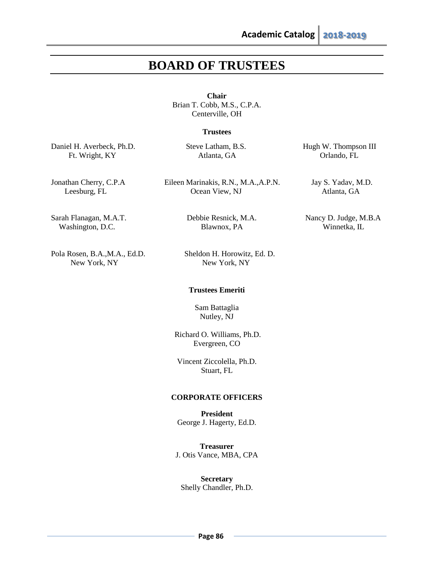# **BOARD OF TRUSTEES**

**Chair** Brian T. Cobb, M.S., C.P.A. Centerville, OH

# **Trustees**

Daniel H. Averbeck, Ph.D. Steve Latham, B.S. Hugh W. Thompson III

Ft. Wright, KY Atlanta, GA Orlando, FL

Jonathan Cherry, C.P.A Eileen Marinakis, R.N., M.A.,A.P.N. Jay S. Yadav, M.D.

Leesburg, FL Cocan View, NJ Atlanta, GA

Sarah Flanagan, M.A.T. Debbie Resnick, M.A. Nancy D. Judge, M.B.A Washington, D.C. Blawnox, PA Winnetka, IL

Pola Rosen, B.A.,M.A., Ed.D. Sheldon H. Horowitz, Ed. D. New York, NY New York, NY

### **Trustees Emeriti**

Sam Battaglia Nutley, NJ

Richard O. Williams, Ph.D. Evergreen, CO

Vincent Ziccolella, Ph.D. Stuart, FL

# **CORPORATE OFFICERS**

**President** George J. Hagerty, Ed.D.

**Treasurer** J. Otis Vance, MBA, CPA

**Secretary** Shelly Chandler, Ph.D.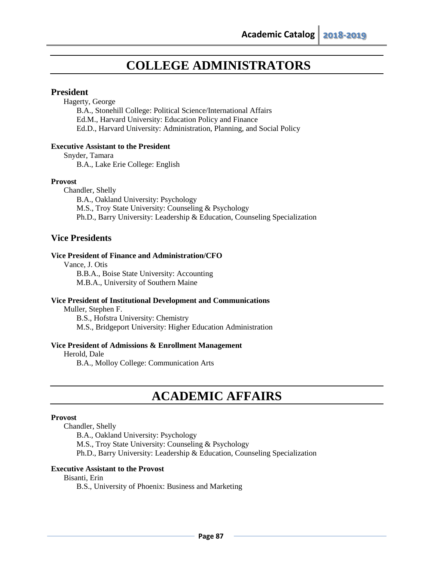# **COLLEGE ADMINISTRATORS**

# **President**

Hagerty, George

B.A., Stonehill College: Political Science/International Affairs Ed.M., Harvard University: Education Policy and Finance Ed.D., Harvard University: Administration, Planning, and Social Policy

# **Executive Assistant to the President**

Snyder, Tamara

B.A., Lake Erie College: English

# **Provost**

Chandler, Shelly

 B.A., Oakland University: Psychology M.S., Troy State University: Counseling & Psychology Ph.D., Barry University: Leadership & Education, Counseling Specialization

# **Vice Presidents**

# **Vice President of Finance and Administration/CFO**

Vance, J. Otis

B.B.A., Boise State University: Accounting M.B.A., University of Southern Maine

# **Vice President of Institutional Development and Communications**

Muller, Stephen F.

B.S., Hofstra University: Chemistry M.S., Bridgeport University: Higher Education Administration

# **Vice President of Admissions & Enrollment Management**

Herold, Dale

B.A., Molloy College: Communication Arts

# **ACADEMIC AFFAIRS**

# **Provost**

Chandler, Shelly

B.A., Oakland University: Psychology

M.S., Troy State University: Counseling & Psychology

Ph.D., Barry University: Leadership & Education, Counseling Specialization

# **Executive Assistant to the Provost**

# Bisanti, Erin

B.S., University of Phoenix: Business and Marketing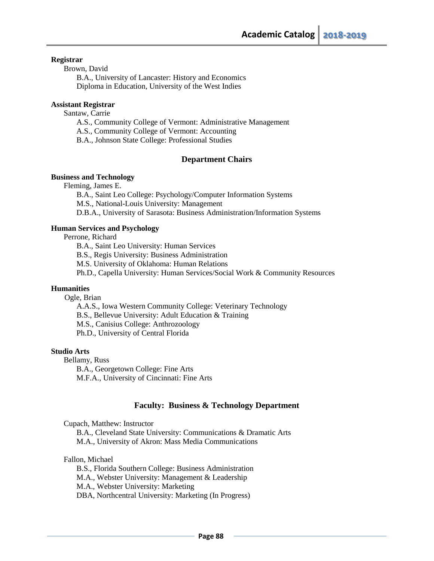# **Registrar**

Brown, David

B.A., University of Lancaster: History and Economics Diploma in Education, University of the West Indies

## **Assistant Registrar**

Santaw, Carrie

- A.S., Community College of Vermont: Administrative Management
- A.S., Community College of Vermont: Accounting
- B.A., Johnson State College: Professional Studies

# **Department Chairs**

# **Business and Technology**

Fleming, James E.

 B.A., Saint Leo College: Psychology/Computer Information Systems M.S., National-Louis University: Management D.B.A., University of Sarasota: Business Administration/Information Systems

## **Human Services and Psychology**

Perrone, Richard

B.A., Saint Leo University: Human Services B.S., Regis University: Business Administration M.S. University of Oklahoma: Human Relations Ph.D., Capella University: Human Services/Social Work & Community Resources

# **Humanities**

Ogle, Brian

A.A.S., Iowa Western Community College: Veterinary Technology B.S., Bellevue University: Adult Education & Training M.S., Canisius College: Anthrozoology Ph.D., University of Central Florida

### **Studio Arts**

Bellamy, Russ B.A., Georgetown College: Fine Arts M.F.A., University of Cincinnati: Fine Arts

# **Faculty: Business & Technology Department**

Cupach, Matthew: Instructor

B.A., Cleveland State University: Communications & Dramatic Arts M.A., University of Akron: Mass Media Communications

### Fallon, Michael

B.S., Florida Southern College: Business Administration M.A., Webster University: Management & Leadership M.A., Webster University: Marketing DBA, Northcentral University: Marketing (In Progress)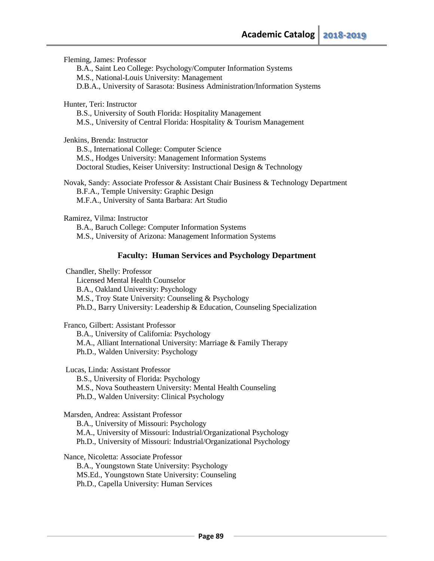Fleming, James: Professor B.A., Saint Leo College: Psychology/Computer Information Systems M.S., National-Louis University: Management D.B.A., University of Sarasota: Business Administration/Information Systems Hunter, Teri: Instructor B.S., University of South Florida: Hospitality Management M.S., University of Central Florida: Hospitality & Tourism Management Jenkins, Brenda: Instructor B.S., International College: Computer Science M.S., Hodges University: Management Information Systems Doctoral Studies, Keiser University: Instructional Design & Technology Novak, Sandy: Associate Professor & Assistant Chair Business & Technology Department B.F.A., Temple University: Graphic Design M.F.A., University of Santa Barbara: Art Studio Ramirez, Vilma: Instructor B.A., Baruch College: Computer Information Systems M.S., University of Arizona: Management Information Systems

# **Faculty: Human Services and Psychology Department**

Chandler, Shelly: Professor

Licensed Mental Health Counselor B.A., Oakland University: Psychology M.S., Troy State University: Counseling & Psychology Ph.D., Barry University: Leadership & Education, Counseling Specialization

Franco, Gilbert: Assistant Professor

B.A., University of California: Psychology M.A., Alliant International University: Marriage & Family Therapy Ph.D., Walden University: Psychology

Lucas, Linda: Assistant Professor B.S., University of Florida: Psychology M.S., Nova Southeastern University: Mental Health Counseling Ph.D., Walden University: Clinical Psychology

Marsden, Andrea: Assistant Professor

B.A., University of Missouri: Psychology

M.A., University of Missouri: Industrial/Organizational Psychology

Ph.D., University of Missouri: Industrial/Organizational Psychology

Nance, Nicoletta: Associate Professor

B.A., Youngstown State University: Psychology MS.Ed., Youngstown State University: Counseling Ph.D., Capella University: Human Services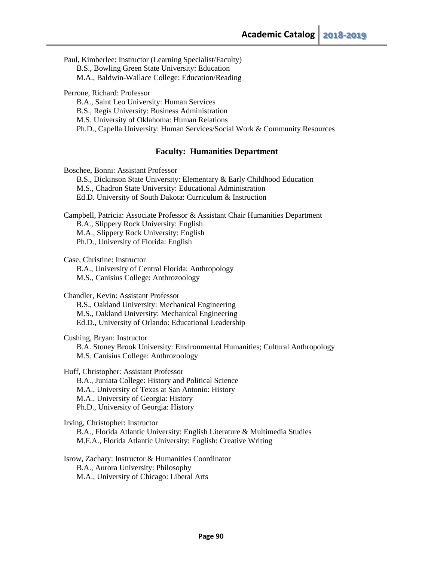Paul, Kimberlee: Instructor (Learning Specialist/Faculty) B.S., Bowling Green State University: Education M.A., Baldwin-Wallace College: Education/Reading

Perrone, Richard: Professor

B.A., Saint Leo University: Human Services B.S., Regis University: Business Administration M.S. University of Oklahoma: Human Relations Ph.D., Capella University: Human Services/Social Work & Community Resources

# **Faculty: Humanities Department**

Boschee, Bonni: Assistant Professor B.S., Dickinson State University: Elementary & Early Childhood Education M.S., Chadron State University: Educational Administration Ed.D. University of South Dakota: Curriculum & Instruction

Campbell, Patricia: Associate Professor & Assistant Chair Humanities Department B.A., Slippery Rock University: English M.A., Slippery Rock University: English Ph.D., University of Florida: English

Case, Christine: Instructor

B.A., University of Central Florida: Anthropology

M.S., Canisius College: Anthrozoology

Chandler, Kevin: Assistant Professor

B.S., Oakland University: Mechanical Engineering M.S., Oakland University: Mechanical Engineering Ed.D., University of Orlando: Educational Leadership

Cushing, Bryan: Instructor

B.A. Stoney Brook University: Environmental Humanities; Cultural Anthropology M.S. Canisius College: Anthrozoology

Huff, Christopher: Assistant Professor

B.A., Juniata College: History and Political Science

M.A., University of Texas at San Antonio: History

M.A., University of Georgia: History

Ph.D., University of Georgia: History

Irving, Christopher: Instructor

B.A., Florida Atlantic University: English Literature & Multimedia Studies M.F.A., Florida Atlantic University: English: Creative Writing

Isrow, Zachary: Instructor & Humanities Coordinator B.A., Aurora University: Philosophy M.A., University of Chicago: Liberal Arts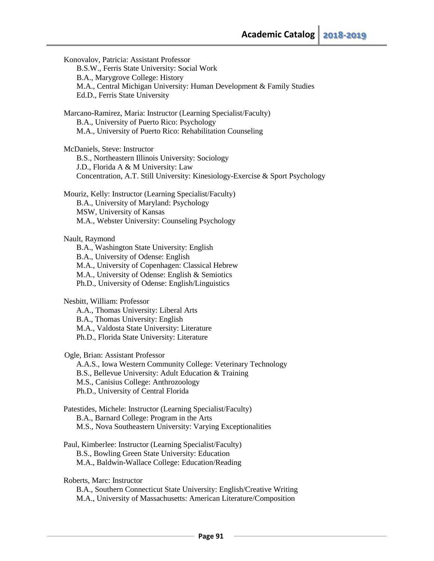Konovalov, Patricia: Assistant Professor B.S.W., Ferris State University: Social Work B.A., Marygrove College: History M.A., Central Michigan University: Human Development & Family Studies Ed.D., Ferris State University Marcano-Ramirez, Maria: Instructor (Learning Specialist/Faculty) B.A., University of Puerto Rico: Psychology M.A., University of Puerto Rico: Rehabilitation Counseling McDaniels, Steve: Instructor B.S., Northeastern Illinois University: Sociology J.D., Florida A & M University: Law Concentration, A.T. Still University: Kinesiology-Exercise & Sport Psychology Mouriz, Kelly: Instructor (Learning Specialist/Faculty) B.A., University of Maryland: Psychology MSW, University of Kansas M.A., Webster University: Counseling Psychology Nault, Raymond B.A., Washington State University: English B.A., University of Odense: English M.A., University of Copenhagen: Classical Hebrew M.A., University of Odense: English & Semiotics Ph.D., University of Odense: English/Linguistics Nesbitt, William: Professor A.A., Thomas University: Liberal Arts B.A., Thomas University: English M.A., Valdosta State University: Literature Ph.D., Florida State University: Literature Ogle, Brian: Assistant Professor A.A.S., Iowa Western Community College: Veterinary Technology B.S., Bellevue University: Adult Education & Training M.S., Canisius College: Anthrozoology Ph.D., University of Central Florida Patestides, Michele: Instructor (Learning Specialist/Faculty) B.A., Barnard College: Program in the Arts M.S., Nova Southeastern University: Varying Exceptionalities Paul, Kimberlee: Instructor (Learning Specialist/Faculty) B.S., Bowling Green State University: Education M.A., Baldwin-Wallace College: Education/Reading Roberts, Marc: Instructor B.A., Southern Connecticut State University: English/Creative Writing M.A., University of Massachusetts: American Literature/Composition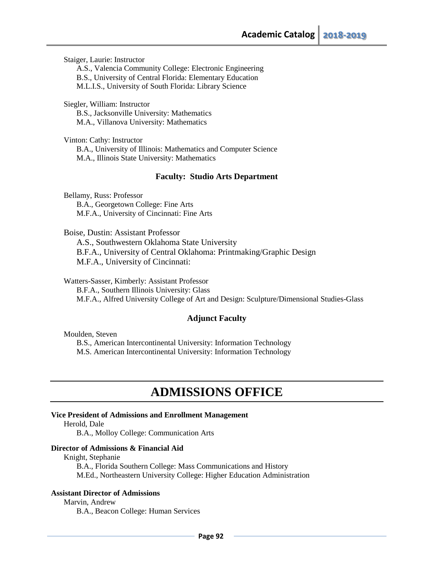Staiger, Laurie: Instructor

A.S., Valencia Community College: Electronic Engineering B.S., University of Central Florida: Elementary Education

M.L.I.S., University of South Florida: Library Science

Siegler, William: Instructor B.S., Jacksonville University: Mathematics M.A., Villanova University: Mathematics

Vinton: Cathy: Instructor B.A., University of Illinois: Mathematics and Computer Science M.A., Illinois State University: Mathematics

# **Faculty: Studio Arts Department**

Bellamy, Russ: Professor B.A., Georgetown College: Fine Arts M.F.A., University of Cincinnati: Fine Arts

Boise, Dustin: Assistant Professor

A.S., Southwestern Oklahoma State University B.F.A., University of Central Oklahoma: Printmaking/Graphic Design M.F.A., University of Cincinnati:

Watters-Sasser, Kimberly: Assistant Professor

B.F.A., Southern Illinois University: Glass M.F.A., Alfred University College of Art and Design: Sculpture/Dimensional Studies-Glass

# **Adjunct Faculty**

Moulden, Steven

B.S., American Intercontinental University: Information Technology M.S. American Intercontinental University: Information Technology

# **ADMISSIONS OFFICE**

### **Vice President of Admissions and Enrollment Management**

Herold, Dale

B.A., Molloy College: Communication Arts

### **Director of Admissions & Financial Aid**

Knight, Stephanie

B.A., Florida Southern College: Mass Communications and History M.Ed., Northeastern University College: Higher Education Administration

# **Assistant Director of Admissions**

Marvin, Andrew B.A., Beacon College: Human Services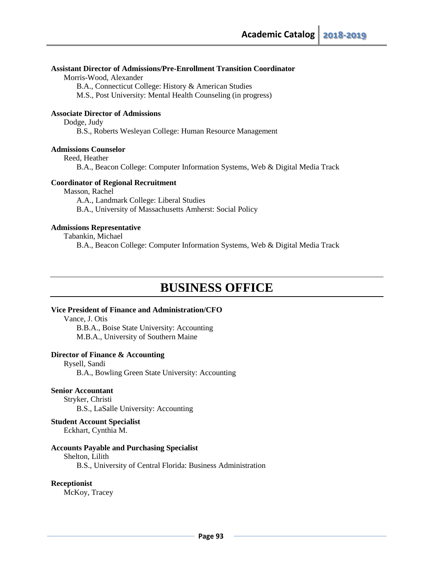# **Assistant Director of Admissions/Pre-Enrollment Transition Coordinator**

Morris-Wood, Alexander

B.A., Connecticut College: History & American Studies

M.S., Post University: Mental Health Counseling (in progress)

# **Associate Director of Admissions**

Dodge, Judy

B.S., Roberts Wesleyan College: Human Resource Management

### **Admissions Counselor**

Reed, Heather

B.A., Beacon College: Computer Information Systems, Web & Digital Media Track

## **Coordinator of Regional Recruitment**

Masson, Rachel

A.A., Landmark College: Liberal Studies

B.A., University of Massachusetts Amherst: Social Policy

## **Admissions Representative**

Tabankin, Michael

B.A., Beacon College: Computer Information Systems, Web & Digital Media Track

# **BUSINESS OFFICE**

# **Vice President of Finance and Administration/CFO**

Vance, J. Otis

B.B.A., Boise State University: Accounting M.B.A., University of Southern Maine

# **Director of Finance & Accounting**

Rysell, Sandi B.A., Bowling Green State University: Accounting

### **Senior Accountant**

Stryker, Christi B.S., LaSalle University: Accounting

**Student Account Specialist**

Eckhart, Cynthia M.

# **Accounts Payable and Purchasing Specialist**

# Shelton, Lilith

B.S., University of Central Florida: Business Administration

# **Receptionist**

McKoy, Tracey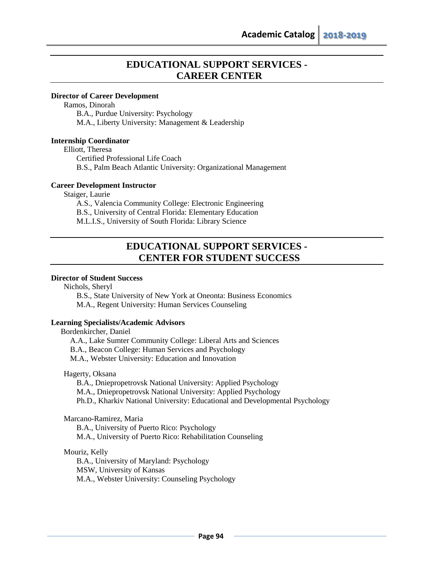# **EDUCATIONAL SUPPORT SERVICES - CAREER CENTER**

# **Director of Career Development**

Ramos, Dinorah

B.A., Purdue University: Psychology M.A., Liberty University: Management & Leadership

### **Internship Coordinator**

Elliott, Theresa

Certified Professional Life Coach

B.S., Palm Beach Atlantic University: Organizational Management

### **Career Development Instructor**

Staiger, Laurie

A.S., Valencia Community College: Electronic Engineering B.S., University of Central Florida: Elementary Education M.L.I.S., University of South Florida: Library Science

# **EDUCATIONAL SUPPORT SERVICES - CENTER FOR STUDENT SUCCESS**

# **Director of Student Success**

Nichols, Sheryl

B.S., State University of New York at Oneonta: Business Economics M.A., Regent University: Human Services Counseling

### **Learning Specialists/Academic Advisors**

 Bordenkircher, Daniel A.A., Lake Sumter Community College: Liberal Arts and Sciences B.A., Beacon College: Human Services and Psychology M.A., Webster University: Education and Innovation

Hagerty, Oksana

B.A., Dniepropetrovsk National University: Applied Psychology

M.A., Dniepropetrovsk National University: Applied Psychology

Ph.D., Kharkiv National University: Educational and Developmental Psychology

Marcano-Ramirez, Maria

B.A., University of Puerto Rico: Psychology

M.A., University of Puerto Rico: Rehabilitation Counseling

# Mouriz, Kelly

B.A., University of Maryland: Psychology MSW, University of Kansas M.A., Webster University: Counseling Psychology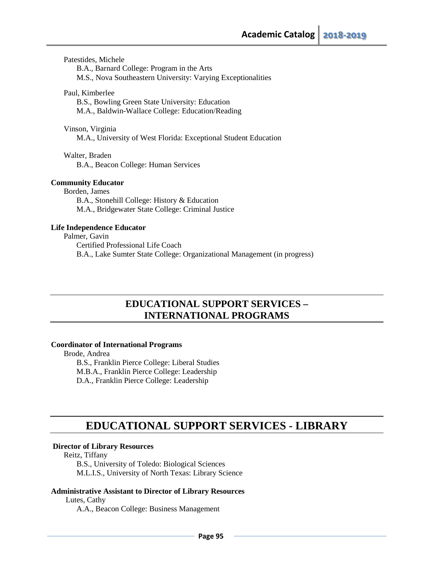Patestides, Michele

B.A., Barnard College: Program in the Arts

M.S., Nova Southeastern University: Varying Exceptionalities

## Paul, Kimberlee

B.S., Bowling Green State University: Education M.A., Baldwin-Wallace College: Education/Reading

Vinson, Virginia

M.A., University of West Florida: Exceptional Student Education

Walter, Braden

B.A., Beacon College: Human Services

## **Community Educator**

Borden, James B.A., Stonehill College: History & Education M.A., Bridgewater State College: Criminal Justice

### **Life Independence Educator**

Palmer, Gavin

Certified Professional Life Coach B.A., Lake Sumter State College: Organizational Management (in progress)

# **EDUCATIONAL SUPPORT SERVICES – INTERNATIONAL PROGRAMS**

# **Coordinator of International Programs**

 Brode, Andrea B.S., Franklin Pierce College: Liberal Studies M.B.A., Franklin Pierce College: Leadership D.A., Franklin Pierce College: Leadership

# **EDUCATIONAL SUPPORT SERVICES - LIBRARY**

## **Director of Library Resources**

Reitz, Tiffany

 B.S., University of Toledo: Biological Sciences M.L.I.S., University of North Texas: Library Science

# **Administrative Assistant to Director of Library Resources**

Lutes, Cathy

A.A., Beacon College: Business Management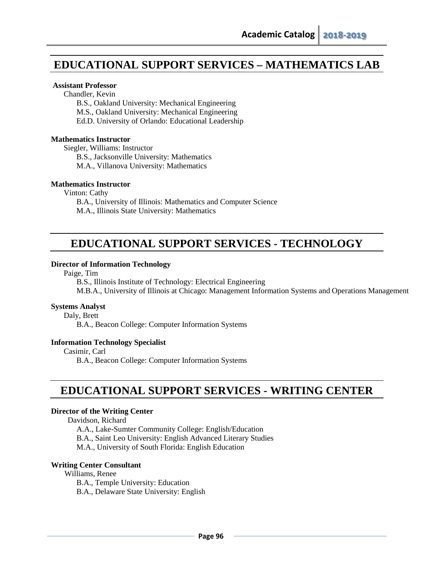# **EDUCATIONAL SUPPORT SERVICES – MATHEMATICS LAB**

# **Assistant Professor**

Chandler, Kevin

B.S., Oakland University: Mechanical Engineering

M.S., Oakland University: Mechanical Engineering

Ed.D. University of Orlando: Educational Leadership

### **Mathematics Instructor**

Siegler, Williams: Instructor B.S., Jacksonville University: Mathematics M.A., Villanova University: Mathematics

### **Mathematics Instructor**

Vinton: Cathy

B.A., University of Illinois: Mathematics and Computer Science M.A., Illinois State University: Mathematics

# **EDUCATIONAL SUPPORT SERVICES - TECHNOLOGY**

### **Director of Information Technology**

Paige, Tim

B.S., Illinois Institute of Technology: Electrical Engineering M.B.A., University of Illinois at Chicago: Management Information Systems and Operations Management

### **Systems Analyst**

Daly, Brett

B.A., Beacon College: Computer Information Systems

# **Information Technology Specialist**

Casimir, Carl

B.A., Beacon College: Computer Information Systems

# **EDUCATIONAL SUPPORT SERVICES - WRITING CENTER**

### **Director of the Writing Center**

Davidson, Richard

A.A., Lake-Sumter Community College: English/Education

B.A., Saint Leo University: English Advanced Literary Studies

M.A., University of South Florida: English Education

### **Writing Center Consultant**

Williams, Renee

B.A., Temple University: Education

B.A., Delaware State University: English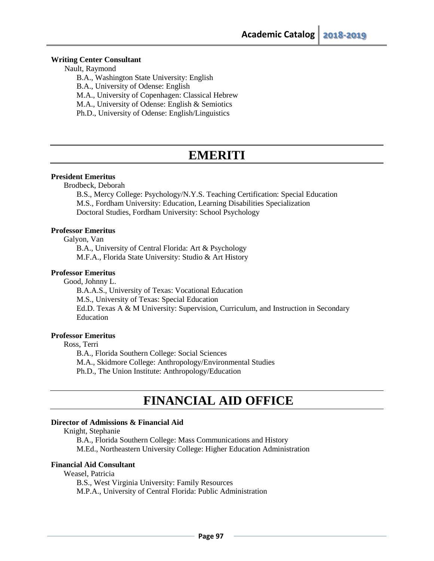### **Writing Center Consultant**

Nault, Raymond

B.A., Washington State University: English

B.A., University of Odense: English

M.A., University of Copenhagen: Classical Hebrew

M.A., University of Odense: English & Semiotics

Ph.D., University of Odense: English/Linguistics

# **EMERITI**

# **President Emeritus**

Brodbeck, Deborah

B.S., Mercy College: Psychology/N.Y.S. Teaching Certification: Special Education M.S., Fordham University: Education, Learning Disabilities Specialization Doctoral Studies, Fordham University: School Psychology

# **Professor Emeritus**

Galyon, Van

B.A., University of Central Florida: Art & Psychology M.F.A., Florida State University: Studio & Art History

# **Professor Emeritus**

Good, Johnny L.

 B.A.A.S., University of Texas: Vocational Education M.S., University of Texas: Special Education Ed.D. Texas A & M University: Supervision, Curriculum, and Instruction in Secondary Education

# **Professor Emeritus**

Ross, Terri

B.A., Florida Southern College: Social Sciences

M.A., Skidmore College: Anthropology/Environmental Studies

Ph.D., The Union Institute: Anthropology/Education

# **FINANCIAL AID OFFICE**

# **Director of Admissions & Financial Aid**

Knight, Stephanie

B.A., Florida Southern College: Mass Communications and History M.Ed., Northeastern University College: Higher Education Administration

# **Financial Aid Consultant**

Weasel, Patricia

B.S., West Virginia University: Family Resources

M.P.A., University of Central Florida: Public Administration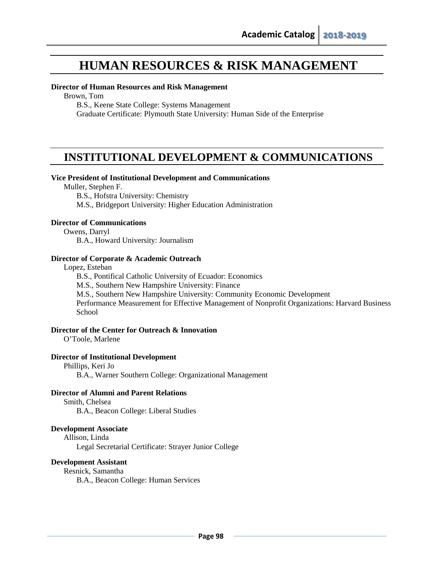# **HUMAN RESOURCES & RISK MANAGEMENT**

### **Director of Human Resources and Risk Management**

Brown, Tom

B.S., Keene State College: Systems Management

Graduate Certificate: Plymouth State University: Human Side of the Enterprise

# **INSTITUTIONAL DEVELOPMENT & COMMUNICATIONS**

### **Vice President of Institutional Development and Communications**

Muller, Stephen F.

B.S., Hofstra University: Chemistry M.S., Bridgeport University: Higher Education Administration

### **Director of Communications**

Owens, Darryl

B.A., Howard University: Journalism

# **Director of Corporate & Academic Outreach**

Lopez, Esteban

B.S., Pontifical Catholic University of Ecuador: Economics

M.S., Southern New Hampshire University: Finance

M.S., Southern New Hampshire University: Community Economic Development

Performance Measurement for Effective Management of Nonprofit Organizations: Harvard Business **School** 

## **Director of the Center for Outreach & Innovation**

O'Toole, Marlene

# **Director of Institutional Development**

Phillips, Keri Jo B.A., Warner Southern College: Organizational Management

# **Director of Alumni and Parent Relations**

Smith, Chelsea

B.A., Beacon College: Liberal Studies

### **Development Associate**

Allison, Linda Legal Secretarial Certificate: Strayer Junior College

# **Development Assistant**

Resnick, Samantha B.A., Beacon College: Human Services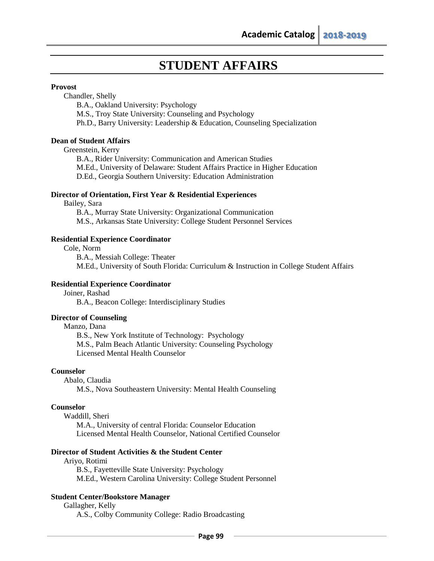# **STUDENT AFFAIRS**

## **Provost**

Chandler, Shelly

B.A., Oakland University: Psychology

M.S., Troy State University: Counseling and Psychology

Ph.D., Barry University: Leadership & Education, Counseling Specialization

# **Dean of Student Affairs**

Greenstein, Kerry

B.A., Rider University: Communication and American Studies M.Ed., University of Delaware: Student Affairs Practice in Higher Education D.Ed., Georgia Southern University: Education Administration

# **Director of Orientation, First Year & Residential Experiences**

Bailey, Sara B.A., Murray State University: Organizational Communication M.S., Arkansas State University: College Student Personnel Services

### **Residential Experience Coordinator**

Cole, Norm

B.A., Messiah College: Theater M.Ed., University of South Florida: Curriculum & Instruction in College Student Affairs

# **Residential Experience Coordinator**

Joiner, Rashad B.A., Beacon College: Interdisciplinary Studies

# **Director of Counseling**

Manzo, Dana

B.S., New York Institute of Technology: Psychology M.S., Palm Beach Atlantic University: Counseling Psychology Licensed Mental Health Counselor

# **Counselor**

Abalo, Claudia

M.S., Nova Southeastern University: Mental Health Counseling

# **Counselor**

Waddill, Sheri

M.A., University of central Florida: Counselor Education Licensed Mental Health Counselor, National Certified Counselor

# **Director of Student Activities & the Student Center**

Ariyo, Rotimi B.S., Fayetteville State University: Psychology M.Ed., Western Carolina University: College Student Personnel

# **Student Center/Bookstore Manager**

Gallagher, Kelly A.S., Colby Community College: Radio Broadcasting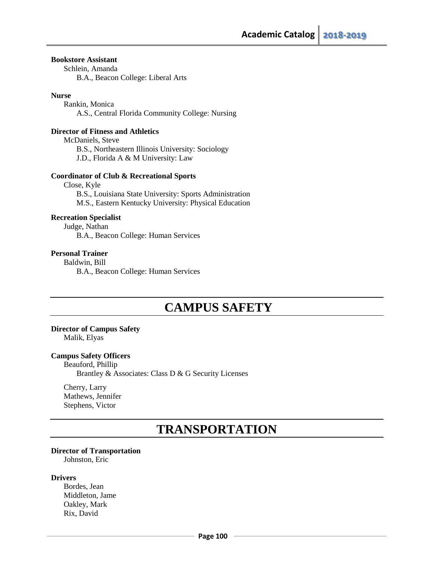## **Bookstore Assistant**

Schlein, Amanda B.A., Beacon College: Liberal Arts

### **Nurse**

Rankin, Monica A.S., Central Florida Community College: Nursing

## **Director of Fitness and Athletics**

McDaniels, Steve B.S., Northeastern Illinois University: Sociology J.D., Florida A & M University: Law

## **Coordinator of Club & Recreational Sports**

Close, Kyle B.S., Louisiana State University: Sports Administration M.S., Eastern Kentucky University: Physical Education

# **Recreation Specialist**

Judge, Nathan B.A., Beacon College: Human Services

# **Personal Trainer**

Baldwin, Bill B.A., Beacon College: Human Services

# **CAMPUS SAFETY**

### **Director of Campus Safety**

Malik, Elyas

# **Campus Safety Officers**

Beauford, Phillip Brantley & Associates: Class D & G Security Licenses

Cherry, Larry Mathews, Jennifer Stephens, Victor

# **TRANSPORTATION**

### **Director of Transportation**

Johnston, Eric

### **Drivers**

Bordes, Jean Middleton, Jame Oakley, Mark Rix, David